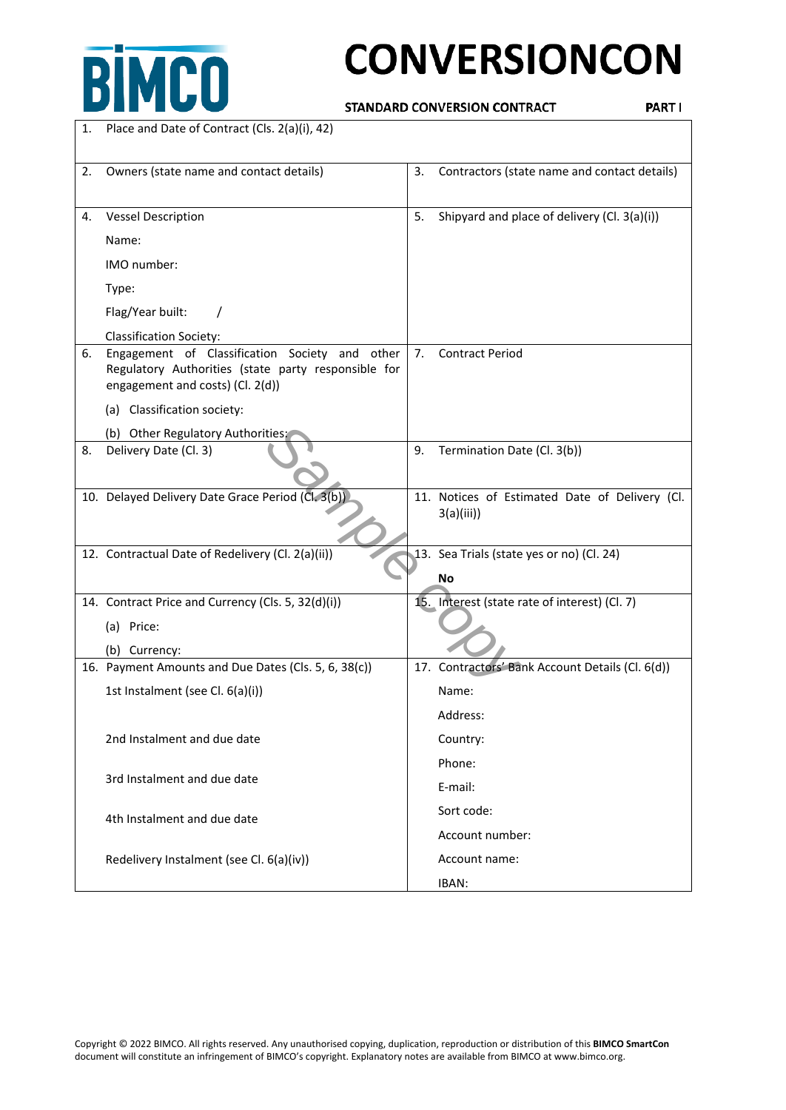

# **CONVERSIONCON**

STANDARD CONVERSION CONTRACT

PART I

| 1. | Place and Date of Contract (Cls. 2(a)(i), 42)                                                                                             |    |                                                             |
|----|-------------------------------------------------------------------------------------------------------------------------------------------|----|-------------------------------------------------------------|
| 2. | Owners (state name and contact details)                                                                                                   | 3. | Contractors (state name and contact details)                |
| 4. | <b>Vessel Description</b>                                                                                                                 | 5. | Shipyard and place of delivery (Cl. 3(a)(i))                |
|    | Name:                                                                                                                                     |    |                                                             |
|    | IMO number:                                                                                                                               |    |                                                             |
|    | Type:                                                                                                                                     |    |                                                             |
|    | Flag/Year built:                                                                                                                          |    |                                                             |
|    | <b>Classification Society:</b>                                                                                                            |    |                                                             |
| 6. | Engagement of Classification Society and other<br>Regulatory Authorities (state party responsible for<br>engagement and costs) (Cl. 2(d)) | 7. | <b>Contract Period</b>                                      |
|    | (a) Classification society:                                                                                                               |    |                                                             |
|    | (b) Other Regulatory Authorities:                                                                                                         |    |                                                             |
| 8. | Delivery Date (Cl. 3)                                                                                                                     | 9. | Termination Date (Cl. 3(b))                                 |
|    | 10. Delayed Delivery Date Grace Period (Cl. 3(b))                                                                                         |    | 11. Notices of Estimated Date of Delivery (Cl.<br>3(a)(iii) |
|    | 12. Contractual Date of Redelivery (Cl. 2(a)(ii))                                                                                         |    | 13. Sea Trials (state yes or no) (Cl. 24)<br><b>No</b>      |
|    | 14. Contract Price and Currency (Cls. 5, 32(d)(i))                                                                                        |    | 15. Interest (state rate of interest) (Cl. 7)               |
|    | (a) Price:                                                                                                                                |    |                                                             |
|    | (b) Currency:                                                                                                                             |    |                                                             |
|    | 16. Payment Amounts and Due Dates (Cls. 5, 6, 38(c))                                                                                      |    | 17. Contractors' Bank Account Details (Cl. 6(d))            |
|    | 1st Instalment (see Cl. 6(a)(i))                                                                                                          |    | Name:                                                       |
|    |                                                                                                                                           |    | Address:                                                    |
|    | 2nd Instalment and due date                                                                                                               |    | Country:                                                    |
|    | 3rd Instalment and due date                                                                                                               |    | Phone:                                                      |
|    |                                                                                                                                           |    | E-mail:                                                     |
|    | 4th Instalment and due date                                                                                                               |    | Sort code:                                                  |
|    |                                                                                                                                           |    | Account number:                                             |
|    | Redelivery Instalment (see Cl. 6(a)(iv))                                                                                                  |    | Account name:                                               |
|    |                                                                                                                                           |    | IBAN:                                                       |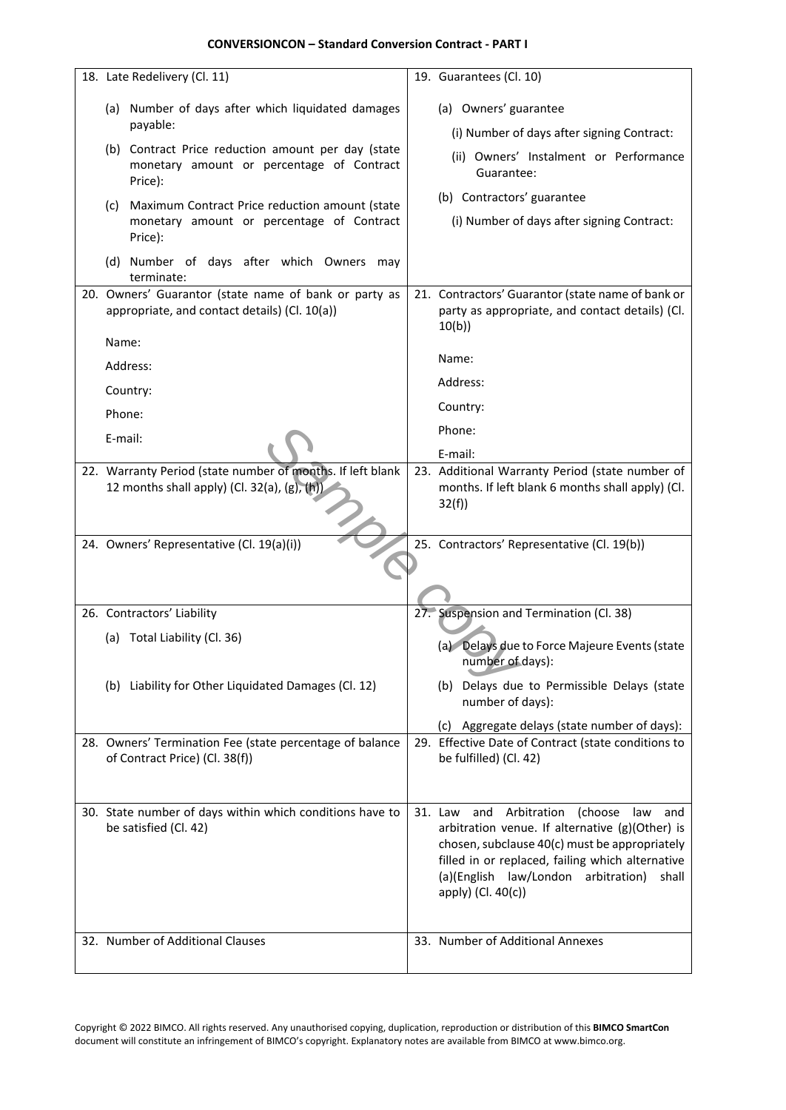| 18. Late Redelivery (Cl. 11)                                                                               | 19. Guarantees (Cl. 10)                                                                                                                                                                                                    |
|------------------------------------------------------------------------------------------------------------|----------------------------------------------------------------------------------------------------------------------------------------------------------------------------------------------------------------------------|
| (a) Number of days after which liquidated damages                                                          | (a) Owners' guarantee                                                                                                                                                                                                      |
| payable:                                                                                                   | (i) Number of days after signing Contract:                                                                                                                                                                                 |
| (b) Contract Price reduction amount per day (state                                                         | (ii) Owners' Instalment or Performance                                                                                                                                                                                     |
| monetary amount or percentage of Contract<br>Price):                                                       | Guarantee:                                                                                                                                                                                                                 |
| Maximum Contract Price reduction amount (state<br>(c)                                                      | (b) Contractors' guarantee                                                                                                                                                                                                 |
| monetary amount or percentage of Contract<br>Price):                                                       | (i) Number of days after signing Contract:                                                                                                                                                                                 |
| (d) Number of days after which Owners may<br>terminate:                                                    |                                                                                                                                                                                                                            |
| 20. Owners' Guarantor (state name of bank or party as<br>appropriate, and contact details) (Cl. 10(a))     | 21. Contractors' Guarantor (state name of bank or<br>party as appropriate, and contact details) (Cl.<br>10(b)                                                                                                              |
| Name:                                                                                                      | Name:                                                                                                                                                                                                                      |
| Address:                                                                                                   | Address:                                                                                                                                                                                                                   |
| Country:                                                                                                   | Country:                                                                                                                                                                                                                   |
| Phone:                                                                                                     | Phone:                                                                                                                                                                                                                     |
| E-mail:                                                                                                    | E-mail:                                                                                                                                                                                                                    |
| 22. Warranty Period (state number of months. If left blank<br>12 months shall apply) (Cl. 32(a), (g), (h)) | 23. Additional Warranty Period (state number of<br>months. If left blank 6 months shall apply) (Cl.<br>32(f)                                                                                                               |
| 24. Owners' Representative (Cl. 19(a)(i))                                                                  | 25. Contractors' Representative (Cl. 19(b))                                                                                                                                                                                |
|                                                                                                            |                                                                                                                                                                                                                            |
|                                                                                                            |                                                                                                                                                                                                                            |
| 26. Contractors' Liability                                                                                 | 27. Suspension and Termination (Cl. 38)                                                                                                                                                                                    |
| (a) Total Liability (Cl. 36)                                                                               | (a) Delays due to Force Majeure Events (state<br>number of days):                                                                                                                                                          |
| (b) Liability for Other Liquidated Damages (Cl. 12)                                                        | (b) Delays due to Permissible Delays (state<br>number of days):                                                                                                                                                            |
|                                                                                                            | (c) Aggregate delays (state number of days):                                                                                                                                                                               |
| 28. Owners' Termination Fee (state percentage of balance<br>of Contract Price) (Cl. 38(f))                 | 29. Effective Date of Contract (state conditions to<br>be fulfilled) (Cl. 42)                                                                                                                                              |
|                                                                                                            |                                                                                                                                                                                                                            |
| 30. State number of days within which conditions have to                                                   | Arbitration<br>31. Law<br>(choose<br>and<br>law<br>and                                                                                                                                                                     |
| be satisfied (Cl. 42)                                                                                      | arbitration venue. If alternative (g)(Other) is<br>chosen, subclause 40(c) must be appropriately<br>filled in or replaced, failing which alternative<br>(a)(English law/London arbitration)<br>shall<br>apply) (Cl. 40(c)) |
| 32. Number of Additional Clauses                                                                           | 33. Number of Additional Annexes                                                                                                                                                                                           |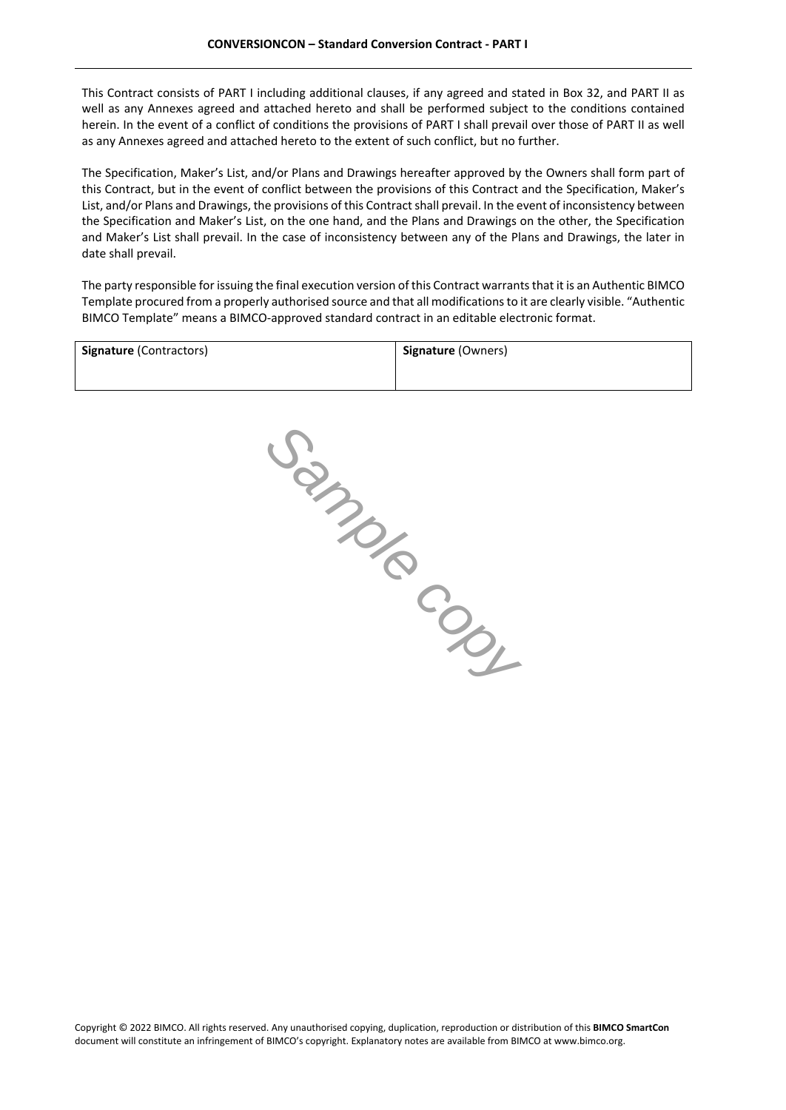This Contract consists of PART I including additional clauses, if any agreed and stated in Box 32, and PART II as well as any Annexes agreed and attached hereto and shall be performed subject to the conditions contained herein. In the event of a conflict of conditions the provisions of PART I shall prevail over those of PART II as well as any Annexes agreed and attached hereto to the extent of such conflict, but no further.

The Specification, Maker's List, and/or Plans and Drawings hereafter approved by the Owners shall form part of this Contract, but in the event of conflict between the provisions of this Contract and the Specification, Maker's List, and/or Plans and Drawings, the provisions of this Contract shall prevail. In the event of inconsistency between the Specification and Maker's List, on the one hand, and the Plans and Drawings on the other, the Specification and Maker's List shall prevail. In the case of inconsistency between any of the Plans and Drawings, the later in date shall prevail.

The party responsible for issuing the final execution version of this Contract warrants that it is an Authentic BIMCO Template procured from a properly authorised source and that all modifications to it are clearly visible. "Authentic BIMCO Template" means a BIMCO-approved standard contract in an editable electronic format.

| <b>Signature (Contractors)</b> | <b>Signature (Owners)</b> |
|--------------------------------|---------------------------|
|                                |                           |

*Sample copy*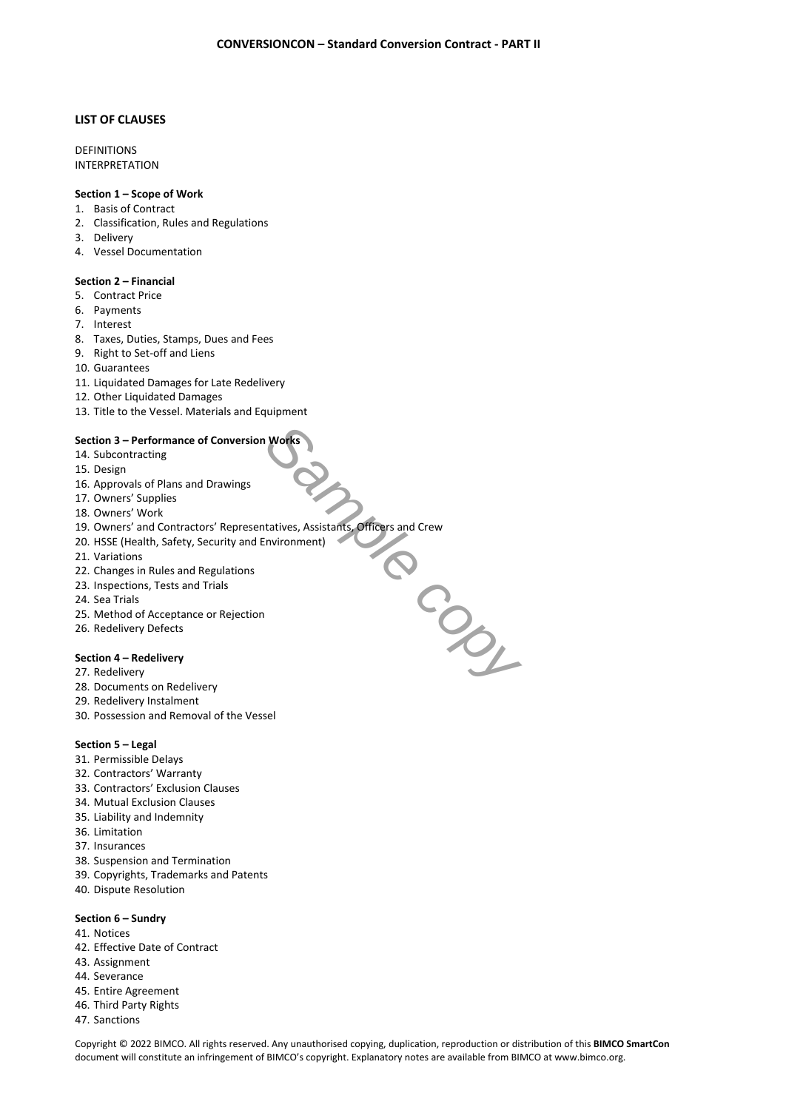# **LIST OF CLAUSES**

**DEFINITIONS** INTERPRETATION

# **Section 1 – Scope of Work**

- 1. Basis of Contract
- 2. Classification, Rules and Regulations
- 3. Delivery
- 4. Vessel Documentation

#### **Section 2 – Financial**

- 5. Contract Price
- 6. Payments
- 7. Interest
- 8. Taxes, Duties, Stamps, Dues and Fees
- 9. Right to Set-off and Liens
- 10. Guarantees
- 11. Liquidated Damages for Late Redelivery
- 12. Other Liquidated Damages
- 13. Title to the Vessel. Materials and Equipment

# **Section 3 – Performance of Conversion Works**

- 14. Subcontracting
- 15. Design
- 16. Approvals of Plans and Drawings
- 17. Owners' Supplies
- 18. Owners' Work
- 19. Owners' and Contractors' Representatives, Assistants, Officers and Crew
- 20. HSSE (Health, Safety, Security and Environment)
- 21. Variations
- 22. Changes in Rules and Regulations
- 23. Inspections, Tests and Trials
- 24. Sea Trials
- 25. Method of Acceptance or Rejection
- 26. Redelivery Defects

# **Section 4 – Redelivery**

- 27. Redelivery
- 28. Documents on Redelivery
- 29. Redelivery Instalment
- 30. Possession and Removal of the Vessel

## **Section 5 – Legal**

- 31. Permissible Delays
- 32. Contractors' Warranty
- 33. Contractors' Exclusion Clauses
- 34. Mutual Exclusion Clauses
- 35. Liability and Indemnity
- 36. Limitation
- 37. Insurances
- 38. Suspension and Termination
- 39. Copyrights, Trademarks and Patents
- 40. Dispute Resolution

#### **Section 6 – Sundry**

- 41. Notices
- 42. Effective Date of Contract
- 43. Assignment
- 44. Severance
- 45. Entire Agreement
- 46. Third Party Rights
- 47. Sanctions

Copyright © 2022 BIMCO. All rights reserved. Any unauthorised copying, duplication, reproduction or distribution of this **BIMCO SmartCon**  document will constitute an infringement of BIMCO's copyright. Explanatory notes are available from BIMCO at [www.bimco.org](http://www.bimco.org/).

*Sample copy*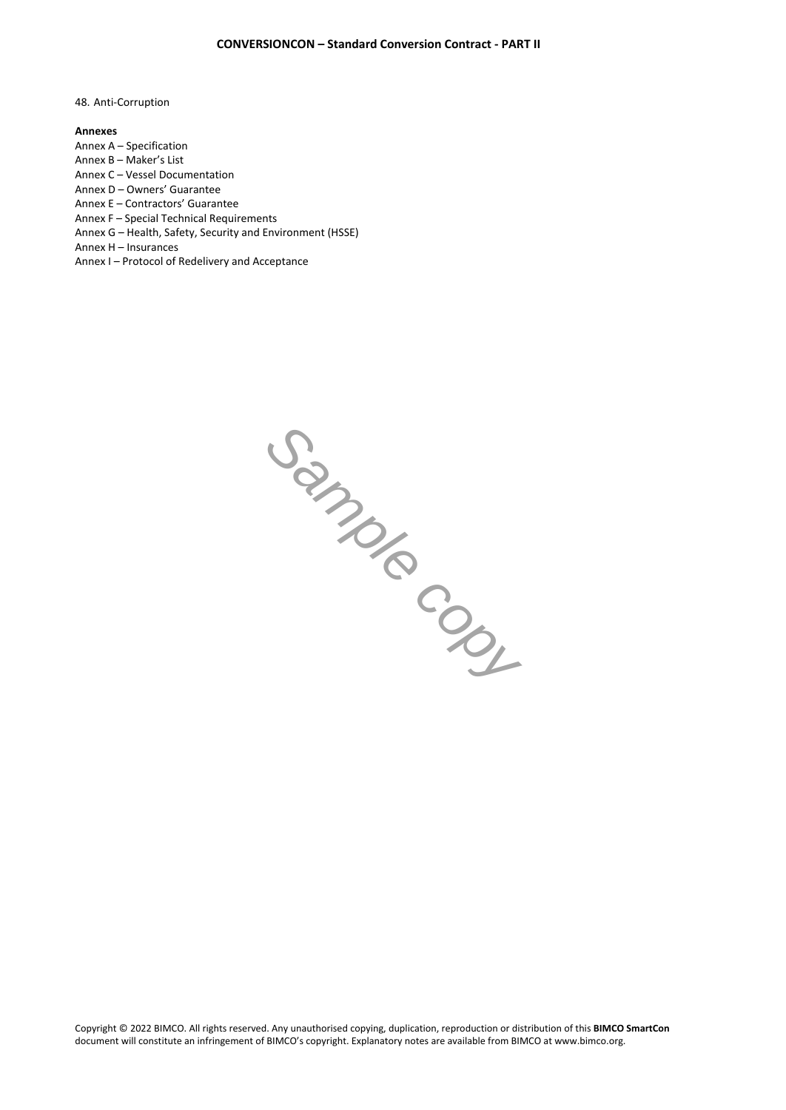48. Anti-Corruption

#### **Annexes**

Annex A – Specification

Annex B – Maker's List

Annex C – Vessel Documentation

Annex D – Owners' Guarantee

Annex E – Contractors' Guarantee Annex F – Special Technical Requirements

Annex G – Health, Safety, Security and Environment (HSSE)

Annex H – Insurances

Annex I – Protocol of Redelivery and Acceptance

*Sample copy*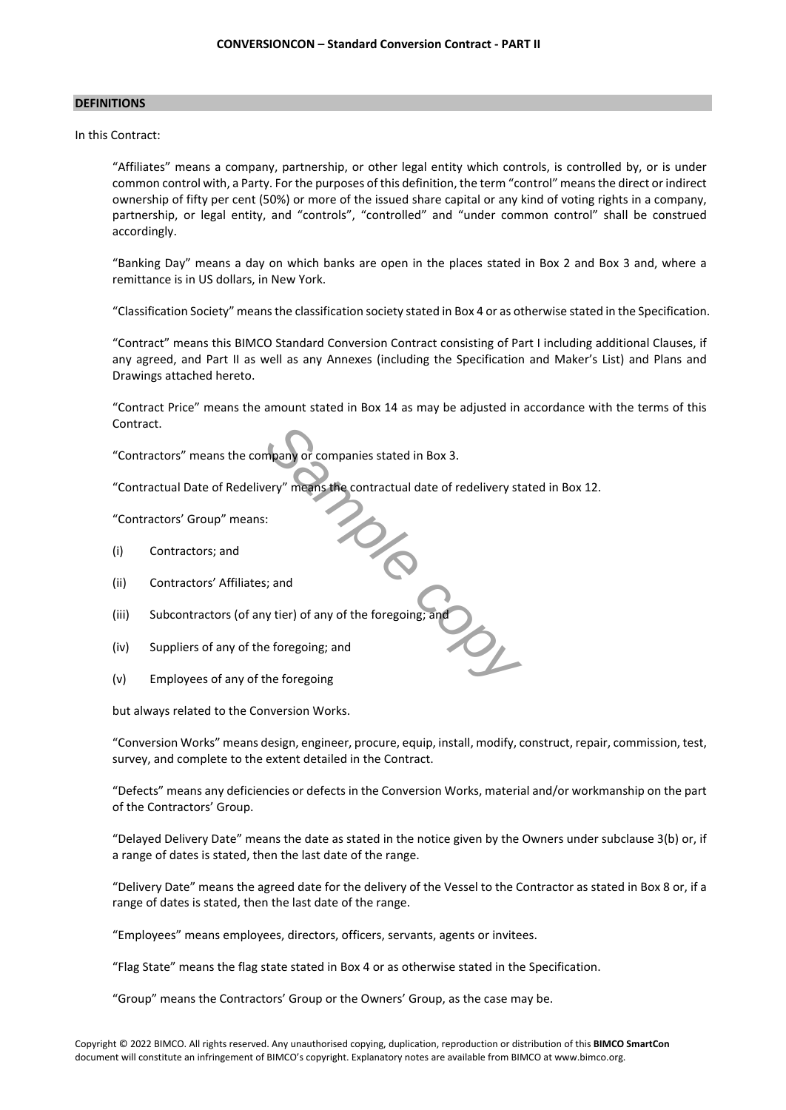#### **DEFINITIONS**

In this Contract:

"Affiliates" means a company, partnership, or other legal entity which controls, is controlled by, or is under common control with, a Party. For the purposes of this definition, the term "control" means the direct or indirect ownership of fifty per cent (50%) or more of the issued share capital or any kind of voting rights in a company, partnership, or legal entity, and "controls", "controlled" and "under common control" shall be construed accordingly.

"Banking Day" means a day on which banks are open in the places stated in Box 2 and Box 3 and, where a remittance is in US dollars, in New York.

"Classification Society" means the classification society stated in Box 4 or as otherwise stated in the Specification.

"Contract" means this BIMCO Standard Conversion Contract consisting of Part I including additional Clauses, if any agreed, and Part II as well as any Annexes (including the Specification and Maker's List) and Plans and Drawings attached hereto.

"Contract Price" means the amount stated in Box 14 as may be adjusted in accordance with the terms of this Contract.

"Contractors" means the company or companies stated in Box 3.

"Contractual Date of Redelivery" means the contractual date of redelivery stated in Box 12.

 $\frac{2}{\infty}$ 

"Contractors' Group" means:

- (i) Contractors; and
- (ii) Contractors' Affiliates; and
- (iii) Subcontractors (of any tier) of any of the foregoing; and
- (iv) Suppliers of any of the foregoing; and
- (v) Employees of any of the foregoing

but always related to the Conversion Works.

"Conversion Works" means design, engineer, procure, equip, install, modify, construct, repair, commission, test, survey, and complete to the extent detailed in the Contract.

"Defects" means any deficiencies or defects in the Conversion Works, material and/or workmanship on the part of the Contractors' Group.

"Delayed Delivery Date" means the date as stated in the notice given by the Owners under subclause 3(b) or, if a range of dates is stated, then the last date of the range.

"Delivery Date" means the agreed date for the delivery of the Vessel to the Contractor as stated in Box 8 or, if a range of dates is stated, then the last date of the range.

"Employees" means employees, directors, officers, servants, agents or invitees.

"Flag State" means the flag state stated in Box 4 or as otherwise stated in the Specification.

"Group" means the Contractors' Group or the Owners' Group, as the case may be.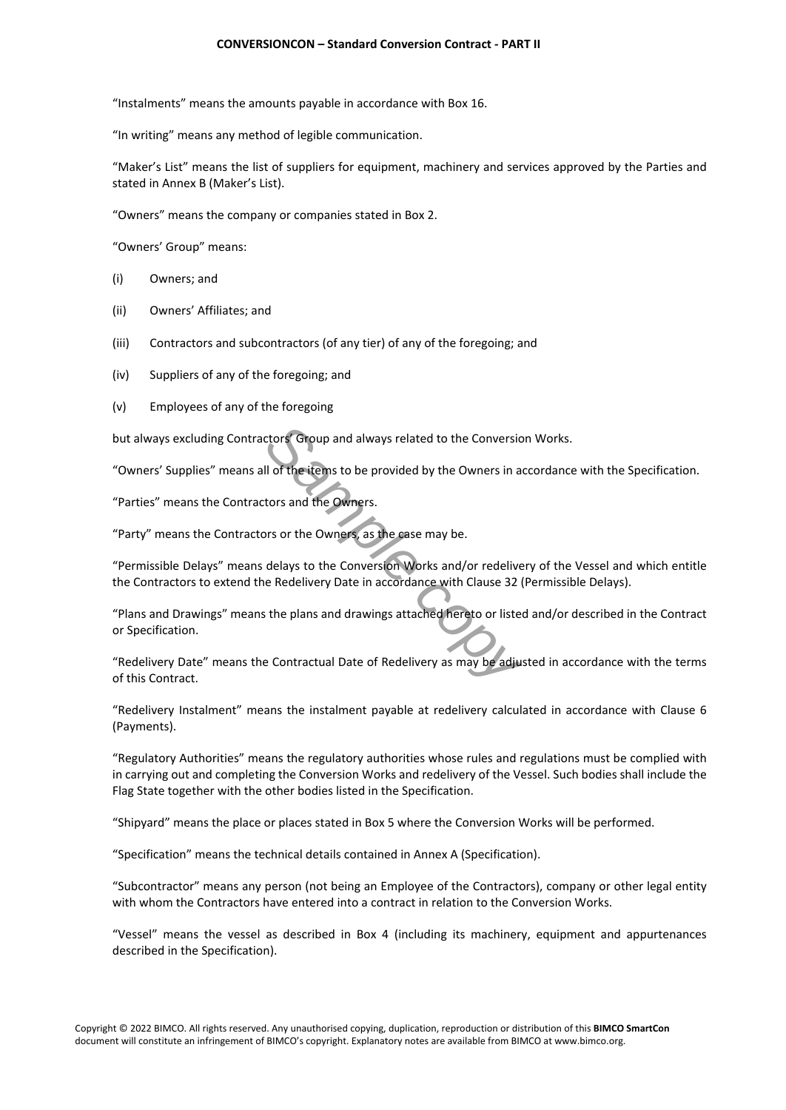"Instalments" means the amounts payable in accordance with Box 16.

"In writing" means any method of legible communication.

"Maker's List" means the list of suppliers for equipment, machinery and services approved by the Parties and stated in Annex B (Maker's List).

"Owners" means the company or companies stated in Box 2.

"Owners' Group" means:

- (i) Owners; and
- (ii) Owners' Affiliates; and
- (iii) Contractors and subcontractors (of any tier) of any of the foregoing; and
- (iv) Suppliers of any of the foregoing; and
- (v) Employees of any of the foregoing

but always excluding Contractors' Group and always related to the Conversion Works.

"Owners' Supplies" means all of the items to be provided by the Owners in accordance with the Specification.

"Parties" means the Contractors and the Owners.

"Party" means the Contractors or the Owners, as the case may be.

"Permissible Delays" means delays to the Conversion Works and/or redelivery of the Vessel and which entitle the Contractors to extend the Redelivery Date in accordance with Clause 32 (Permissible Delays).

"Plans and Drawings" means the plans and drawings attached hereto or listed and/or described in the Contract or Specification.

**Sample 19 and Secure 2015 and Secure 2016 10 and Secure 2016 10 and the Conversion U of the items to be provided by the Owners in a<br>tors and the Owners.<br>Sample conversion Works and/or redelive<br>delays to the Conversion Wor** "Redelivery Date" means the Contractual Date of Redelivery as may be adjusted in accordance with the terms of this Contract.

"Redelivery Instalment" means the instalment payable at redelivery calculated in accordance with Clause 6 (Payments).

"Regulatory Authorities" means the regulatory authorities whose rules and regulations must be complied with in carrying out and completing the Conversion Works and redelivery of the Vessel. Such bodies shall include the Flag State together with the other bodies listed in the Specification.

"Shipyard" means the place or places stated in Box 5 where the Conversion Works will be performed.

"Specification" means the technical details contained in Annex A (Specification).

"Subcontractor" means any person (not being an Employee of the Contractors), company or other legal entity with whom the Contractors have entered into a contract in relation to the Conversion Works.

"Vessel" means the vessel as described in Box 4 (including its machinery, equipment and appurtenances described in the Specification).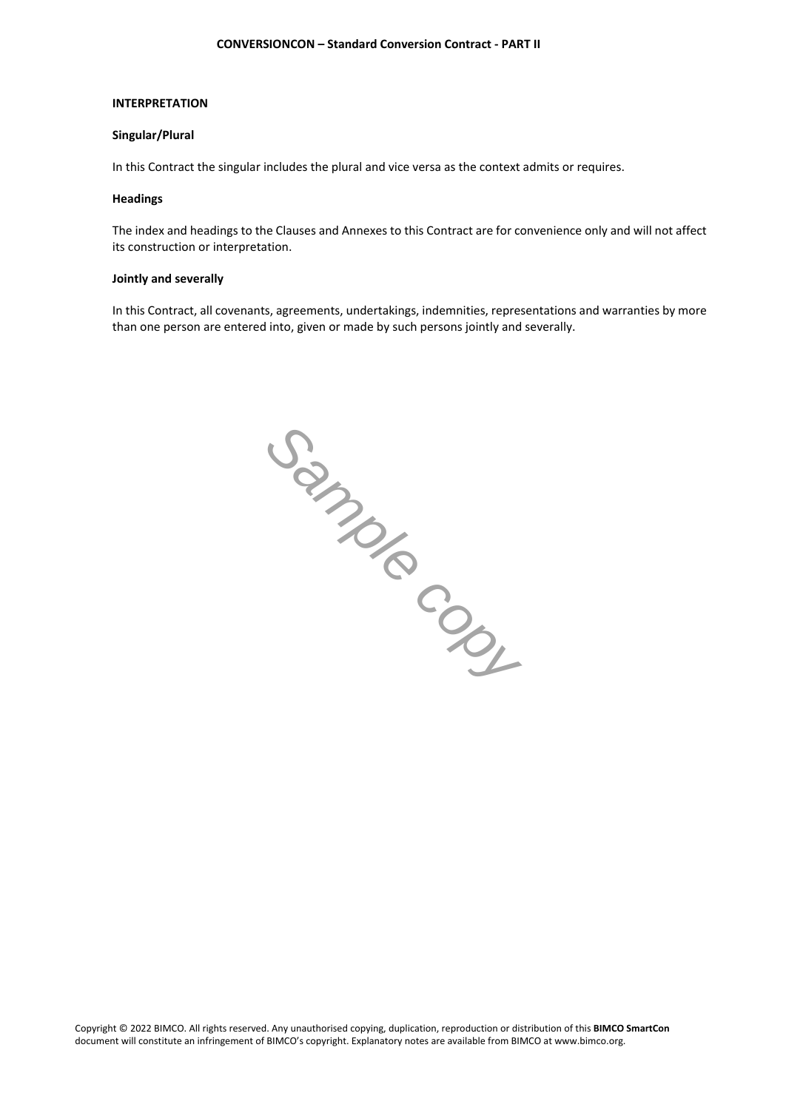#### **INTERPRETATION**

## **Singular/Plural**

In this Contract the singular includes the plural and vice versa as the context admits or requires.

#### **Headings**

The index and headings to the Clauses and Annexes to this Contract are for convenience only and will not affect its construction or interpretation.

## **Jointly and severally**

In this Contract, all covenants, agreements, undertakings, indemnities, representations and warranties by more than one person are entered into, given or made by such persons jointly and severally.

*Sample copy*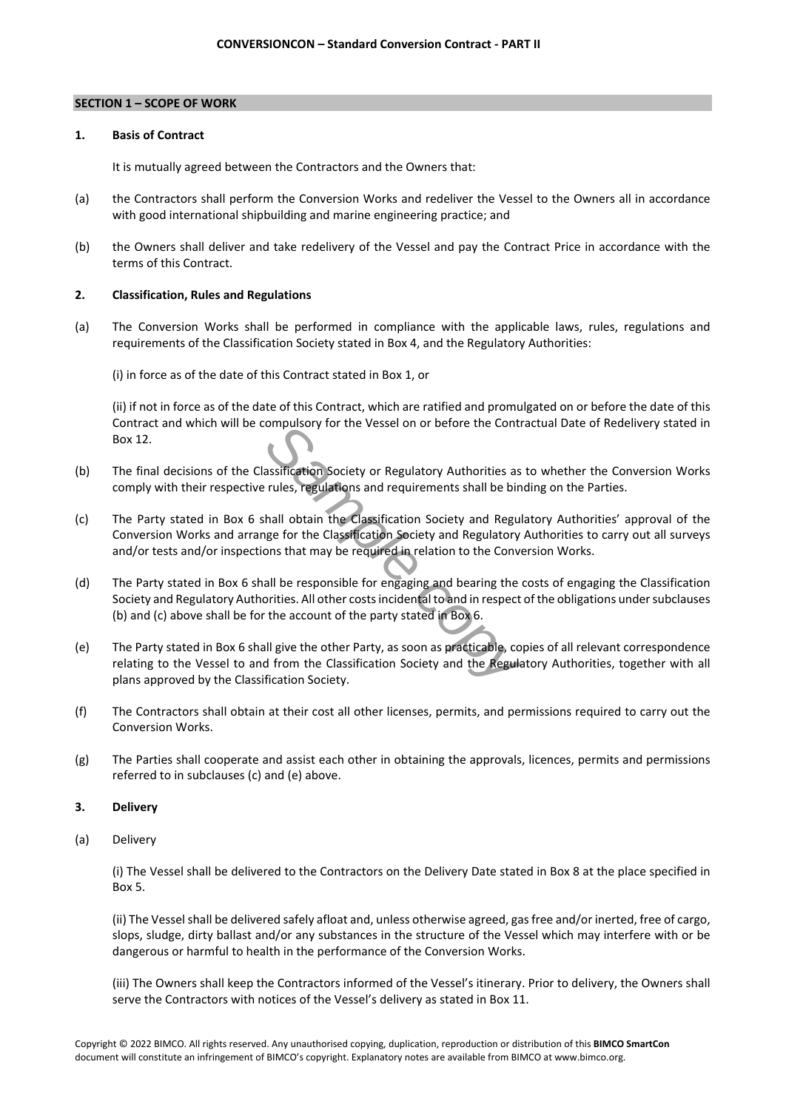#### **SECTION 1 – SCOPE OF WORK**

#### **1. Basis of Contract**

It is mutually agreed between the Contractors and the Owners that:

- (a) the Contractors shall perform the Conversion Works and redeliver the Vessel to the Owners all in accordance with good international shipbuilding and marine engineering practice; and
- (b) the Owners shall deliver and take redelivery of the Vessel and pay the Contract Price in accordance with the terms of this Contract.

# **2. Classification, Rules and Regulations**

(a) The Conversion Works shall be performed in compliance with the applicable laws, rules, regulations and requirements of the Classification Society stated in Box 4, and the Regulatory Authorities:

(i) in force as of the date of this Contract stated in Box 1, or

(ii) if not in force as of the date of this Contract, which are ratified and promulgated on or before the date of this Contract and which will be compulsory for the Vessel on or before the Contractual Date of Redelivery stated in Box 12.

- (b) The final decisions of the Classification Society or Regulatory Authorities as to whether the Conversion Works comply with their respective rules, regulations and requirements shall be binding on the Parties.
- **Sample Controllering Controllering Controllering Controllering Controllering Controllering Controllering Controllering controllering controllering controllering controllering for the Classification Society and Regulatory** (c) The Party stated in Box 6 shall obtain the Classification Society and Regulatory Authorities' approval of the Conversion Works and arrange for the Classification Society and Regulatory Authorities to carry out all surveys and/or tests and/or inspections that may be required in relation to the Conversion Works.
- (d) The Party stated in Box 6 shall be responsible for engaging and bearing the costs of engaging the Classification Society and Regulatory Authorities. All other costs incidental to and in respect of the obligations under subclauses (b) and (c) above shall be for the account of the party stated in Box 6.
- (e) The Party stated in Box 6 shall give the other Party, as soon as practicable, copies of all relevant correspondence relating to the Vessel to and from the Classification Society and the Regulatory Authorities, together with all plans approved by the Classification Society.
- (f) The Contractors shall obtain at their cost all other licenses, permits, and permissions required to carry out the Conversion Works.
- (g) The Parties shall cooperate and assist each other in obtaining the approvals, licences, permits and permissions referred to in subclauses (c) and (e) above.

# **3. Delivery**

(a) Delivery

(i) The Vessel shall be delivered to the Contractors on the Delivery Date stated in Box 8 at the place specified in Box 5.

(ii) The Vessel shall be delivered safely afloat and, unless otherwise agreed, gas free and/or inerted, free of cargo, slops, sludge, dirty ballast and/or any substances in the structure of the Vessel which may interfere with or be dangerous or harmful to health in the performance of the Conversion Works.

(iii) The Owners shall keep the Contractors informed of the Vessel's itinerary. Prior to delivery, the Owners shall serve the Contractors with notices of the Vessel's delivery as stated in Box 11.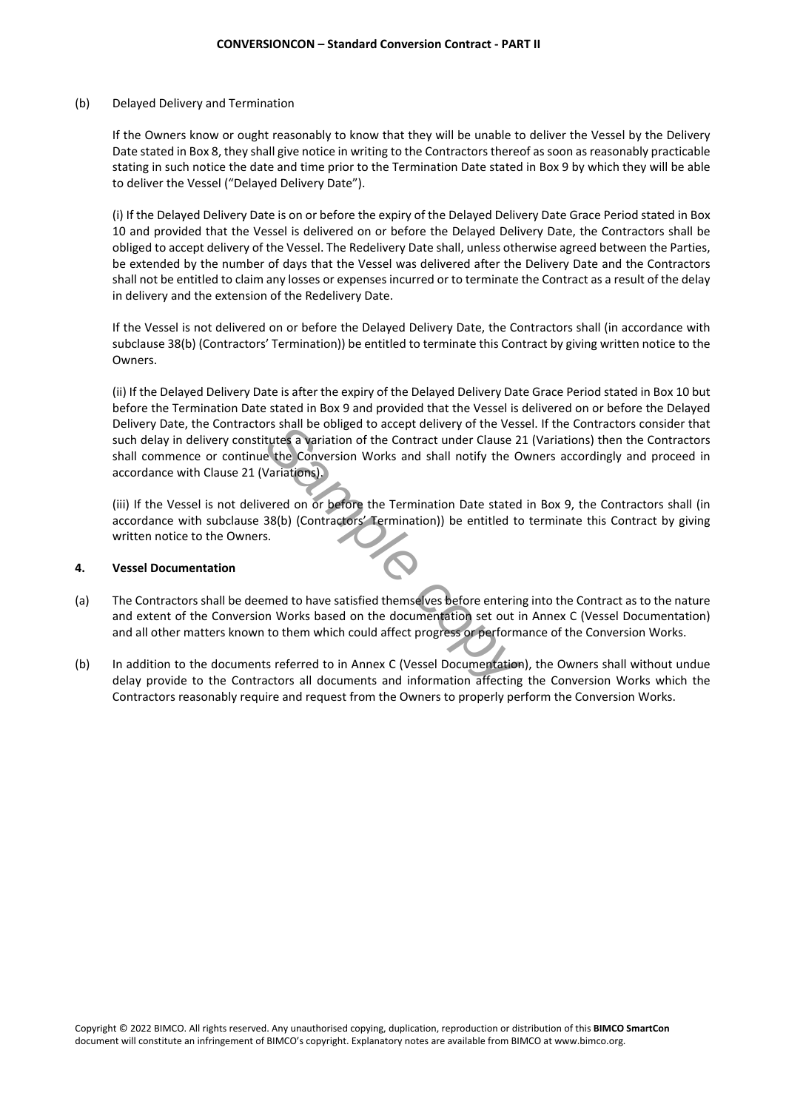(b) Delayed Delivery and Termination

If the Owners know or ought reasonably to know that they will be unable to deliver the Vessel by the Delivery Date stated in Box 8, they shall give notice in writing to the Contractors thereof as soon as reasonably practicable stating in such notice the date and time prior to the Termination Date stated in Box 9 by which they will be able to deliver the Vessel ("Delayed Delivery Date").

(i) If the Delayed Delivery Date is on or before the expiry of the Delayed Delivery Date Grace Period stated in Box 10 and provided that the Vessel is delivered on or before the Delayed Delivery Date, the Contractors shall be obliged to accept delivery of the Vessel. The Redelivery Date shall, unless otherwise agreed between the Parties, be extended by the number of days that the Vessel was delivered after the Delivery Date and the Contractors shall not be entitled to claim any losses or expenses incurred or to terminate the Contract as a result of the delay in delivery and the extension of the Redelivery Date.

If the Vessel is not delivered on or before the Delayed Delivery Date, the Contractors shall (in accordance with subclause 38(b) (Contractors' Termination)) be entitled to terminate this Contract by giving written notice to the Owners.

*Sample de Conversion* of the Contract under Clause 2:<br>
Lettes a variation of the Contract under Clause 2:<br>
Pariations).<br>
Pariations).<br>
Pariations).<br>
Pariations).<br>
Pariations).<br>
Pariations).<br>
Pariations).<br>
Pariations (Cont (ii) If the Delayed Delivery Date is after the expiry of the Delayed Delivery Date Grace Period stated in Box 10 but before the Termination Date stated in Box 9 and provided that the Vessel is delivered on or before the Delayed Delivery Date, the Contractors shall be obliged to accept delivery of the Vessel. If the Contractors consider that such delay in delivery constitutes a variation of the Contract under Clause 21 (Variations) then the Contractors shall commence or continue the Conversion Works and shall notify the Owners accordingly and proceed in accordance with Clause 21 (Variations).

(iii) If the Vessel is not delivered on or before the Termination Date stated in Box 9, the Contractors shall (in accordance with subclause 38(b) (Contractors' Termination)) be entitled to terminate this Contract by giving written notice to the Owners.

# **4. Vessel Documentation**

- (a) The Contractors shall be deemed to have satisfied themselves before entering into the Contract as to the nature and extent of the Conversion Works based on the documentation set out in Annex C (Vessel Documentation) and all other matters known to them which could affect progress or performance of the Conversion Works.
- (b) In addition to the documents referred to in Annex C (Vessel Documentation), the Owners shall without undue delay provide to the Contractors all documents and information affecting the Conversion Works which the Contractors reasonably require and request from the Owners to properly perform the Conversion Works.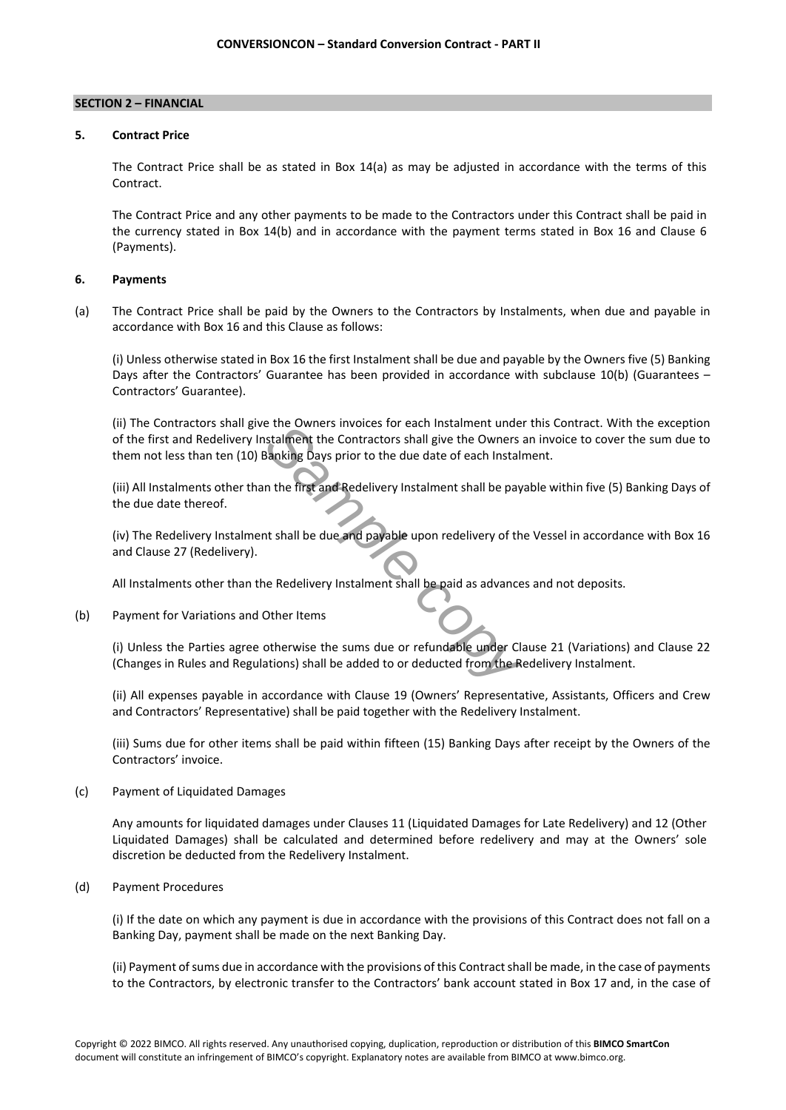# **SECTION 2 – FINANCIAL**

# **5. Contract Price**

The Contract Price shall be as stated in Box 14(a) as may be adjusted in accordance with the terms of this Contract.

The Contract Price and any other payments to be made to the Contractors under this Contract shall be paid in the currency stated in Box 14(b) and in accordance with the payment terms stated in Box 16 and Clause 6 (Payments).

# **6. Payments**

(a) The Contract Price shall be paid by the Owners to the Contractors by Instalments, when due and payable in accordance with Box 16 and this Clause as follows:

(i) Unless otherwise stated in Box 16 the first Instalment shall be due and payable by the Owners five (5) Banking Days after the Contractors' Guarantee has been provided in accordance with subclause 10(b) (Guarantees – Contractors' Guarantee).

**Example 12 Started Transformation** the Contractors shall give the Owners and stalment the Contractors shall give the Owners and Stanking Days prior to the due date of each Instalment shall be pay<br>and the first and Redeliv (ii) The Contractors shall give the Owners invoices for each Instalment under this Contract. With the exception of the first and Redelivery Instalment the Contractors shall give the Owners an invoice to cover the sum due to them not less than ten (10) Banking Days prior to the due date of each Instalment.

(iii) All Instalments other than the first and Redelivery Instalment shall be payable within five (5) Banking Days of the due date thereof.

(iv) The Redelivery Instalment shall be due and payable upon redelivery of the Vessel in accordance with Box 16 and Clause 27 (Redelivery).

All Instalments other than the Redelivery Instalment shall be paid as advances and not deposits.

# (b) Payment for Variations and Other Items

(i) Unless the Parties agree otherwise the sums due or refundable under Clause 21 (Variations) and Clause 22 (Changes in Rules and Regulations) shall be added to or deducted from the Redelivery Instalment.

(ii) All expenses payable in accordance with Clause 19 (Owners' Representative, Assistants, Officers and Crew and Contractors' Representative) shall be paid together with the Redelivery Instalment.

(iii) Sums due for other items shall be paid within fifteen (15) Banking Days after receipt by the Owners of the Contractors' invoice.

(c) Payment of Liquidated Damages

Any amounts for liquidated damages under Clauses 11 (Liquidated Damages for Late Redelivery) and 12 (Other Liquidated Damages) shall be calculated and determined before redelivery and may at the Owners' sole discretion be deducted from the Redelivery Instalment.

(d) Payment Procedures

(i) If the date on which any payment is due in accordance with the provisions of this Contract does not fall on a Banking Day, payment shall be made on the next Banking Day.

(ii) Payment of sums due in accordance with the provisions of this Contract shall be made, in the case of payments to the Contractors, by electronic transfer to the Contractors' bank account stated in Box 17 and, in the case of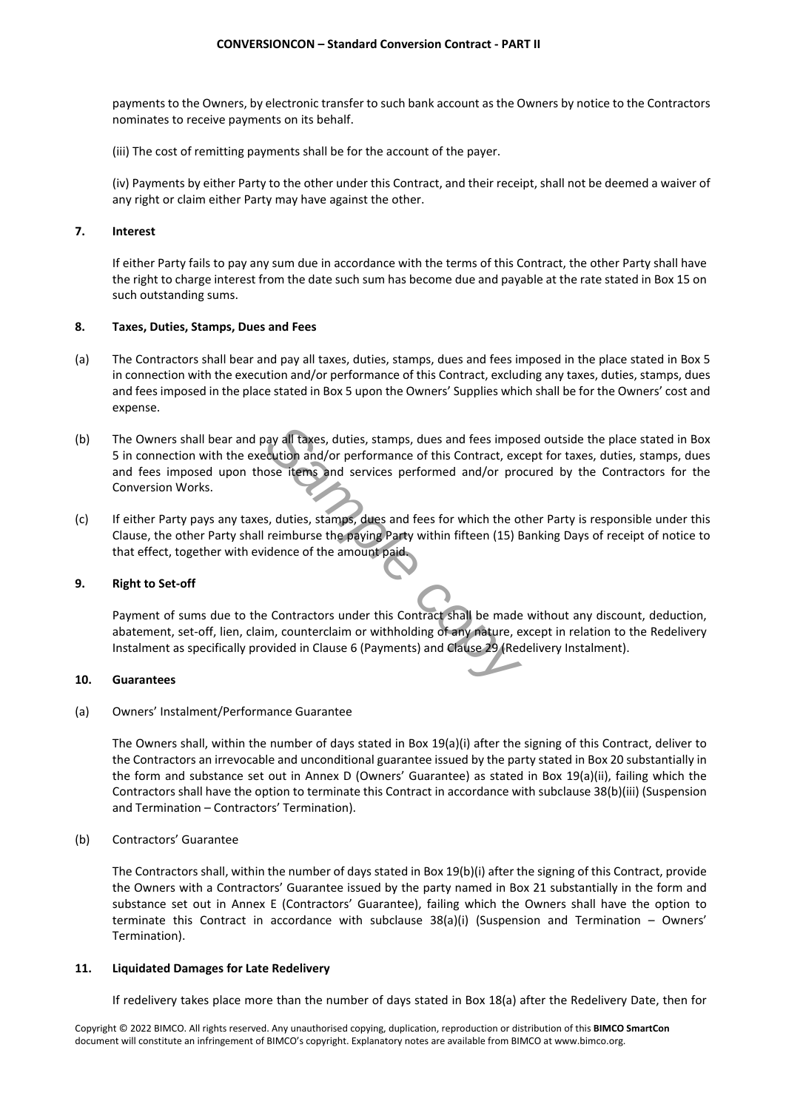payments to the Owners, by electronic transfer to such bank account as the Owners by notice to the Contractors nominates to receive payments on its behalf.

(iii) The cost of remitting payments shall be for the account of the payer.

(iv) Payments by either Party to the other under this Contract, and their receipt, shall not be deemed a waiver of any right or claim either Party may have against the other.

# **7. Interest**

If either Party fails to pay any sum due in accordance with the terms of this Contract, the other Party shall have the right to charge interest from the date such sum has become due and payable at the rate stated in Box 15 on such outstanding sums.

# **8. Taxes, Duties, Stamps, Dues and Fees**

- (a) The Contractors shall bear and pay all taxes, duties, stamps, dues and fees imposed in the place stated in Box 5 in connection with the execution and/or performance of this Contract, excluding any taxes, duties, stamps, dues and fees imposed in the place stated in Box 5 upon the Owners' Supplies which shall be for the Owners' cost and expense.
- **Sample 19 and 19 and 19 and 19 and 19 and 19 and 19 and 19 and 19 and 19 and 19 and 19 and 19 and 19 and 19 and 19 and 19 and 19 and 19 and 19 and 19 and 19 and 19 and 19 and 19 and 19 and 19 and 19 and 19 and 19 and 19 a** (b) The Owners shall bear and pay all taxes, duties, stamps, dues and fees imposed outside the place stated in Box 5 in connection with the execution and/or performance of this Contract, except for taxes, duties, stamps, dues and fees imposed upon those items and services performed and/or procured by the Contractors for the Conversion Works.
- (c) If either Party pays any taxes, duties, stamps, dues and fees for which the other Party is responsible under this Clause, the other Party shall reimburse the paying Party within fifteen (15) Banking Days of receipt of notice to that effect, together with evidence of the amount paid.

# **9. Right to Set-off**

Payment of sums due to the Contractors under this Contract shall be made without any discount, deduction, abatement, set-off, lien, claim, counterclaim or withholding of any nature, except in relation to the Redelivery Instalment as specifically provided in Clause 6 (Payments) and Clause 29 (Redelivery Instalment).

#### **10. Guarantees**

(a) Owners' Instalment/Performance Guarantee

The Owners shall, within the number of days stated in Box 19(a)(i) after the signing of this Contract, deliver to the Contractors an irrevocable and unconditional guarantee issued by the party stated in Box 20 substantially in the form and substance set out in Annex D (Owners' Guarantee) as stated in Box 19(a)(ii), failing which the Contractors shall have the option to terminate this Contract in accordance with subclause 38(b)(iii) (Suspension and Termination – Contractors' Termination).

(b) Contractors' Guarantee

The Contractors shall, within the number of days stated in Box 19(b)(i) after the signing of this Contract, provide the Owners with a Contractors' Guarantee issued by the party named in Box 21 substantially in the form and substance set out in Annex E (Contractors' Guarantee), failing which the Owners shall have the option to terminate this Contract in accordance with subclause 38(a)(i) (Suspension and Termination – Owners' Termination).

#### **11. Liquidated Damages for Late Redelivery**

If redelivery takes place more than the number of days stated in Box 18(a) after the Redelivery Date, then for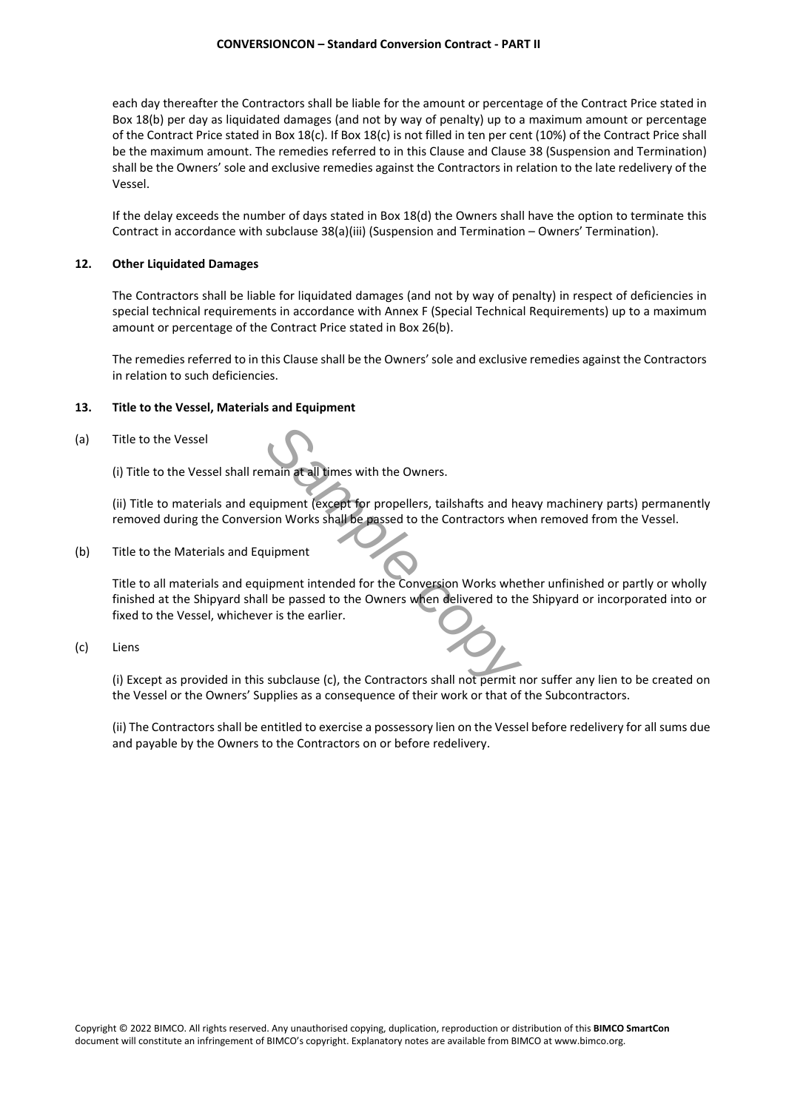each day thereafter the Contractors shall be liable for the amount or percentage of the Contract Price stated in Box 18(b) per day as liquidated damages (and not by way of penalty) up to a maximum amount or percentage of the Contract Price stated in Box 18(c). If Box 18(c) is not filled in ten per cent (10%) of the Contract Price shall be the maximum amount. The remedies referred to in this Clause and Clause 38 (Suspension and Termination) shall be the Owners' sole and exclusive remedies against the Contractors in relation to the late redelivery of the Vessel.

If the delay exceeds the number of days stated in Box 18(d) the Owners shall have the option to terminate this Contract in accordance with subclause 38(a)(iii) (Suspension and Termination – Owners' Termination).

#### **12. Other Liquidated Damages**

The Contractors shall be liable for liquidated damages (and not by way of penalty) in respect of deficiencies in special technical requirements in accordance with Annex F (Special Technical Requirements) up to a maximum amount or percentage of the Contract Price stated in Box 26(b).

The remedies referred to in this Clause shall be the Owners' sole and exclusive remedies against the Contractors in relation to such deficiencies.

#### **13. Title to the Vessel, Materials and Equipment**

#### (a) Title to the Vessel

(i) Title to the Vessel shall remain at all times with the Owners.

(ii) Title to materials and equipment (except for propellers, tailshafts and heavy machinery parts) permanently removed during the Conversion Works shall be passed to the Contractors when removed from the Vessel.

(b) Title to the Materials and Equipment

**Sample and Secure 15 and Secure 15 and Secure 15 and Secure 16 and Secure 16 and Secure 16 and Secure 16 and Secure 16 and Secure 16 and Secure 16 and Secure 16 and Secure 16 and Secure 16 and Secure 16 and Secure 16 and** Title to all materials and equipment intended for the Conversion Works whether unfinished or partly or wholly finished at the Shipyard shall be passed to the Owners when delivered to the Shipyard or incorporated into or fixed to the Vessel, whichever is the earlier.

# (c) Liens

(i) Except as provided in this subclause (c), the Contractors shall not permit nor suffer any lien to be created on the Vessel or the Owners' Supplies as a consequence of their work or that of the Subcontractors.

(ii) The Contractors shall be entitled to exercise a possessory lien on the Vessel before redelivery for all sums due and payable by the Owners to the Contractors on or before redelivery.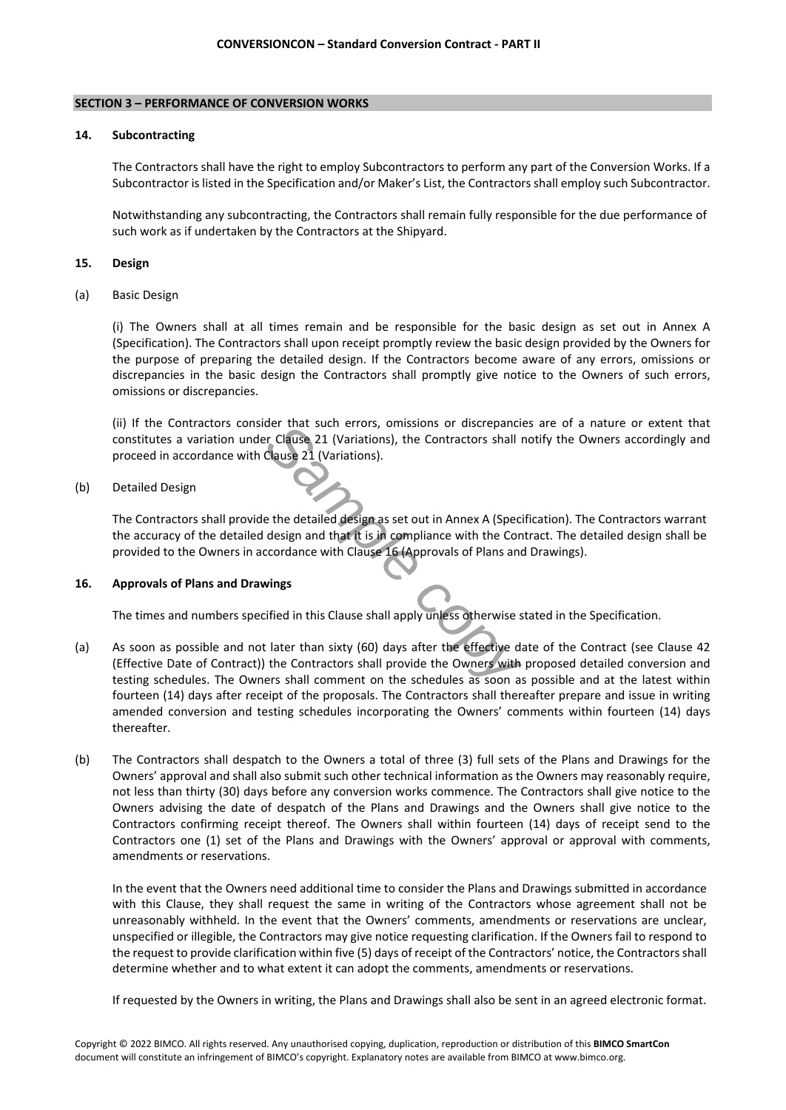## **SECTION 3 – PERFORMANCE OF CONVERSION WORKS**

## **14. Subcontracting**

The Contractors shall have the right to employ Subcontractors to perform any part of the Conversion Works. If a Subcontractor is listed in the Specification and/or Maker's List, the Contractors shall employ such Subcontractor.

Notwithstanding any subcontracting, the Contractors shall remain fully responsible for the due performance of such work as if undertaken by the Contractors at the Shipyard.

## **15. Design**

(a) Basic Design

(i) The Owners shall at all times remain and be responsible for the basic design as set out in Annex A (Specification). The Contractors shall upon receipt promptly review the basic design provided by the Owners for the purpose of preparing the detailed design. If the Contractors become aware of any errors, omissions or discrepancies in the basic design the Contractors shall promptly give notice to the Owners of such errors, omissions or discrepancies.

(ii) If the Contractors consider that such errors, omissions or discrepancies are of a nature or extent that constitutes a variation under Clause 21 (Variations), the Contractors shall notify the Owners accordingly and proceed in accordance with Clause 21 (Variations).

# (b) Detailed Design

The Contractors shall provide the detailed design as set out in Annex A (Specification). The Contractors warrant the accuracy of the detailed design and that it is in compliance with the Contract. The detailed design shall be provided to the Owners in accordance with Clause 16 (Approvals of Plans and Drawings).

# **16. Approvals of Plans and Drawings**

The times and numbers specified in this Clause shall apply unless otherwise stated in the Specification.

- der that such errors, omissions or discrepancies<br>
In Clause 21 (Variations), the Contractors shall reduced 21 (Variations).<br>
<br> **Sample 21 (Variations).**<br>
<br> **Sample contractors shall reduced to the Contractors of Plans and<br>** (a) As soon as possible and not later than sixty (60) days after the effective date of the Contract (see Clause 42 (Effective Date of Contract)) the Contractors shall provide the Owners with proposed detailed conversion and testing schedules. The Owners shall comment on the schedules as soon as possible and at the latest within fourteen (14) days after receipt of the proposals. The Contractors shall thereafter prepare and issue in writing amended conversion and testing schedules incorporating the Owners' comments within fourteen (14) days thereafter.
- (b) The Contractors shall despatch to the Owners a total of three (3) full sets of the Plans and Drawings for the Owners' approval and shall also submit such other technical information as the Owners may reasonably require, not less than thirty (30) days before any conversion works commence. The Contractors shall give notice to the Owners advising the date of despatch of the Plans and Drawings and the Owners shall give notice to the Contractors confirming receipt thereof. The Owners shall within fourteen (14) days of receipt send to the Contractors one (1) set of the Plans and Drawings with the Owners' approval or approval with comments, amendments or reservations.

In the event that the Owners need additional time to consider the Plans and Drawings submitted in accordance with this Clause, they shall request the same in writing of the Contractors whose agreement shall not be unreasonably withheld. In the event that the Owners' comments, amendments or reservations are unclear, unspecified or illegible, the Contractors may give notice requesting clarification. If the Owners fail to respond to the request to provide clarification within five (5) days of receipt of the Contractors' notice, the Contractors shall determine whether and to what extent it can adopt the comments, amendments or reservations.

If requested by the Owners in writing, the Plans and Drawings shall also be sent in an agreed electronic format.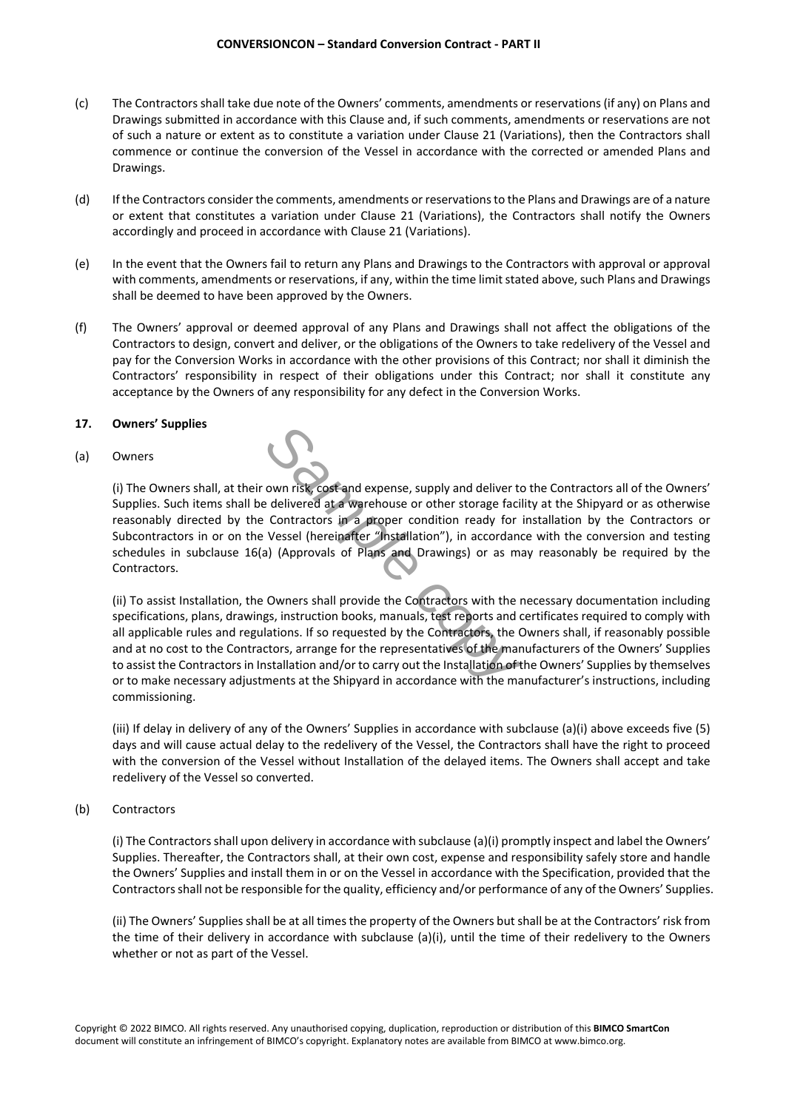- (c) The Contractors shall take due note of the Owners' comments, amendments or reservations (if any) on Plans and Drawings submitted in accordance with this Clause and, if such comments, amendments or reservations are not of such a nature or extent as to constitute a variation under Clause 21 (Variations), then the Contractors shall commence or continue the conversion of the Vessel in accordance with the corrected or amended Plans and Drawings.
- (d) If the Contractors consider the comments, amendments or reservations to the Plans and Drawings are of a nature or extent that constitutes a variation under Clause 21 (Variations), the Contractors shall notify the Owners accordingly and proceed in accordance with Clause 21 (Variations).
- (e) In the event that the Owners fail to return any Plans and Drawings to the Contractors with approval or approval with comments, amendments or reservations, if any, within the time limit stated above, such Plans and Drawings shall be deemed to have been approved by the Owners.
- (f) The Owners' approval or deemed approval of any Plans and Drawings shall not affect the obligations of the Contractors to design, convert and deliver, or the obligations of the Owners to take redelivery of the Vessel and pay for the Conversion Works in accordance with the other provisions of this Contract; nor shall it diminish the Contractors' responsibility in respect of their obligations under this Contract; nor shall it constitute any acceptance by the Owners of any responsibility for any defect in the Conversion Works.

# **17. Owners' Supplies**

(a) Owners

(i) The Owners shall, at their own risk, cost and expense, supply and deliver to the Contractors all of the Owners' Supplies. Such items shall be delivered at a warehouse or other storage facility at the Shipyard or as otherwise reasonably directed by the Contractors in a proper condition ready for installation by the Contractors or Subcontractors in or on the Vessel (hereinafter "Installation"), in accordance with the conversion and testing schedules in subclause 16(a) (Approvals of Plans and Drawings) or as may reasonably be required by the Contractors.

**Sample 19 and Sample controlled and Sample contractors** in a proper condition ready for invessel (hereinafter "Installation"), in accordance and (Approvals of Plans and Drawings) or as may (Approvals of Plans and Drawings (ii) To assist Installation, the Owners shall provide the Contractors with the necessary documentation including specifications, plans, drawings, instruction books, manuals, test reports and certificates required to comply with all applicable rules and regulations. If so requested by the Contractors, the Owners shall, if reasonably possible and at no cost to the Contractors, arrange for the representatives of the manufacturers of the Owners' Supplies to assist the Contractors in Installation and/or to carry out the Installation of the Owners' Supplies by themselves or to make necessary adjustments at the Shipyard in accordance with the manufacturer's instructions, including commissioning.

(iii) If delay in delivery of any of the Owners' Supplies in accordance with subclause (a)(i) above exceeds five (5) days and will cause actual delay to the redelivery of the Vessel, the Contractors shall have the right to proceed with the conversion of the Vessel without Installation of the delayed items. The Owners shall accept and take redelivery of the Vessel so converted.

(b) Contractors

(i) The Contractors shall upon delivery in accordance with subclause (a)(i) promptly inspect and label the Owners' Supplies. Thereafter, the Contractors shall, at their own cost, expense and responsibility safely store and handle the Owners' Supplies and install them in or on the Vessel in accordance with the Specification, provided that the Contractors shall not be responsible for the quality, efficiency and/or performance of any of the Owners' Supplies.

(ii) The Owners' Supplies shall be at all times the property of the Owners but shall be at the Contractors' risk from the time of their delivery in accordance with subclause (a)(i), until the time of their redelivery to the Owners whether or not as part of the Vessel.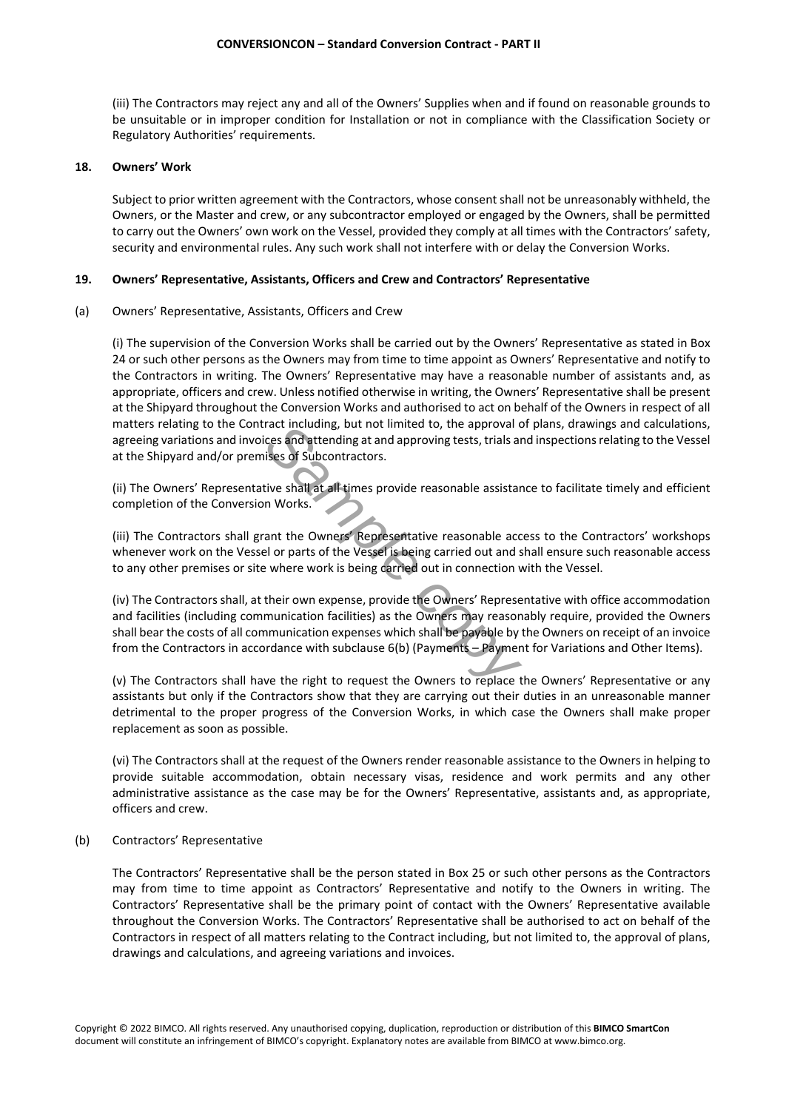(iii) The Contractors may reject any and all of the Owners' Supplies when and if found on reasonable grounds to be unsuitable or in improper condition for Installation or not in compliance with the Classification Society or Regulatory Authorities' requirements.

# **18. Owners' Work**

Subject to prior written agreement with the Contractors, whose consent shall not be unreasonably withheld, the Owners, or the Master and crew, or any subcontractor employed or engaged by the Owners, shall be permitted to carry out the Owners' own work on the Vessel, provided they comply at all times with the Contractors' safety, security and environmental rules. Any such work shall not interfere with or delay the Conversion Works.

# **19. Owners' Representative, Assistants, Officers and Crew and Contractors' Representative**

(a) Owners' Representative, Assistants, Officers and Crew

(i) The supervision of the Conversion Works shall be carried out by the Owners' Representative as stated in Box 24 or such other persons as the Owners may from time to time appoint as Owners' Representative and notify to the Contractors in writing. The Owners' Representative may have a reasonable number of assistants and, as appropriate, officers and crew. Unless notified otherwise in writing, the Owners' Representative shall be present at the Shipyard throughout the Conversion Works and authorised to act on behalf of the Owners in respect of all matters relating to the Contract including, but not limited to, the approval of plans, drawings and calculations, agreeing variations and invoices and attending at and approving tests, trials and inspections relating to the Vessel at the Shipyard and/or premises of Subcontractors.

(ii) The Owners' Representative shall at all times provide reasonable assistance to facilitate timely and efficient completion of the Conversion Works.

(iii) The Contractors shall grant the Owners' Representative reasonable access to the Contractors' workshops whenever work on the Vessel or parts of the Vessel is being carried out and shall ensure such reasonable access to any other premises or site where work is being carried out in connection with the Vessel.

Fract including, but not limited to, the approval of<br>
tes and attending at and approving tests, trials are<br>
ses of Subcontractors.<br>
Eive shall at all times provide reasonable assistan<br>
in Works.<br>
Ant the Owners' Representa (iv) The Contractors shall, at their own expense, provide the Owners' Representative with office accommodation and facilities (including communication facilities) as the Owners may reasonably require, provided the Owners shall bear the costs of all communication expenses which shall be payable by the Owners on receipt of an invoice from the Contractors in accordance with subclause 6(b) (Payments – Payment for Variations and Other Items).

(v) The Contractors shall have the right to request the Owners to replace the Owners' Representative or any assistants but only if the Contractors show that they are carrying out their duties in an unreasonable manner detrimental to the proper progress of the Conversion Works, in which case the Owners shall make proper replacement as soon as possible.

(vi) The Contractors shall at the request of the Owners render reasonable assistance to the Owners in helping to provide suitable accommodation, obtain necessary visas, residence and work permits and any other administrative assistance as the case may be for the Owners' Representative, assistants and, as appropriate, officers and crew.

(b) Contractors' Representative

The Contractors' Representative shall be the person stated in Box 25 or such other persons as the Contractors may from time to time appoint as Contractors' Representative and notify to the Owners in writing. The Contractors' Representative shall be the primary point of contact with the Owners' Representative available throughout the Conversion Works. The Contractors' Representative shall be authorised to act on behalf of the Contractors in respect of all matters relating to the Contract including, but not limited to, the approval of plans, drawings and calculations, and agreeing variations and invoices.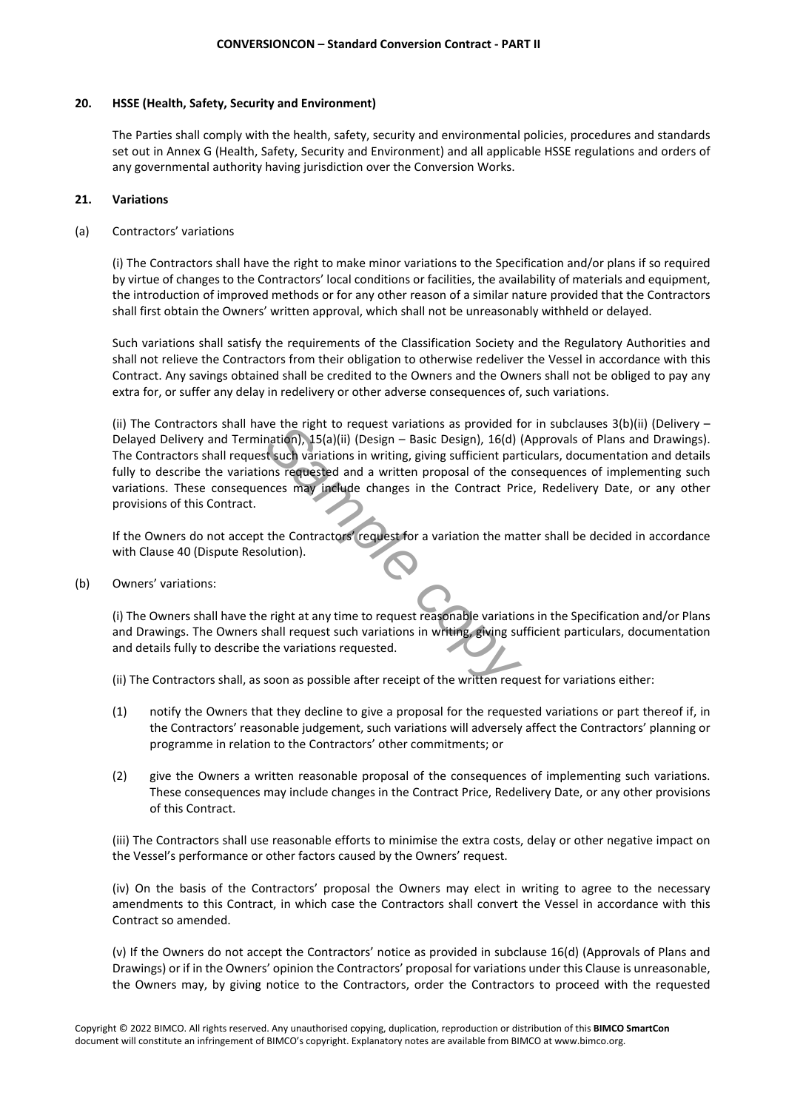# **20. HSSE (Health, Safety, Security and Environment)**

The Parties shall comply with the health, safety, security and environmental policies, procedures and standards set out in Annex G (Health, Safety, Security and Environment) and all applicable HSSE regulations and orders of any governmental authority having jurisdiction over the Conversion Works.

# **21. Variations**

# (a) Contractors' variations

(i) The Contractors shall have the right to make minor variations to the Specification and/or plans if so required by virtue of changes to the Contractors' local conditions or facilities, the availability of materials and equipment, the introduction of improved methods or for any other reason of a similar nature provided that the Contractors shall first obtain the Owners' written approval, which shall not be unreasonably withheld or delayed.

Such variations shall satisfy the requirements of the Classification Society and the Regulatory Authorities and shall not relieve the Contractors from their obligation to otherwise redeliver the Vessel in accordance with this Contract. Any savings obtained shall be credited to the Owners and the Owners shall not be obliged to pay any extra for, or suffer any delay in redelivery or other adverse consequences of, such variations.

*Sample in to request variations as provided to*<br> *Sample contation),* 15(a)(ii) (Design – Basic Design), 16(d) (<br> *Sample contractions in writing, giving sufficient part*<br> *Sample contracted and a written proposal of the* (ii) The Contractors shall have the right to request variations as provided for in subclauses 3(b)(ii) (Delivery – Delayed Delivery and Termination), 15(a)(ii) (Design – Basic Design), 16(d) (Approvals of Plans and Drawings). The Contractors shall request such variations in writing, giving sufficient particulars, documentation and details fully to describe the variations requested and a written proposal of the consequences of implementing such variations. These consequences may include changes in the Contract Price, Redelivery Date, or any other provisions of this Contract.

If the Owners do not accept the Contractors' request for a variation the matter shall be decided in accordance with Clause 40 (Dispute Resolution).

(b) Owners' variations:

(i) The Owners shall have the right at any time to request reasonable variations in the Specification and/or Plans and Drawings. The Owners shall request such variations in writing, giving sufficient particulars, documentation and details fully to describe the variations requested.

(ii) The Contractors shall, as soon as possible after receipt of the written request for variations either:

- (1) notify the Owners that they decline to give a proposal for the requested variations or part thereof if, in the Contractors' reasonable judgement, such variations will adversely affect the Contractors' planning or programme in relation to the Contractors' other commitments; or
- (2) give the Owners a written reasonable proposal of the consequences of implementing such variations. These consequences may include changes in the Contract Price, Redelivery Date, or any other provisions of this Contract.

(iii) The Contractors shall use reasonable efforts to minimise the extra costs, delay or other negative impact on the Vessel's performance or other factors caused by the Owners' request.

(iv) On the basis of the Contractors' proposal the Owners may elect in writing to agree to the necessary amendments to this Contract, in which case the Contractors shall convert the Vessel in accordance with this Contract so amended.

(v) If the Owners do not accept the Contractors' notice as provided in subclause 16(d) (Approvals of Plans and Drawings) or if in the Owners' opinion the Contractors' proposal for variations under this Clause is unreasonable, the Owners may, by giving notice to the Contractors, order the Contractors to proceed with the requested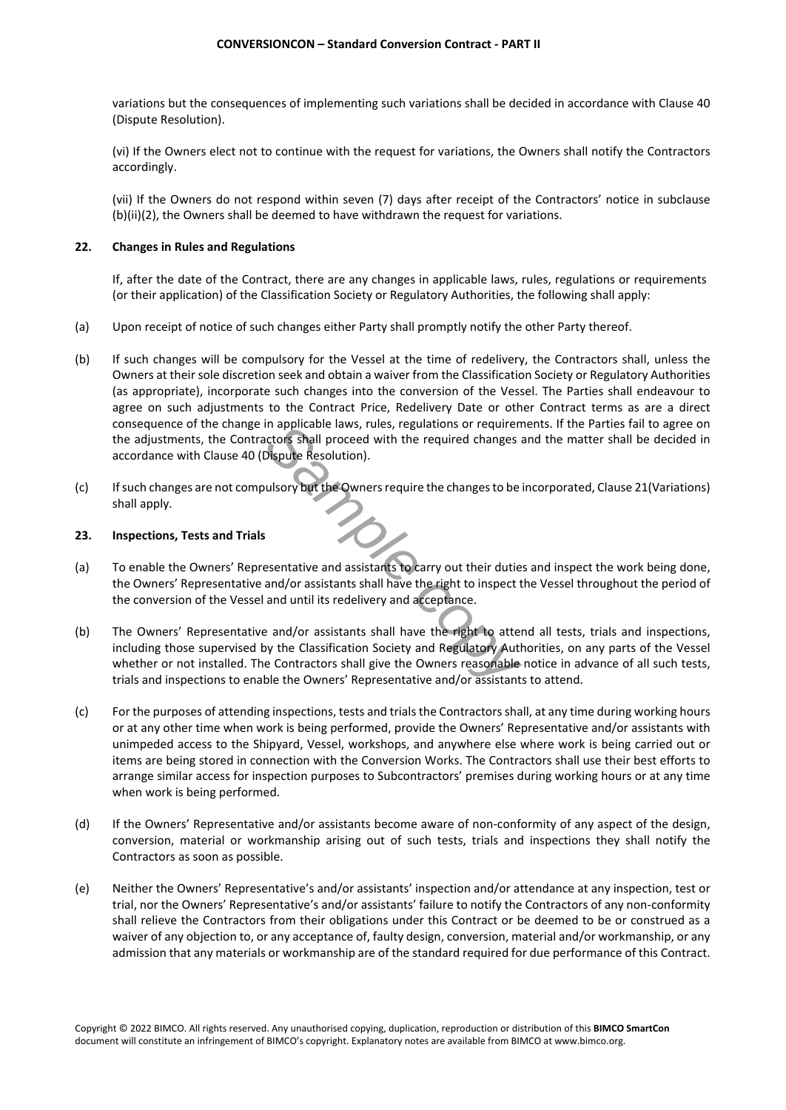variations but the consequences of implementing such variations shall be decided in accordance with Clause 40 (Dispute Resolution).

(vi) If the Owners elect not to continue with the request for variations, the Owners shall notify the Contractors accordingly.

(vii) If the Owners do not respond within seven (7) days after receipt of the Contractors' notice in subclause (b)(ii)(2), the Owners shall be deemed to have withdrawn the request for variations.

## **22. Changes in Rules and Regulations**

If, after the date of the Contract, there are any changes in applicable laws, rules, regulations or requirements (or their application) of the Classification Society or Regulatory Authorities, the following shall apply:

- (a) Upon receipt of notice of such changes either Party shall promptly notify the other Party thereof.
- (b) If such changes will be compulsory for the Vessel at the time of redelivery, the Contractors shall, unless the Owners at their sole discretion seek and obtain a waiver from the Classification Society or Regulatory Authorities (as appropriate), incorporate such changes into the conversion of the Vessel. The Parties shall endeavour to agree on such adjustments to the Contract Price, Redelivery Date or other Contract terms as are a direct consequence of the change in applicable laws, rules, regulations or requirements. If the Parties fail to agree on the adjustments, the Contractors shall proceed with the required changes and the matter shall be decided in accordance with Clause 40 (Dispute Resolution).
- (c) If such changes are not compulsory but the Owners require the changes to be incorporated, Clause 21(Variations) shall apply.

# **23. Inspections, Tests and Trials**

- (a) To enable the Owners' Representative and assistants to carry out their duties and inspect the work being done, the Owners' Representative and/or assistants shall have the right to inspect the Vessel throughout the period of the conversion of the Vessel and until its redelivery and acceptance.
- In applicable laws, rules, regulations or requirem<br>
ctors shall proceed with the required changes a<br>
Dispute Resolution).<br>
ulsory but the Owners require the changes to be is<br>
esentative and assistants to carry out their du (b) The Owners' Representative and/or assistants shall have the right to attend all tests, trials and inspections, including those supervised by the Classification Society and Regulatory Authorities, on any parts of the Vessel whether or not installed. The Contractors shall give the Owners reasonable notice in advance of all such tests, trials and inspections to enable the Owners' Representative and/or assistants to attend.
- (c) For the purposes of attending inspections, tests and trials the Contractors shall, at any time during working hours or at any other time when work is being performed, provide the Owners' Representative and/or assistants with unimpeded access to the Shipyard, Vessel, workshops, and anywhere else where work is being carried out or items are being stored in connection with the Conversion Works. The Contractors shall use their best efforts to arrange similar access for inspection purposes to Subcontractors' premises during working hours or at any time when work is being performed.
- (d) If the Owners' Representative and/or assistants become aware of non-conformity of any aspect of the design, conversion, material or workmanship arising out of such tests, trials and inspections they shall notify the Contractors as soon as possible.
- (e) Neither the Owners' Representative's and/or assistants' inspection and/or attendance at any inspection, test or trial, nor the Owners' Representative's and/or assistants' failure to notify the Contractors of any non-conformity shall relieve the Contractors from their obligations under this Contract or be deemed to be or construed as a waiver of any objection to, or any acceptance of, faulty design, conversion, material and/or workmanship, or any admission that any materials or workmanship are of the standard required for due performance of this Contract.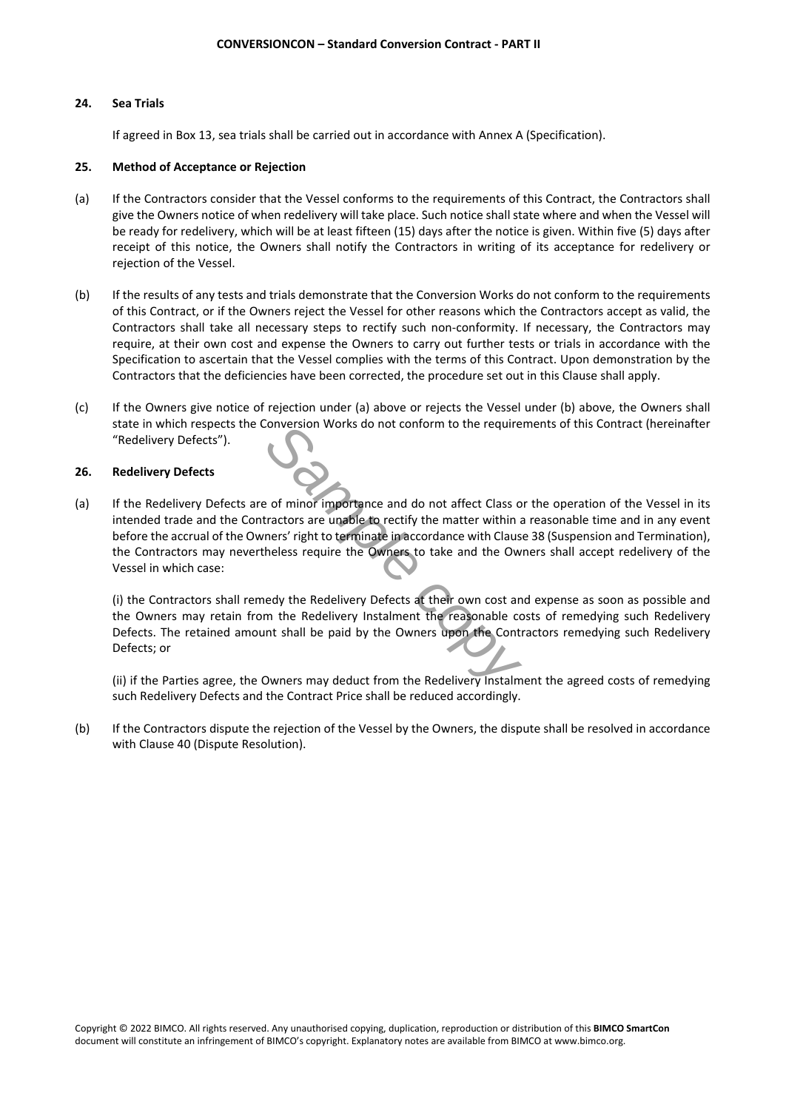# **24. Sea Trials**

If agreed in Box 13, sea trials shall be carried out in accordance with Annex A (Specification).

# **25. Method of Acceptance or Rejection**

- (a) If the Contractors consider that the Vessel conforms to the requirements of this Contract, the Contractors shall give the Owners notice of when redelivery will take place. Such notice shall state where and when the Vessel will be ready for redelivery, which will be at least fifteen (15) days after the notice is given. Within five (5) days after receipt of this notice, the Owners shall notify the Contractors in writing of its acceptance for redelivery or rejection of the Vessel.
- (b) If the results of any tests and trials demonstrate that the Conversion Works do not conform to the requirements of this Contract, or if the Owners reject the Vessel for other reasons which the Contractors accept as valid, the Contractors shall take all necessary steps to rectify such non-conformity. If necessary, the Contractors may require, at their own cost and expense the Owners to carry out further tests or trials in accordance with the Specification to ascertain that the Vessel complies with the terms of this Contract. Upon demonstration by the Contractors that the deficiencies have been corrected, the procedure set out in this Clause shall apply.
- (c) If the Owners give notice of rejection under (a) above or rejects the Vessel under (b) above, the Owners shall state in which respects the Conversion Works do not conform to the requirements of this Contract (hereinafter "Redelivery Defects").

# **26. Redelivery Defects**

Franchieve and do not affect Class of<br> **Sample continue continue continue of the Class of the Class of tractors**<br> **Sample continue continue in accordance with Clause**<br> **Sample computer is also dependent of the Contract Pri** (a) If the Redelivery Defects are of minor importance and do not affect Class or the operation of the Vessel in its intended trade and the Contractors are unable to rectify the matter within a reasonable time and in any event before the accrual of the Owners' right to terminate in accordance with Clause 38 (Suspension and Termination), the Contractors may nevertheless require the Owners to take and the Owners shall accept redelivery of the Vessel in which case:

(i) the Contractors shall remedy the Redelivery Defects at their own cost and expense as soon as possible and the Owners may retain from the Redelivery Instalment the reasonable costs of remedying such Redelivery Defects. The retained amount shall be paid by the Owners upon the Contractors remedying such Redelivery Defects; or

(ii) if the Parties agree, the Owners may deduct from the Redelivery Instalment the agreed costs of remedying such Redelivery Defects and the Contract Price shall be reduced accordingly.

(b) If the Contractors dispute the rejection of the Vessel by the Owners, the dispute shall be resolved in accordance with Clause 40 (Dispute Resolution).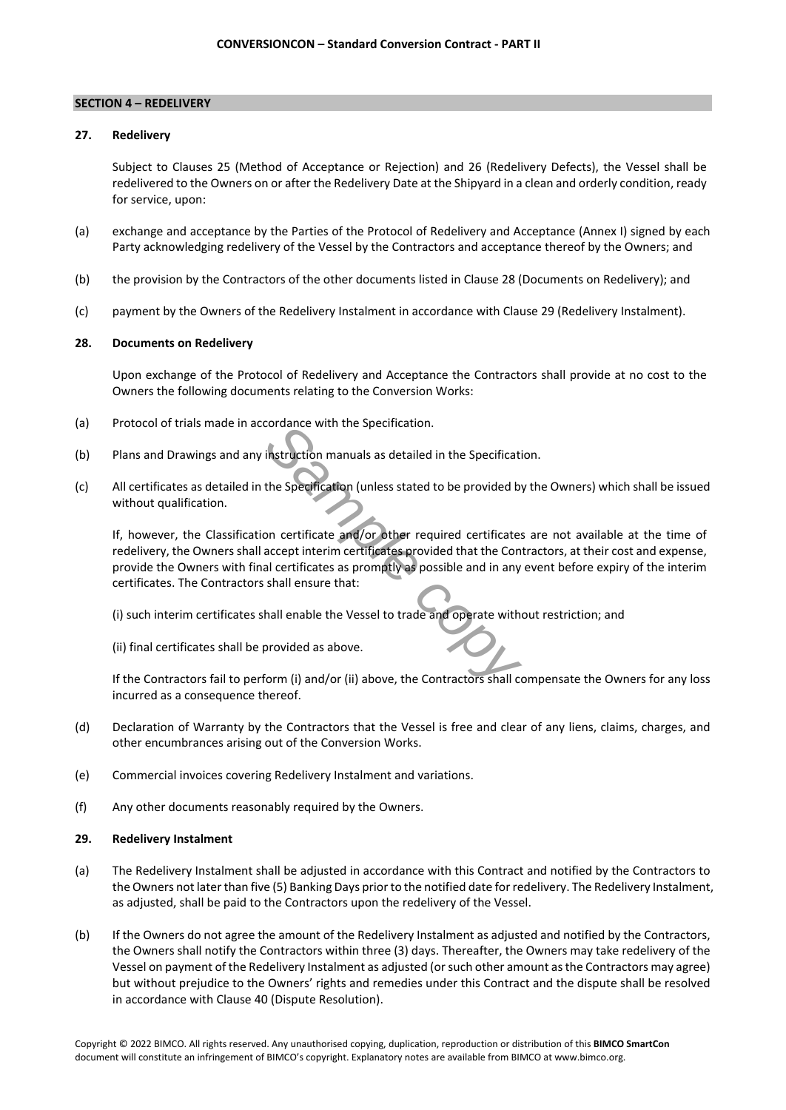## **SECTION 4 – REDELIVERY**

# **27. Redelivery**

Subject to Clauses 25 (Method of Acceptance or Rejection) and 26 (Redelivery Defects), the Vessel shall be redelivered to the Owners on or after the Redelivery Date at the Shipyard in a clean and orderly condition, ready for service, upon:

- (a) exchange and acceptance by the Parties of the Protocol of Redelivery and Acceptance (Annex I) signed by each Party acknowledging redelivery of the Vessel by the Contractors and acceptance thereof by the Owners; and
- (b) the provision by the Contractors of the other documents listed in Clause 28 (Documents on Redelivery); and
- (c) payment by the Owners of the Redelivery Instalment in accordance with Clause 29 (Redelivery Instalment).

# **28. Documents on Redelivery**

Upon exchange of the Protocol of Redelivery and Acceptance the Contractors shall provide at no cost to the Owners the following documents relating to the Conversion Works:

- (a) Protocol of trials made in accordance with the Specification.
- (b) Plans and Drawings and any instruction manuals as detailed in the Specification.
- (c) All certificates as detailed in the Specification (unless stated to be provided by the Owners) which shall be issued without qualification.

**Example 2011** Instruction manuals as detailed in the Specification.<br>
Instruction manuals as detailed in the Specification<br>
the Specification (unless stated to be provided by<br>
Don certificates and/or other required certifi If, however, the Classification certificate and/or other required certificates are not available at the time of redelivery, the Owners shall accept interim certificates provided that the Contractors, at their cost and expense, provide the Owners with final certificates as promptly as possible and in any event before expiry of the interim certificates. The Contractors shall ensure that:

(i) such interim certificates shall enable the Vessel to trade and operate without restriction; and

(ii) final certificates shall be provided as above.

If the Contractors fail to perform (i) and/or (ii) above, the Contractors shall compensate the Owners for any loss incurred as a consequence thereof.

- (d) Declaration of Warranty by the Contractors that the Vessel is free and clear of any liens, claims, charges, and other encumbrances arising out of the Conversion Works.
- (e) Commercial invoices covering Redelivery Instalment and variations.
- (f) Any other documents reasonably required by the Owners.

# **29. Redelivery Instalment**

- (a) The Redelivery Instalment shall be adjusted in accordance with this Contract and notified by the Contractors to the Owners not later than five (5) Banking Days prior to the notified date for redelivery. The Redelivery Instalment, as adjusted, shall be paid to the Contractors upon the redelivery of the Vessel.
- (b) If the Owners do not agree the amount of the Redelivery Instalment as adjusted and notified by the Contractors, the Owners shall notify the Contractors within three (3) days. Thereafter, the Owners may take redelivery of the Vessel on payment of the Redelivery Instalment as adjusted (or such other amount as the Contractors may agree) but without prejudice to the Owners' rights and remedies under this Contract and the dispute shall be resolved in accordance with Clause 40 (Dispute Resolution).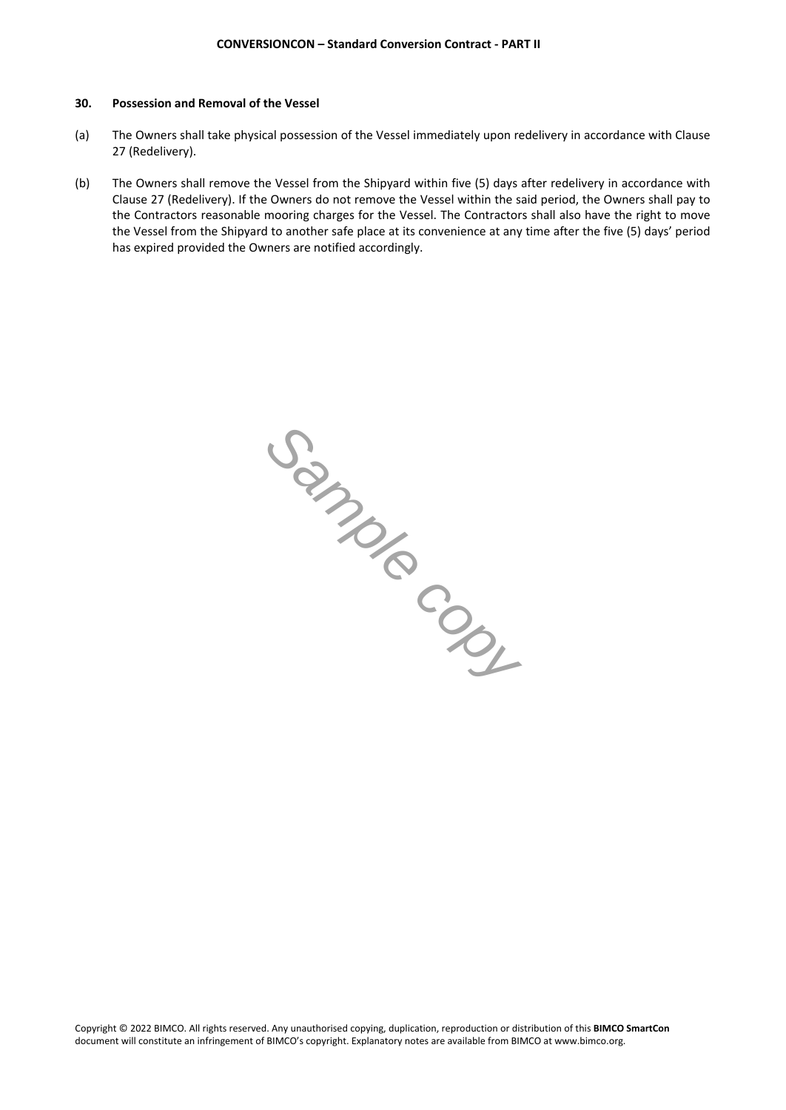#### **30. Possession and Removal of the Vessel**

- (a) The Owners shall take physical possession of the Vessel immediately upon redelivery in accordance with Clause 27 (Redelivery).
- (b) The Owners shall remove the Vessel from the Shipyard within five (5) days after redelivery in accordance with Clause 27 (Redelivery). If the Owners do not remove the Vessel within the said period, the Owners shall pay to the Contractors reasonable mooring charges for the Vessel. The Contractors shall also have the right to move the Vessel from the Shipyard to another safe place at its convenience at any time after the five (5) days' period has expired provided the Owners are notified accordingly.

*Sample copy*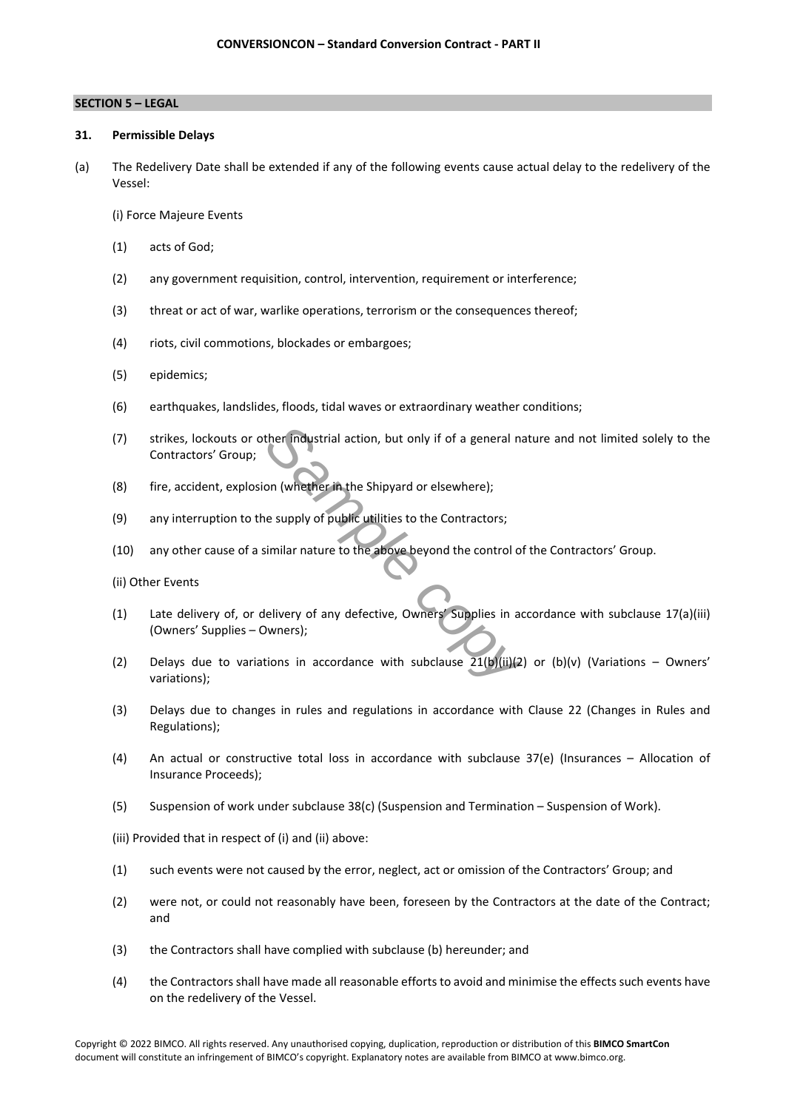# **SECTION 5 – LEGAL**

#### **31. Permissible Delays**

(a) The Redelivery Date shall be extended if any of the following events cause actual delay to the redelivery of the Vessel:

(i) Force Majeure Events

- (1) acts of God;
- (2) any government requisition, control, intervention, requirement or interference;
- (3) threat or act of war, warlike operations, terrorism or the consequences thereof;
- (4) riots, civil commotions, blockades or embargoes;
- (5) epidemics;
- (6) earthquakes, landslides, floods, tidal waves or extraordinary weather conditions;
- (7) strikes, lockouts or other industrial action, but only if of a general nature and not limited solely to the Contractors' Group;
- (8) fire, accident, explosion (whether in the Shipyard or elsewhere);
- (9) any interruption to the supply of public utilities to the Contractors;
- (10) any other cause of a similar nature to the above beyond the control of the Contractors' Group.

(ii) Other Events

- (1) Late delivery of, or delivery of any defective, Owners' Supplies in accordance with subclause 17(a)(iii) (Owners' Supplies – Owners);
- ther **industrial** action, but only if of a general nature in the Shipyard or elsewhere);<br>
a supply of public utilities to the Contractors;<br>
similar nature to the above beyond the control of<br>
elivery of any defective, Owner (2) Delays due to variations in accordance with subclause  $21(b)(ii)(2)$  or (b)(v) (Variations – Owners' variations);
- (3) Delays due to changes in rules and regulations in accordance with Clause 22 (Changes in Rules and Regulations);
- (4) An actual or constructive total loss in accordance with subclause 37(e) (Insurances Allocation of Insurance Proceeds);
- (5) Suspension of work under subclause 38(c) (Suspension and Termination Suspension of Work).

(iii) Provided that in respect of (i) and (ii) above:

- (1) such events were not caused by the error, neglect, act or omission of the Contractors' Group; and
- (2) were not, or could not reasonably have been, foreseen by the Contractors at the date of the Contract; and
- (3) the Contractors shall have complied with subclause (b) hereunder; and
- (4) the Contractors shall have made all reasonable efforts to avoid and minimise the effects such events have on the redelivery of the Vessel.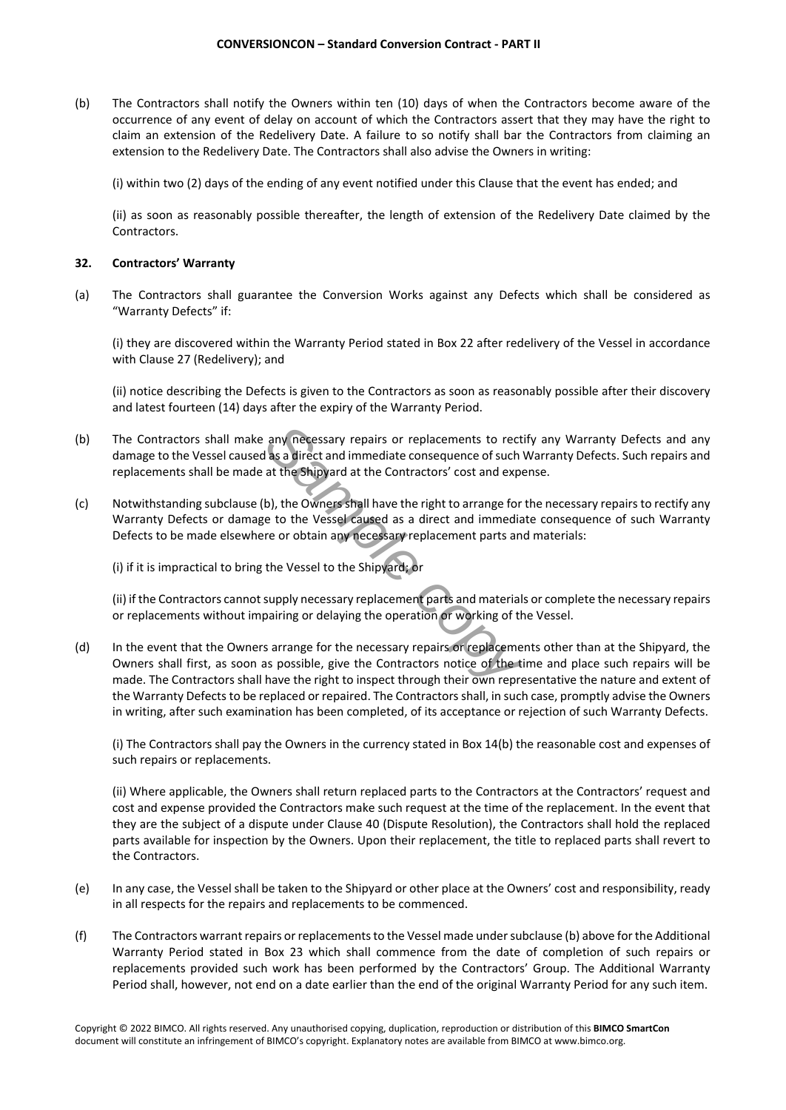(b) The Contractors shall notify the Owners within ten (10) days of when the Contractors become aware of the occurrence of any event of delay on account of which the Contractors assert that they may have the right to claim an extension of the Redelivery Date. A failure to so notify shall bar the Contractors from claiming an extension to the Redelivery Date. The Contractors shall also advise the Owners in writing:

(i) within two (2) days of the ending of any event notified under this Clause that the event has ended; and

(ii) as soon as reasonably possible thereafter, the length of extension of the Redelivery Date claimed by the Contractors.

# **32. Contractors' Warranty**

(a) The Contractors shall guarantee the Conversion Works against any Defects which shall be considered as "Warranty Defects" if:

(i) they are discovered within the Warranty Period stated in Box 22 after redelivery of the Vessel in accordance with Clause 27 (Redelivery); and

(ii) notice describing the Defects is given to the Contractors as soon as reasonably possible after their discovery and latest fourteen (14) days after the expiry of the Warranty Period.

- (b) The Contractors shall make any necessary repairs or replacements to rectify any Warranty Defects and any damage to the Vessel caused as a direct and immediate consequence of such Warranty Defects. Such repairs and replacements shall be made at the Shipyard at the Contractors' cost and expense.
- (c) Notwithstanding subclause (b), the Owners shall have the right to arrange for the necessary repairs to rectify any Warranty Defects or damage to the Vessel caused as a direct and immediate consequence of such Warranty Defects to be made elsewhere or obtain any necessary replacement parts and materials:

(i) if it is impractical to bring the Vessel to the Shipyard; or

(ii) if the Contractors cannot supply necessary replacement parts and materials or complete the necessary repairs or replacements without impairing or delaying the operation or working of the Vessel.

any necessary repairs or replacements to rect<br>as a direct and immediate consequence of such<br>at the Shipyard at the Contractors' cost and expe<br>b), the Owners shall have the right to arrange for<br>e to the Vessel caused as a d (d) In the event that the Owners arrange for the necessary repairs or replacements other than at the Shipyard, the Owners shall first, as soon as possible, give the Contractors notice of the time and place such repairs will be made. The Contractors shall have the right to inspect through their own representative the nature and extent of the Warranty Defects to be replaced or repaired. The Contractors shall, in such case, promptly advise the Owners in writing, after such examination has been completed, of its acceptance or rejection of such Warranty Defects.

(i) The Contractors shall pay the Owners in the currency stated in Box 14(b) the reasonable cost and expenses of such repairs or replacements.

(ii) Where applicable, the Owners shall return replaced parts to the Contractors at the Contractors' request and cost and expense provided the Contractors make such request at the time of the replacement. In the event that they are the subject of a dispute under Clause 40 (Dispute Resolution), the Contractors shall hold the replaced parts available for inspection by the Owners. Upon their replacement, the title to replaced parts shall revert to the Contractors.

- (e) In any case, the Vessel shall be taken to the Shipyard or other place at the Owners' cost and responsibility, ready in all respects for the repairs and replacements to be commenced.
- (f) The Contractors warrant repairs or replacements to the Vessel made under subclause (b) above for the Additional Warranty Period stated in Box 23 which shall commence from the date of completion of such repairs or replacements provided such work has been performed by the Contractors' Group. The Additional Warranty Period shall, however, not end on a date earlier than the end of the original Warranty Period for any such item.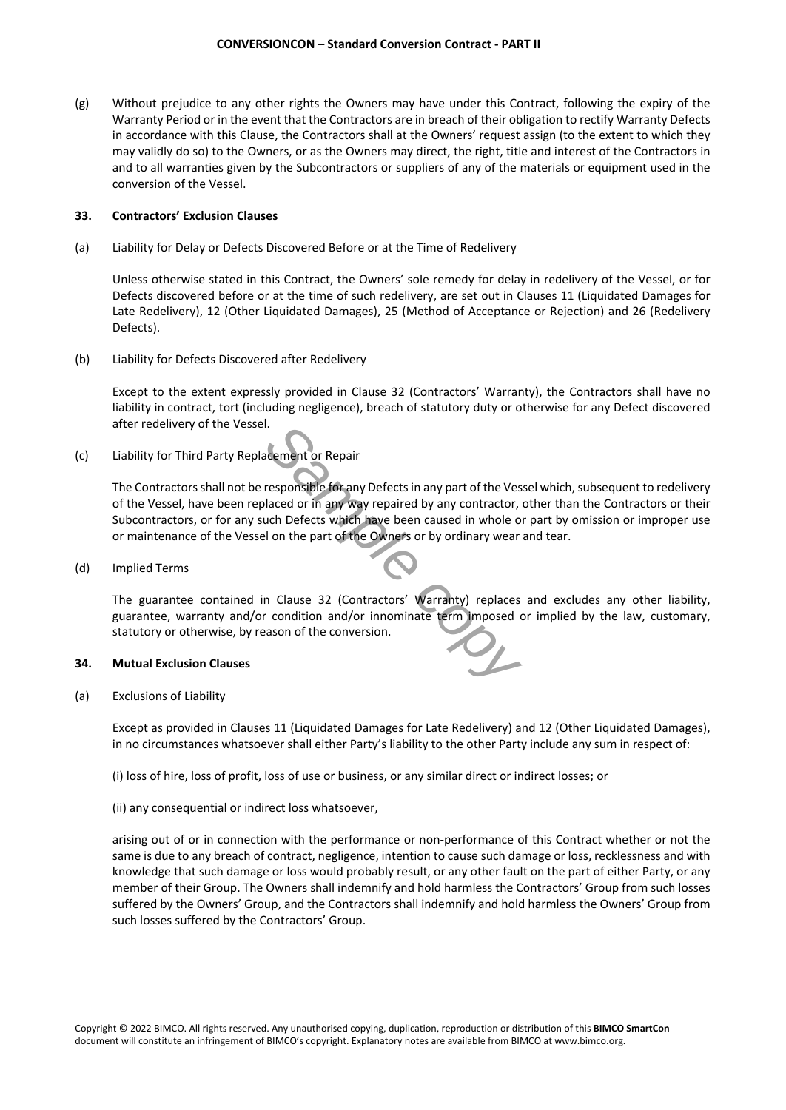(g) Without prejudice to any other rights the Owners may have under this Contract, following the expiry of the Warranty Period or in the event that the Contractors are in breach of their obligation to rectify Warranty Defects in accordance with this Clause, the Contractors shall at the Owners' request assign (to the extent to which they may validly do so) to the Owners, or as the Owners may direct, the right, title and interest of the Contractors in and to all warranties given by the Subcontractors or suppliers of any of the materials or equipment used in the conversion of the Vessel.

# **33. Contractors' Exclusion Clauses**

(a) Liability for Delay or Defects Discovered Before or at the Time of Redelivery

Unless otherwise stated in this Contract, the Owners' sole remedy for delay in redelivery of the Vessel, or for Defects discovered before or at the time of such redelivery, are set out in Clauses 11 (Liquidated Damages for Late Redelivery), 12 (Other Liquidated Damages), 25 (Method of Acceptance or Rejection) and 26 (Redelivery Defects).

(b) Liability for Defects Discovered after Redelivery

Except to the extent expressly provided in Clause 32 (Contractors' Warranty), the Contractors shall have no liability in contract, tort (including negligence), breach of statutory duty or otherwise for any Defect discovered after redelivery of the Vessel.

(c) Liability for Third Party Replacement or Repair

**Example 18 All the Venument or Repair**<br> **Sample for any Defects in any part of the Vessulaced or in any way repaired by any contractor, <br>
uch Defects which have been caused in whole or<br>
I on the part of the Owners or by o** The Contractors shall not be responsible for any Defects in any part of the Vessel which, subsequent to redelivery of the Vessel, have been replaced or in any way repaired by any contractor, other than the Contractors or their Subcontractors, or for any such Defects which have been caused in whole or part by omission or improper use or maintenance of the Vessel on the part of the Owners or by ordinary wear and tear.

(d) Implied Terms

The guarantee contained in Clause 32 (Contractors' Warranty) replaces and excludes any other liability, guarantee, warranty and/or condition and/or innominate term imposed or implied by the law, customary, statutory or otherwise, by reason of the conversion.

# **34. Mutual Exclusion Clauses**

(a) Exclusions of Liability

Except as provided in Clauses 11 (Liquidated Damages for Late Redelivery) and 12 (Other Liquidated Damages), in no circumstances whatsoever shall either Party's liability to the other Party include any sum in respect of:

- (i) loss of hire, loss of profit, loss of use or business, or any similar direct or indirect losses; or
- (ii) any consequential or indirect loss whatsoever,

arising out of or in connection with the performance or non-performance of this Contract whether or not the same is due to any breach of contract, negligence, intention to cause such damage or loss, recklessness and with knowledge that such damage or loss would probably result, or any other fault on the part of either Party, or any member of their Group. The Owners shall indemnify and hold harmless the Contractors' Group from such losses suffered by the Owners' Group, and the Contractors shall indemnify and hold harmless the Owners' Group from such losses suffered by the Contractors' Group.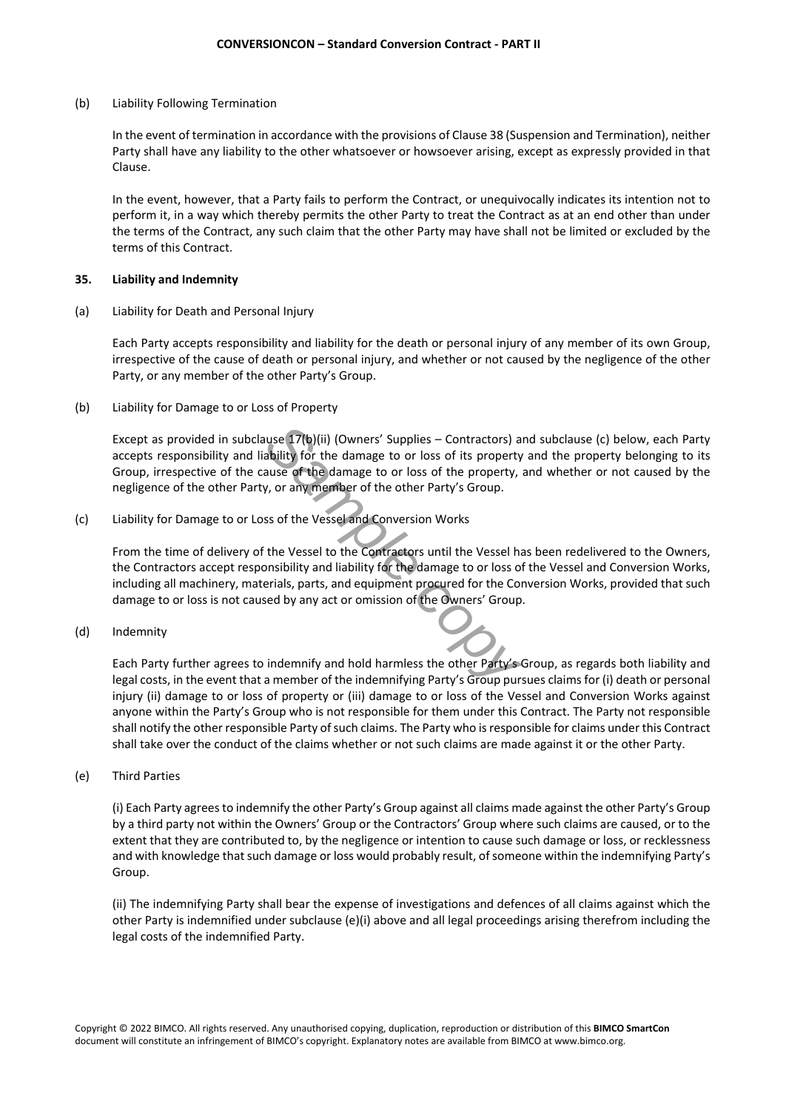(b) Liability Following Termination

In the event of termination in accordance with the provisions of Clause 38 (Suspension and Termination), neither Party shall have any liability to the other whatsoever or howsoever arising, except as expressly provided in that Clause.

In the event, however, that a Party fails to perform the Contract, or unequivocally indicates its intention not to perform it, in a way which thereby permits the other Party to treat the Contract as at an end other than under the terms of the Contract, any such claim that the other Party may have shall not be limited or excluded by the terms of this Contract.

#### **35. Liability and Indemnity**

(a) Liability for Death and Personal Injury

Each Party accepts responsibility and liability for the death or personal injury of any member of its own Group, irrespective of the cause of death or personal injury, and whether or not caused by the negligence of the other Party, or any member of the other Party's Group.

(b) Liability for Damage to or Loss of Property

**Sample Contractors**) and a bility for the damage to or loss of its property ause of the damage to or loss of the property, if y, or any member of the other Party's Group.<br>
Sample contractors of the property, if y, or any Except as provided in subclause 17(b)(ii) (Owners' Supplies – Contractors) and subclause (c) below, each Party accepts responsibility and liability for the damage to or loss of its property and the property belonging to its Group, irrespective of the cause of the damage to or loss of the property, and whether or not caused by the negligence of the other Party, or any member of the other Party's Group.

(c) Liability for Damage to or Loss of the Vessel and Conversion Works

From the time of delivery of the Vessel to the Contractors until the Vessel has been redelivered to the Owners, the Contractors accept responsibility and liability for the damage to or loss of the Vessel and Conversion Works, including all machinery, materials, parts, and equipment procured for the Conversion Works, provided that such damage to or loss is not caused by any act or omission of the Owners' Group.

(d) Indemnity

Each Party further agrees to indemnify and hold harmless the other Party's Group, as regards both liability and legal costs, in the event that a member of the indemnifying Party's Group pursues claims for (i) death or personal injury (ii) damage to or loss of property or (iii) damage to or loss of the Vessel and Conversion Works against anyone within the Party's Group who is not responsible for them under this Contract. The Party not responsible shall notify the other responsible Party of such claims. The Party who is responsible for claims under this Contract shall take over the conduct of the claims whether or not such claims are made against it or the other Party.

(e) Third Parties

(i) Each Party agrees to indemnify the other Party's Group against all claims made against the other Party's Group by a third party not within the Owners' Group or the Contractors' Group where such claims are caused, or to the extent that they are contributed to, by the negligence or intention to cause such damage or loss, or recklessness and with knowledge that such damage or loss would probably result, of someone within the indemnifying Party's Group.

(ii) The indemnifying Party shall bear the expense of investigations and defences of all claims against which the other Party is indemnified under subclause (e)(i) above and all legal proceedings arising therefrom including the legal costs of the indemnified Party.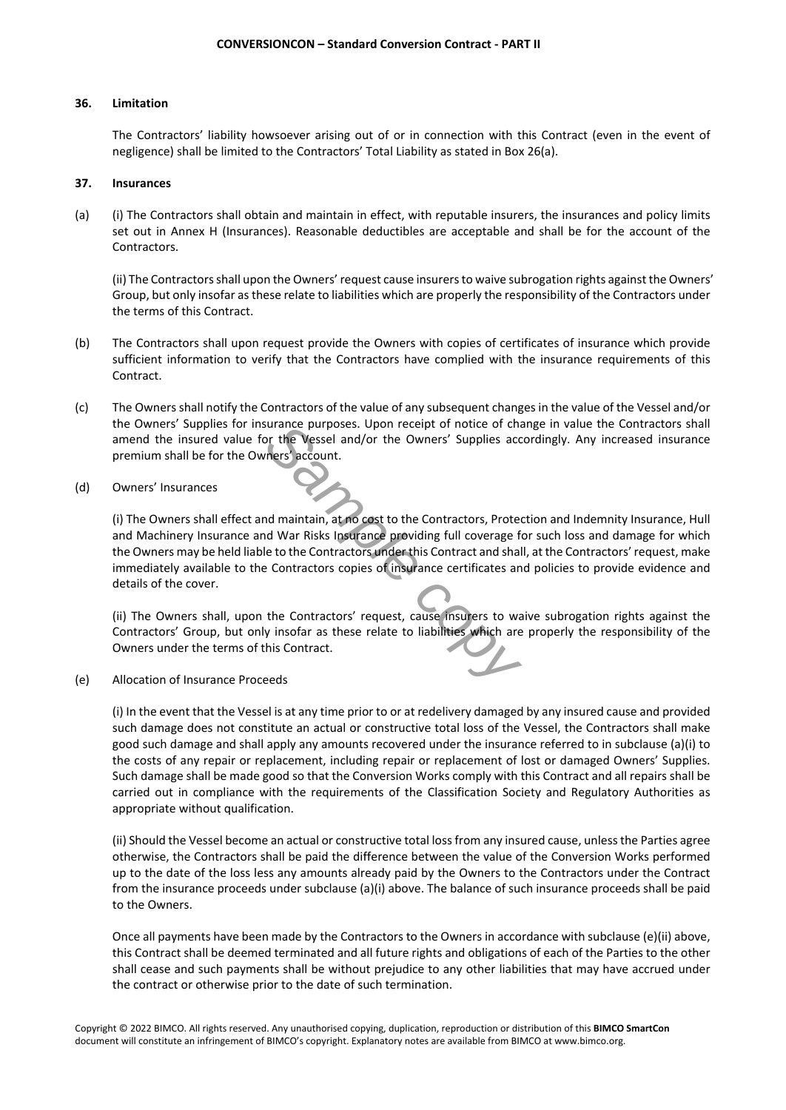# **36. Limitation**

The Contractors' liability howsoever arising out of or in connection with this Contract (even in the event of negligence) shall be limited to the Contractors' Total Liability as stated in Box 26(a).

# **37. Insurances**

(a) (i) The Contractors shall obtain and maintain in effect, with reputable insurers, the insurances and policy limits set out in Annex H (Insurances). Reasonable deductibles are acceptable and shall be for the account of the Contractors.

(ii) The Contractors shall upon the Owners' request cause insurers to waive subrogation rights against the Owners' Group, but only insofar as these relate to liabilities which are properly the responsibility of the Contractors under the terms of this Contract.

- (b) The Contractors shall upon request provide the Owners with copies of certificates of insurance which provide sufficient information to verify that the Contractors have complied with the insurance requirements of this Contract.
- (c) The Owners shall notify the Contractors of the value of any subsequent changes in the value of the Vessel and/or the Owners' Supplies for insurance purposes. Upon receipt of notice of change in value the Contractors shall amend the insured value for the Vessel and/or the Owners' Supplies accordingly. Any increased insurance premium shall be for the Owners' account.
- (d) Owners' Insurances

*Sample purposes.* Upon recept or notice or characters' account.<br>
The Vessel and/or the Owners' Supplies accounts' account.<br>
And maintain, at no cost to the Contractors, Protector<br>
And War Risks Insurance providing full co (i) The Owners shall effect and maintain, at no cost to the Contractors, Protection and Indemnity Insurance, Hull and Machinery Insurance and War Risks Insurance providing full coverage for such loss and damage for which the Owners may be held liable to the Contractors under this Contract and shall, at the Contractors' request, make immediately available to the Contractors copies of insurance certificates and policies to provide evidence and details of the cover.

(ii) The Owners shall, upon the Contractors' request, cause insurers to waive subrogation rights against the Contractors' Group, but only insofar as these relate to liabilities which are properly the responsibility of the Owners under the terms of this Contract.

(e) Allocation of Insurance Proceeds

(i) In the event that the Vessel is at any time prior to or at redelivery damaged by any insured cause and provided such damage does not constitute an actual or constructive total loss of the Vessel, the Contractors shall make good such damage and shall apply any amounts recovered under the insurance referred to in subclause (a)(i) to the costs of any repair or replacement, including repair or replacement of lost or damaged Owners' Supplies. Such damage shall be made good so that the Conversion Works comply with this Contract and all repairs shall be carried out in compliance with the requirements of the Classification Society and Regulatory Authorities as appropriate without qualification.

(ii) Should the Vessel become an actual or constructive total loss from any insured cause, unless the Parties agree otherwise, the Contractors shall be paid the difference between the value of the Conversion Works performed up to the date of the loss less any amounts already paid by the Owners to the Contractors under the Contract from the insurance proceeds under subclause (a)(i) above. The balance of such insurance proceeds shall be paid to the Owners.

Once all payments have been made by the Contractors to the Owners in accordance with subclause (e)(ii) above, this Contract shall be deemed terminated and all future rights and obligations of each of the Parties to the other shall cease and such payments shall be without prejudice to any other liabilities that may have accrued under the contract or otherwise prior to the date of such termination.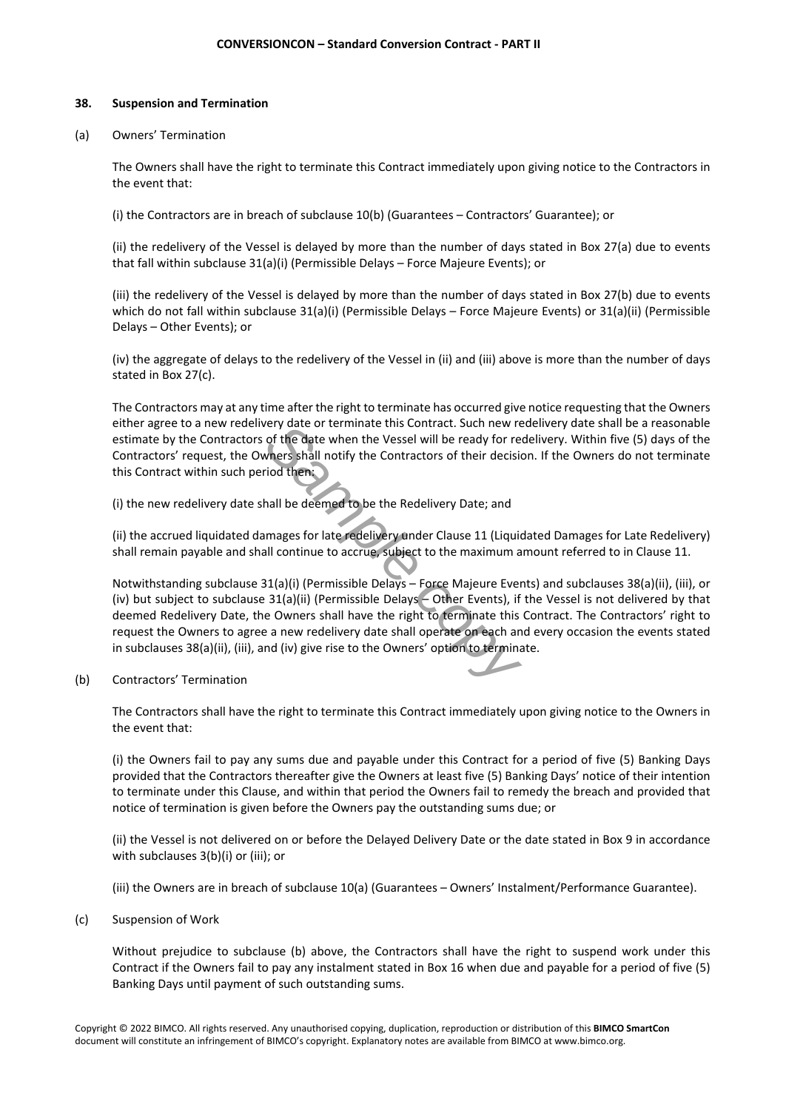# **38. Suspension and Termination**

(a) Owners' Termination

The Owners shall have the right to terminate this Contract immediately upon giving notice to the Contractors in the event that:

(i) the Contractors are in breach of subclause 10(b) (Guarantees – Contractors' Guarantee); or

(ii) the redelivery of the Vessel is delayed by more than the number of days stated in Box 27(a) due to events that fall within subclause 31(a)(i) (Permissible Delays – Force Majeure Events); or

(iii) the redelivery of the Vessel is delayed by more than the number of days stated in Box 27(b) due to events which do not fall within subclause 31(a)(i) (Permissible Delays – Force Majeure Events) or 31(a)(ii) (Permissible Delays – Other Events); or

(iv) the aggregate of delays to the redelivery of the Vessel in (ii) and (iii) above is more than the number of days stated in Box 27(c).

The Contractors may at any time after the right to terminate has occurred give notice requesting that the Owners either agree to a new redelivery date or terminate this Contract. Such new redelivery date shall be a reasonable estimate by the Contractors of the date when the Vessel will be ready for redelivery. Within five (5) days of the Contractors' request, the Owners shall notify the Contractors of their decision. If the Owners do not terminate this Contract within such period then:

(i) the new redelivery date shall be deemed to be the Redelivery Date; and

(ii) the accrued liquidated damages for late redelivery under Clause 11 (Liquidated Damages for Late Redelivery) shall remain payable and shall continue to accrue, subject to the maximum amount referred to in Clause 11.

*Sample of terminate this contract. Such new ref* of the date when the Vessel will be ready for red when the Vessel will be ready for red when:<br>
Sample ready for reduces to their decision of their decision of their contrac Notwithstanding subclause 31(a)(i) (Permissible Delays – Force Majeure Events) and subclauses 38(a)(ii), (iii), or (iv) but subject to subclause 31(a)(ii) (Permissible Delays – Other Events), if the Vessel is not delivered by that deemed Redelivery Date, the Owners shall have the right to terminate this Contract. The Contractors' right to request the Owners to agree a new redelivery date shall operate on each and every occasion the events stated in subclauses 38(a)(ii), (iii), and (iv) give rise to the Owners' option to terminate.

(b) Contractors' Termination

The Contractors shall have the right to terminate this Contract immediately upon giving notice to the Owners in the event that:

(i) the Owners fail to pay any sums due and payable under this Contract for a period of five (5) Banking Days provided that the Contractors thereafter give the Owners at least five (5) Banking Days' notice of their intention to terminate under this Clause, and within that period the Owners fail to remedy the breach and provided that notice of termination is given before the Owners pay the outstanding sums due; or

(ii) the Vessel is not delivered on or before the Delayed Delivery Date or the date stated in Box 9 in accordance with subclauses 3(b)(i) or (iii); or

(iii) the Owners are in breach of subclause 10(a) (Guarantees – Owners' Instalment/Performance Guarantee).

(c) Suspension of Work

Without prejudice to subclause (b) above, the Contractors shall have the right to suspend work under this Contract if the Owners fail to pay any instalment stated in Box 16 when due and payable for a period of five (5) Banking Days until payment of such outstanding sums.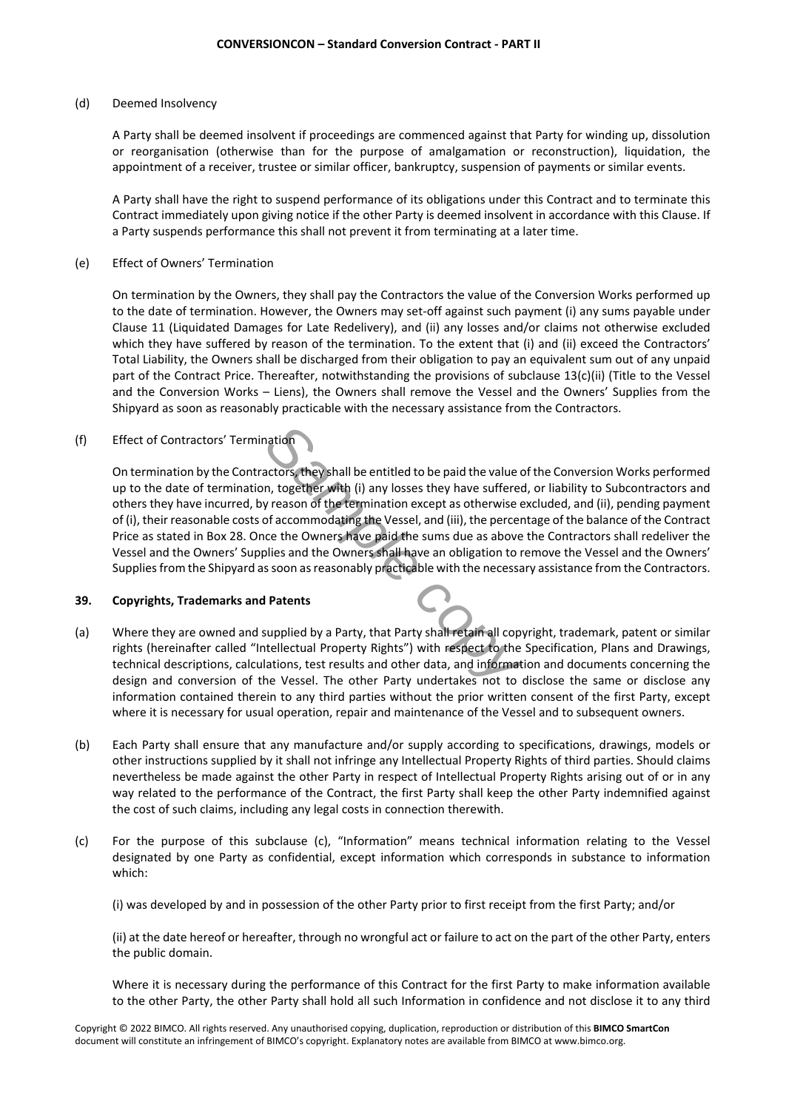## (d) Deemed Insolvency

A Party shall be deemed insolvent if proceedings are commenced against that Party for winding up, dissolution or reorganisation (otherwise than for the purpose of amalgamation or reconstruction), liquidation, the appointment of a receiver, trustee or similar officer, bankruptcy, suspension of payments or similar events.

A Party shall have the right to suspend performance of its obligations under this Contract and to terminate this Contract immediately upon giving notice if the other Party is deemed insolvent in accordance with this Clause. If a Party suspends performance this shall not prevent it from terminating at a later time.

(e) Effect of Owners' Termination

On termination by the Owners, they shall pay the Contractors the value of the Conversion Works performed up to the date of termination. However, the Owners may set-off against such payment (i) any sums payable under Clause 11 (Liquidated Damages for Late Redelivery), and (ii) any losses and/or claims not otherwise excluded which they have suffered by reason of the termination. To the extent that (i) and (ii) exceed the Contractors' Total Liability, the Owners shall be discharged from their obligation to pay an equivalent sum out of any unpaid part of the Contract Price. Thereafter, notwithstanding the provisions of subclause 13(c)(ii) (Title to the Vessel and the Conversion Works – Liens), the Owners shall remove the Vessel and the Owners' Supplies from the Shipyard as soon as reasonably practicable with the necessary assistance from the Contractors.

# (f) Effect of Contractors' Termination

**Sample 19 and the symbol set of the symbol set of the value of the value of the entitled to be paid the value of accommodating the Vessel, and (iii), the percer ce the Owners have paid the sums due as above ollies and the** On termination by the Contractors, they shall be entitled to be paid the value of the Conversion Works performed up to the date of termination, together with (i) any losses they have suffered, or liability to Subcontractors and others they have incurred, by reason of the termination except as otherwise excluded, and (ii), pending payment of (i), their reasonable costs of accommodating the Vessel, and (iii), the percentage of the balance of the Contract Price as stated in Box 28. Once the Owners have paid the sums due as above the Contractors shall redeliver the Vessel and the Owners' Supplies and the Owners shall have an obligation to remove the Vessel and the Owners' Supplies from the Shipyard as soon as reasonably practicable with the necessary assistance from the Contractors.

# **39. Copyrights, Trademarks and Patents**

- (a) Where they are owned and supplied by a Party, that Party shall retain all copyright, trademark, patent or similar rights (hereinafter called "Intellectual Property Rights") with respect to the Specification, Plans and Drawings, technical descriptions, calculations, test results and other data, and information and documents concerning the design and conversion of the Vessel. The other Party undertakes not to disclose the same or disclose any information contained therein to any third parties without the prior written consent of the first Party, except where it is necessary for usual operation, repair and maintenance of the Vessel and to subsequent owners.
- (b) Each Party shall ensure that any manufacture and/or supply according to specifications, drawings, models or other instructions supplied by it shall not infringe any Intellectual Property Rights of third parties. Should claims nevertheless be made against the other Party in respect of Intellectual Property Rights arising out of or in any way related to the performance of the Contract, the first Party shall keep the other Party indemnified against the cost of such claims, including any legal costs in connection therewith.
- (c) For the purpose of this subclause (c), "Information" means technical information relating to the Vessel designated by one Party as confidential, except information which corresponds in substance to information which:

(i) was developed by and in possession of the other Party prior to first receipt from the first Party; and/or

(ii) at the date hereof or hereafter, through no wrongful act or failure to act on the part of the other Party, enters the public domain.

Where it is necessary during the performance of this Contract for the first Party to make information available to the other Party, the other Party shall hold all such Information in confidence and not disclose it to any third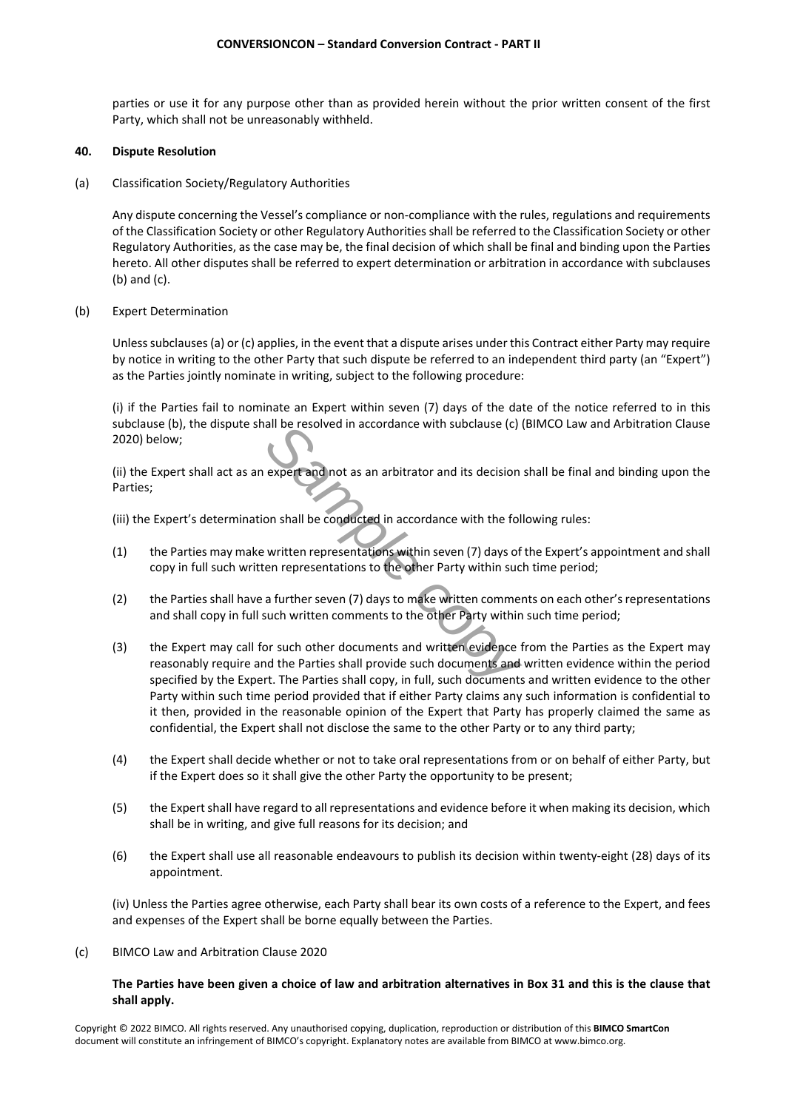parties or use it for any purpose other than as provided herein without the prior written consent of the first Party, which shall not be unreasonably withheld.

# **40. Dispute Resolution**

(a) Classification Society/Regulatory Authorities

Any dispute concerning the Vessel's compliance or non-compliance with the rules, regulations and requirements of the Classification Society or other Regulatory Authorities shall be referred to the Classification Society or other Regulatory Authorities, as the case may be, the final decision of which shall be final and binding upon the Parties hereto. All other disputes shall be referred to expert determination or arbitration in accordance with subclauses (b) and (c).

(b) Expert Determination

Unless subclauses (a) or (c) applies, in the event that a dispute arises under this Contract either Party may require by notice in writing to the other Party that such dispute be referred to an independent third party (an "Expert") as the Parties jointly nominate in writing, subject to the following procedure:

(i) if the Parties fail to nominate an Expert within seven (7) days of the date of the notice referred to in this subclause (b), the dispute shall be resolved in accordance with subclause (c) (BIMCO Law and Arbitration Clause 2020) below;

(ii) the Expert shall act as an expert and not as an arbitrator and its decision shall be final and binding upon the Parties;

(iii) the Expert's determination shall be conducted in accordance with the following rules:

- (1) the Parties may make written representations within seven (7) days of the Expert's appointment and shall copy in full such written representations to the other Party within such time period;
- (2) the Parties shall have a further seven (7) days to make written comments on each other's representations and shall copy in full such written comments to the other Party within such time period;
- **Sample Transfer and not as an arbitrator and its decision**<br>**Sample conducted in accordance with the foll**<br>**Sample conducted in accordance with the foll**<br>**Sample conducted in accordance with the foll**<br>**Sample conducted in** (3) the Expert may call for such other documents and written evidence from the Parties as the Expert may reasonably require and the Parties shall provide such documents and written evidence within the period specified by the Expert. The Parties shall copy, in full, such documents and written evidence to the other Party within such time period provided that if either Party claims any such information is confidential to it then, provided in the reasonable opinion of the Expert that Party has properly claimed the same as confidential, the Expert shall not disclose the same to the other Party or to any third party;
- (4) the Expert shall decide whether or not to take oral representations from or on behalf of either Party, but if the Expert does so it shall give the other Party the opportunity to be present;
- (5) the Expert shall have regard to all representations and evidence before it when making its decision, which shall be in writing, and give full reasons for its decision; and
- (6) the Expert shall use all reasonable endeavours to publish its decision within twenty-eight (28) days of its appointment.

(iv) Unless the Parties agree otherwise, each Party shall bear its own costs of a reference to the Expert, and fees and expenses of the Expert shall be borne equally between the Parties.

(c) BIMCO Law and Arbitration Clause 2020

# **The Parties have been given a choice of law and arbitration alternatives in Box 31 and this is the clause that shall apply.**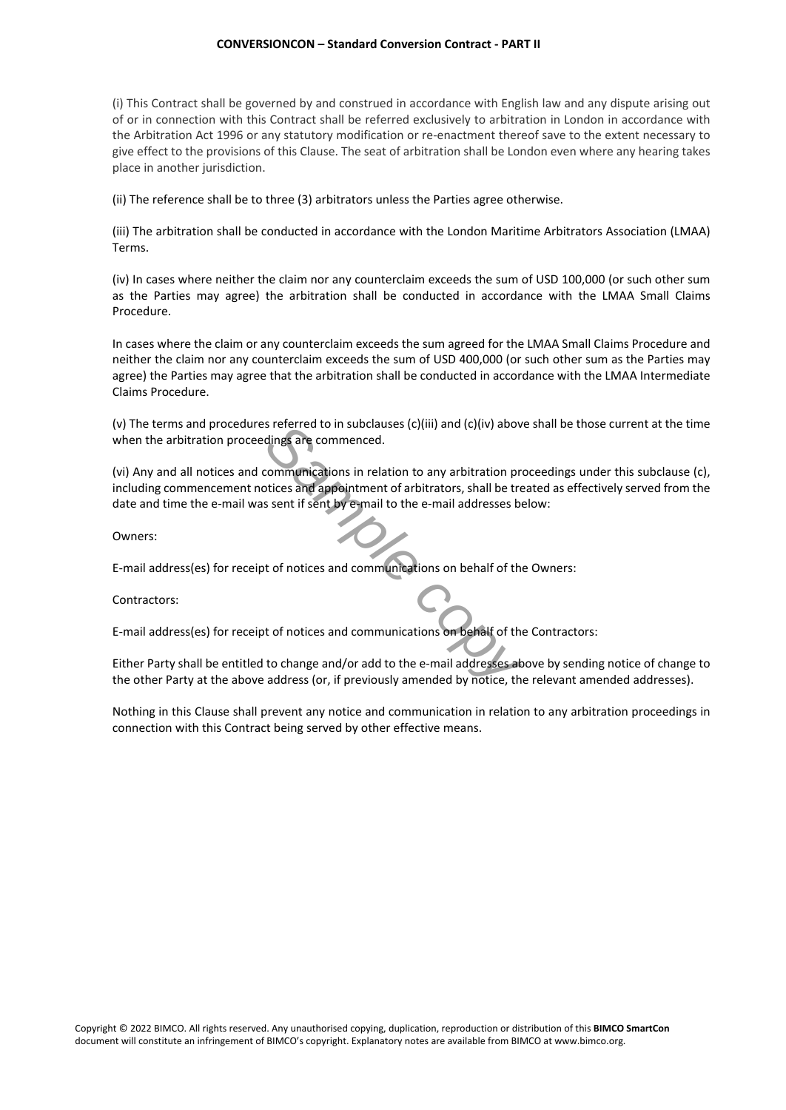## **CONVERSIONCON – Standard Conversion Contract - PART II**

(i) This Contract shall be governed by and construed in accordance with English law and any dispute arising out of or in connection with this Contract shall be referred exclusively to arbitration in London in accordance with the Arbitration Act 1996 or any statutory modification or re-enactment thereof save to the extent necessary to give effect to the provisions of this Clause. The seat of arbitration shall be London even where any hearing takes place in another jurisdiction.

(ii) The reference shall be to three (3) arbitrators unless the Parties agree otherwise.

(iii) The arbitration shall be conducted in accordance with the London Maritime Arbitrators Association (LMAA) Terms.

(iv) In cases where neither the claim nor any counterclaim exceeds the sum of USD 100,000 (or such other sum as the Parties may agree) the arbitration shall be conducted in accordance with the LMAA Small Claims Procedure.

In cases where the claim or any counterclaim exceeds the sum agreed for the LMAA Small Claims Procedure and neither the claim nor any counterclaim exceeds the sum of USD 400,000 (or such other sum as the Parties may agree) the Parties may agree that the arbitration shall be conducted in accordance with the LMAA Intermediate Claims Procedure.

(v) The terms and procedures referred to in subclauses (c)(iii) and (c)(iv) above shall be those current at the time when the arbitration proceedings are commenced.

*S* referred to in subclauses (C)(III) and (C)(IV) above<br>dings are commenced.<br>
Communications in relation to any arbitration protices and appointment of arbitrators, shall be tree<br>
Seent if sent by e-mail to the e-mail add (vi) Any and all notices and communications in relation to any arbitration proceedings under this subclause (c), including commencement notices and appointment of arbitrators, shall be treated as effectively served from the date and time the e-mail was sent if sent by e-mail to the e-mail addresses below:

Owners:

E-mail address(es) for receipt of notices and communications on behalf of the Owners:

Contractors:

E-mail address(es) for receipt of notices and communications on behalf of the Contractors:

Either Party shall be entitled to change and/or add to the e-mail addresses above by sending notice of change to the other Party at the above address (or, if previously amended by notice, the relevant amended addresses).

Nothing in this Clause shall prevent any notice and communication in relation to any arbitration proceedings in connection with this Contract being served by other effective means.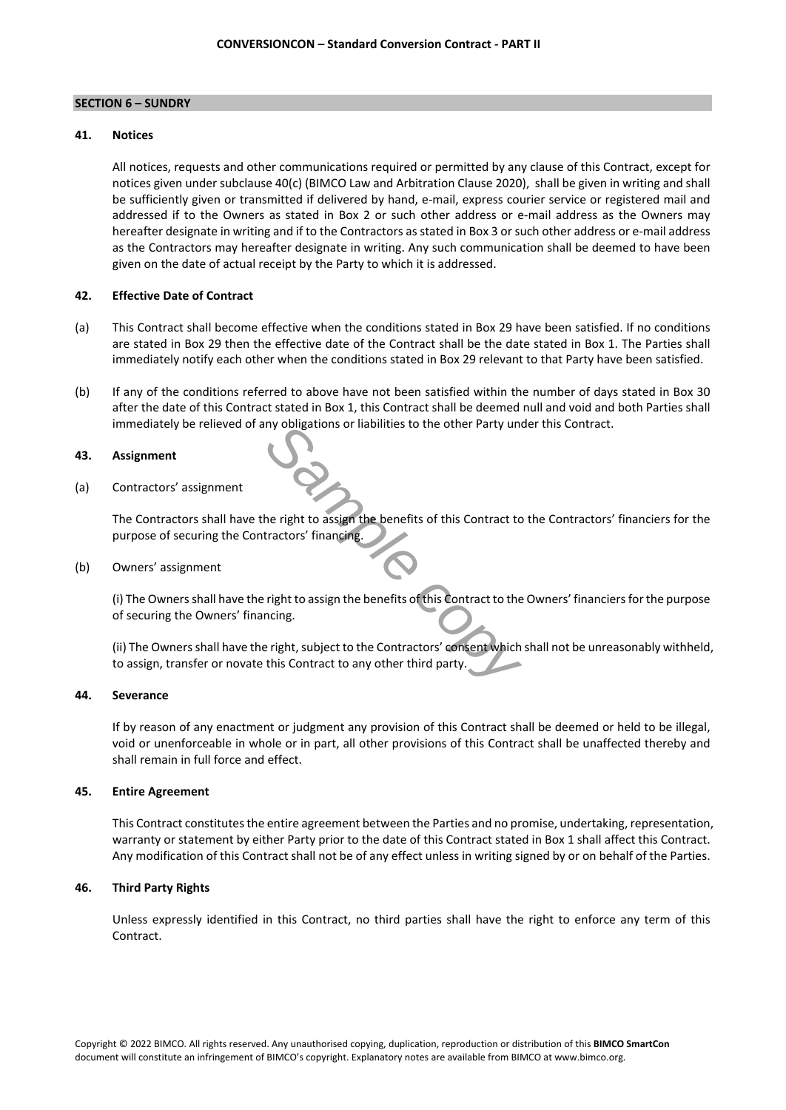## **SECTION 6 – SUNDRY**

## **41. Notices**

All notices, requests and other communications required or permitted by any clause of this Contract, except for notices given under subclause 40(c) (BIMCO Law and Arbitration Clause 2020), shall be given in writing and shall be sufficiently given or transmitted if delivered by hand, e-mail, express courier service or registered mail and addressed if to the Owners as stated in Box 2 or such other address or e-mail address as the Owners may hereafter designate in writing and if to the Contractors as stated in Box 3 or such other address or e-mail address as the Contractors may hereafter designate in writing. Any such communication shall be deemed to have been given on the date of actual receipt by the Party to which it is addressed.

# **42. Effective Date of Contract**

- (a) This Contract shall become effective when the conditions stated in Box 29 have been satisfied. If no conditions are stated in Box 29 then the effective date of the Contract shall be the date stated in Box 1. The Parties shall immediately notify each other when the conditions stated in Box 29 relevant to that Party have been satisfied.
- (b) If any of the conditions referred to above have not been satisfied within the number of days stated in Box 30 after the date of this Contract stated in Box 1, this Contract shall be deemed null and void and both Parties shall immediately be relieved of any obligations or liabilities to the other Party under this Contract.

# **43. Assignment**

(a) Contractors' assignment

**Sample control of the Sample Control of the Sample Contract to the right to assign the benefits of this Contract to the right to assign the benefits of this Contract to the right consistent which this Contract to any othe** The Contractors shall have the right to assign the benefits of this Contract to the Contractors' financiers for the purpose of securing the Contractors' financing.

# (b) Owners' assignment

(i) The Owners shall have the right to assign the benefits of this Contract to the Owners' financiers for the purpose of securing the Owners' financing.

(ii) The Owners shall have the right, subject to the Contractors' consent which shall not be unreasonably withheld, to assign, transfer or novate this Contract to any other third party.

# **44. Severance**

If by reason of any enactment or judgment any provision of this Contract shall be deemed or held to be illegal, void or unenforceable in whole or in part, all other provisions of this Contract shall be unaffected thereby and shall remain in full force and effect.

# **45. Entire Agreement**

This Contract constitutes the entire agreement between the Parties and no promise, undertaking, representation, warranty or statement by either Party prior to the date of this Contract stated in Box 1 shall affect this Contract. Any modification of this Contract shall not be of any effect unless in writing signed by or on behalf of the Parties.

# **46. Third Party Rights**

Unless expressly identified in this Contract, no third parties shall have the right to enforce any term of this Contract.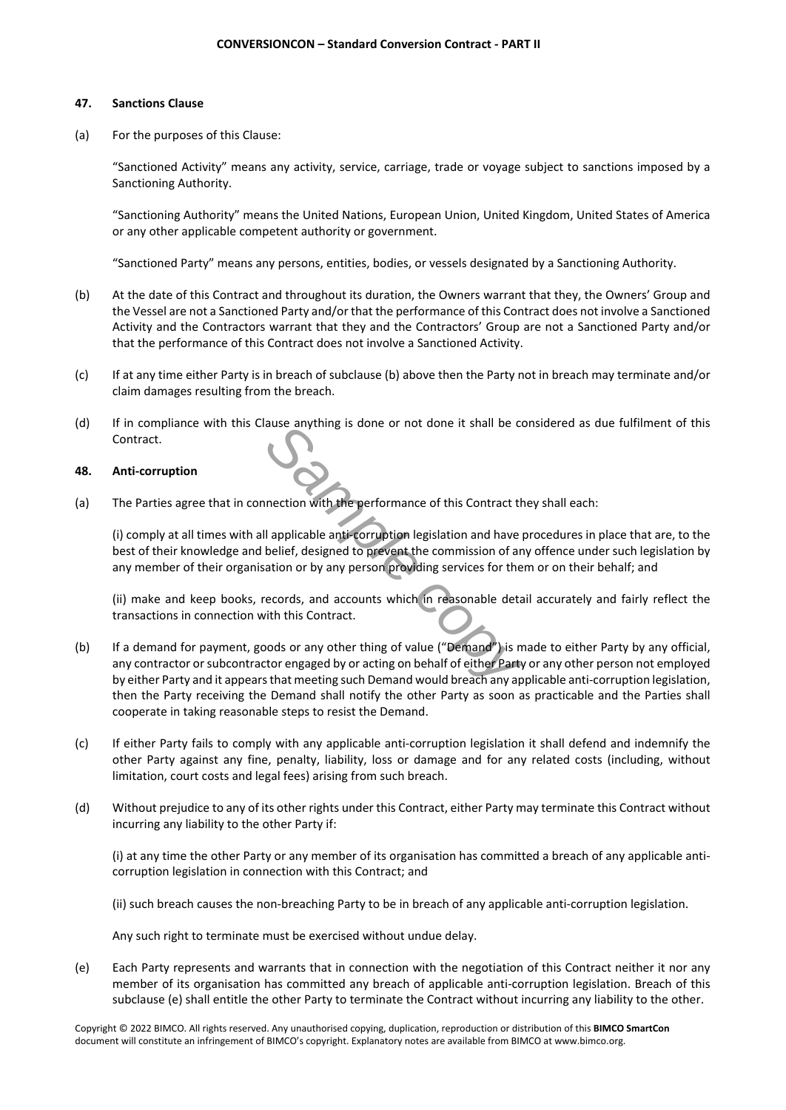# **47. Sanctions Clause**

(a) For the purposes of this Clause:

"Sanctioned Activity" means any activity, service, carriage, trade or voyage subject to sanctions imposed by a Sanctioning Authority.

"Sanctioning Authority" means the United Nations, European Union, United Kingdom, United States of America or any other applicable competent authority or government.

"Sanctioned Party" means any persons, entities, bodies, or vessels designated by a Sanctioning Authority.

- (b) At the date of this Contract and throughout its duration, the Owners warrant that they, the Owners' Group and the Vessel are not a Sanctioned Party and/or that the performance of this Contract does not involve a Sanctioned Activity and the Contractors warrant that they and the Contractors' Group are not a Sanctioned Party and/or that the performance of this Contract does not involve a Sanctioned Activity.
- (c) If at any time either Party is in breach of subclause (b) above then the Party not in breach may terminate and/or claim damages resulting from the breach.
- (d) If in compliance with this Clause anything is done or not done it shall be considered as due fulfilment of this Contract.

# **48. Anti-corruption**

(a) The Parties agree that in connection with the performance of this Contract they shall each:

(i) comply at all times with all applicable anti-corruption legislation and have procedures in place that are, to the best of their knowledge and belief, designed to prevent the commission of any offence under such legislation by any member of their organisation or by any person providing services for them or on their behalf; and

(ii) make and keep books, records, and accounts which in reasonable detail accurately and fairly reflect the transactions in connection with this Contract.

- **Sample and Sample Contract It Small De Contract the performance of this Contract the Lapplicable anti-corruption legislation and have poleief, designed to prevent the commission of and accounts which in reasonable deta wi** (b) If a demand for payment, goods or any other thing of value ("Demand") is made to either Party by any official, any contractor or subcontractor engaged by or acting on behalf of either Party or any other person not employed by either Party and it appears that meeting such Demand would breach any applicable anti-corruption legislation, then the Party receiving the Demand shall notify the other Party as soon as practicable and the Parties shall cooperate in taking reasonable steps to resist the Demand.
- (c) If either Party fails to comply with any applicable anti-corruption legislation it shall defend and indemnify the other Party against any fine, penalty, liability, loss or damage and for any related costs (including, without limitation, court costs and legal fees) arising from such breach.
- (d) Without prejudice to any of its other rights under this Contract, either Party may terminate this Contract without incurring any liability to the other Party if:

(i) at any time the other Party or any member of its organisation has committed a breach of any applicable anticorruption legislation in connection with this Contract; and

(ii) such breach causes the non-breaching Party to be in breach of any applicable anti-corruption legislation.

Any such right to terminate must be exercised without undue delay.

(e) Each Party represents and warrants that in connection with the negotiation of this Contract neither it nor any member of its organisation has committed any breach of applicable anti-corruption legislation. Breach of this subclause (e) shall entitle the other Party to terminate the Contract without incurring any liability to the other.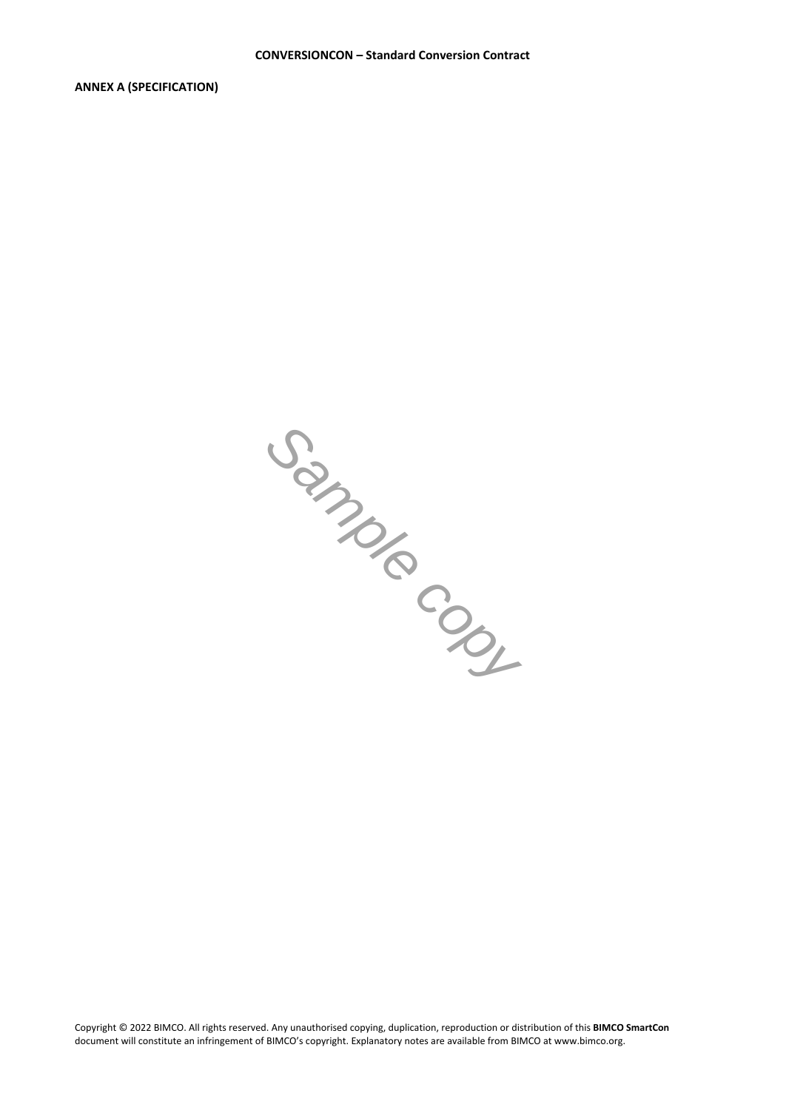**ANNEX A (SPECIFICATION)**

*Sample copy*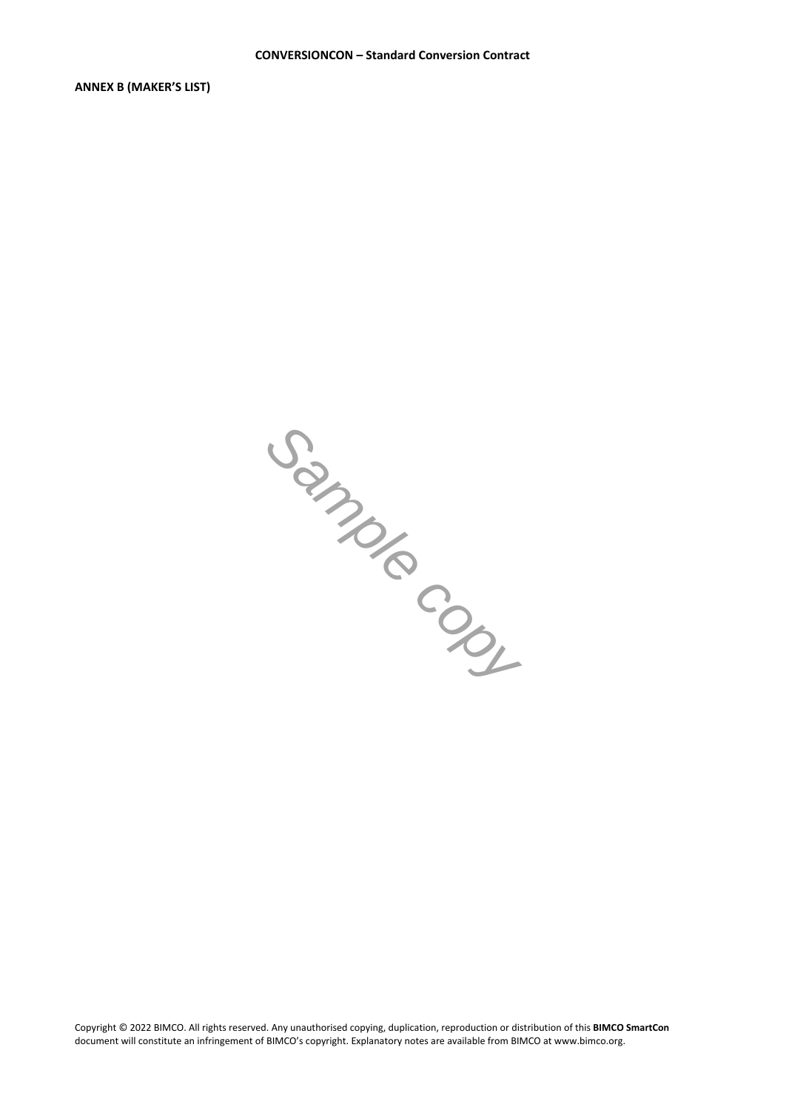**ANNEX B (MAKER'S LIST)**

*Sample copy*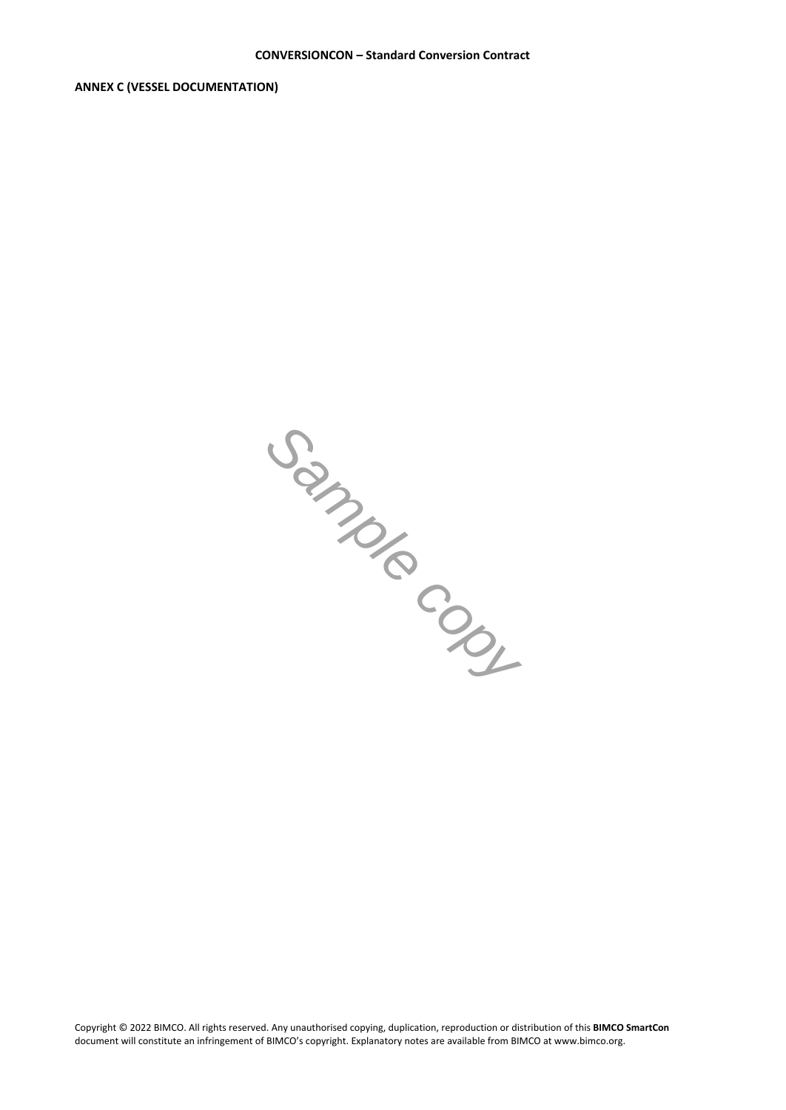**ANNEX C (VESSEL DOCUMENTATION)**

*Sample copy*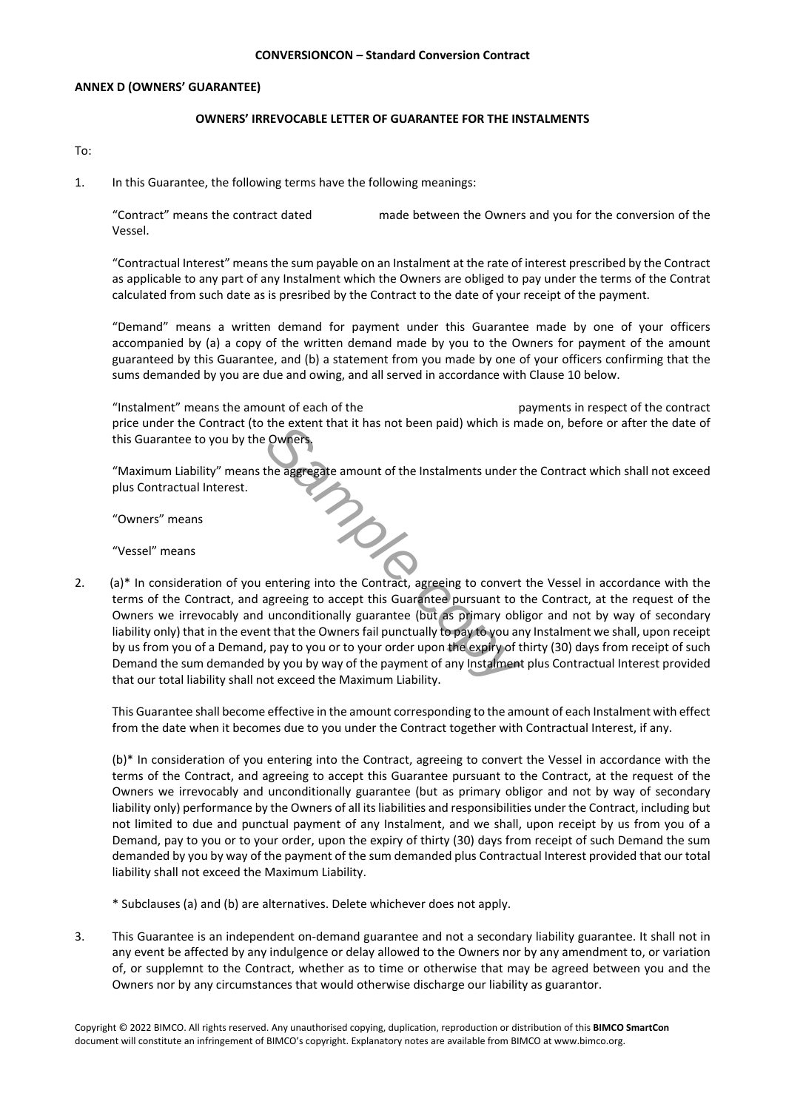# **ANNEX D (OWNERS' GUARANTEE)**

## **OWNERS' IRREVOCABLE LETTER OF GUARANTEE FOR THE INSTALMENTS**

To:

1. In this Guarantee, the following terms have the following meanings:

"Contract" means the contract dated made between the Owners and you for the conversion of the Vessel.

"Contractual Interest" means the sum payable on an Instalment at the rate of interest prescribed by the Contract as applicable to any part of any Instalment which the Owners are obliged to pay under the terms of the Contrat calculated from such date as is presribed by the Contract to the date of your receipt of the payment.

"Demand" means a written demand for payment under this Guarantee made by one of your officers accompanied by (a) a copy of the written demand made by you to the Owners for payment of the amount guaranteed by this Guarantee, and (b) a statement from you made by one of your officers confirming that the sums demanded by you are due and owing, and all served in accordance with Clause 10 below.

"Instalment" means the amount of each of the payments in respect of the contract price under the Contract (to the extent that it has not been paid) which is made on, before or after the date of this Guarantee to you by the Owners.

*Sample copy* "Maximum Liability" means the aggregate amount of the Instalments under the Contract which shall not exceed plus Contractual Interest.

"Owners" means

"Vessel" means

2. (a)\* In consideration of you entering into the Contract, agreeing to convert the Vessel in accordance with the terms of the Contract, and agreeing to accept this Guarantee pursuant to the Contract, at the request of the Owners we irrevocably and unconditionally guarantee (but as primary obligor and not by way of secondary liability only) that in the event that the Owners fail punctually to pay to you any Instalment we shall, upon receipt by us from you of a Demand, pay to you or to your order upon the expiry of thirty (30) days from receipt of such Demand the sum demanded by you by way of the payment of any Instalment plus Contractual Interest provided that our total liability shall not exceed the Maximum Liability.

This Guarantee shall become effective in the amount corresponding to the amount of each Instalment with effect from the date when it becomes due to you under the Contract together with Contractual Interest, if any.

(b)\* In consideration of you entering into the Contract, agreeing to convert the Vessel in accordance with the terms of the Contract, and agreeing to accept this Guarantee pursuant to the Contract, at the request of the Owners we irrevocably and unconditionally guarantee (but as primary obligor and not by way of secondary liability only) performance by the Owners of all its liabilities and responsibilities under the Contract, including but not limited to due and punctual payment of any Instalment, and we shall, upon receipt by us from you of a Demand, pay to you or to your order, upon the expiry of thirty (30) days from receipt of such Demand the sum demanded by you by way of the payment of the sum demanded plus Contractual Interest provided that our total liability shall not exceed the Maximum Liability.

\* Subclauses (a) and (b) are alternatives. Delete whichever does not apply.

3. This Guarantee is an independent on-demand guarantee and not a secondary liability guarantee. It shall not in any event be affected by any indulgence or delay allowed to the Owners nor by any amendment to, or variation of, or supplemnt to the Contract, whether as to time or otherwise that may be agreed between you and the Owners nor by any circumstances that would otherwise discharge our liability as guarantor.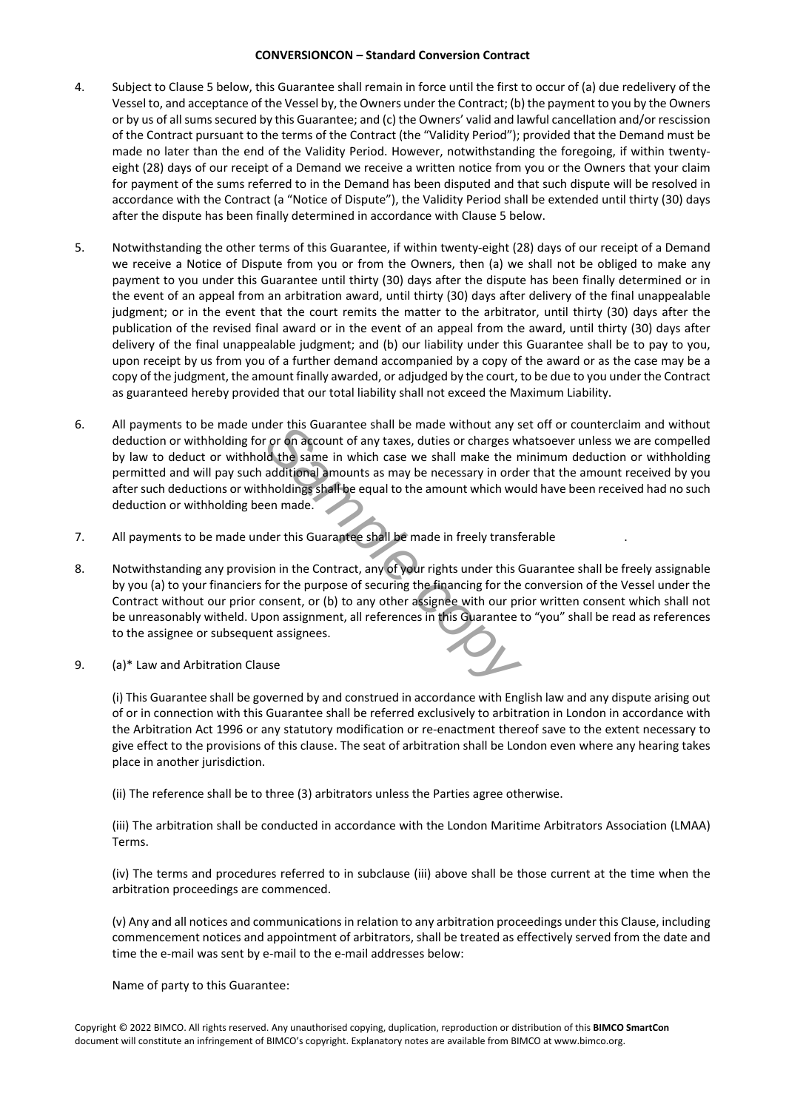- 4. Subject to Clause 5 below, this Guarantee shall remain in force until the first to occur of (a) due redelivery of the Vessel to, and acceptance of the Vessel by, the Owners under the Contract; (b) the payment to you by the Owners or by us of all sums secured by this Guarantee; and (c) the Owners' valid and lawful cancellation and/or rescission of the Contract pursuant to the terms of the Contract (the "Validity Period"); provided that the Demand must be made no later than the end of the Validity Period. However, notwithstanding the foregoing, if within twentyeight (28) days of our receipt of a Demand we receive a written notice from you or the Owners that your claim for payment of the sums referred to in the Demand has been disputed and that such dispute will be resolved in accordance with the Contract (a "Notice of Dispute"), the Validity Period shall be extended until thirty (30) days after the dispute has been finally determined in accordance with Clause 5 below.
- 5. Notwithstanding the other terms of this Guarantee, if within twenty-eight (28) days of our receipt of a Demand we receive a Notice of Dispute from you or from the Owners, then (a) we shall not be obliged to make any payment to you under this Guarantee until thirty (30) days after the dispute has been finally determined or in the event of an appeal from an arbitration award, until thirty (30) days after delivery of the final unappealable judgment; or in the event that the court remits the matter to the arbitrator, until thirty (30) days after the publication of the revised final award or in the event of an appeal from the award, until thirty (30) days after delivery of the final unappealable judgment; and (b) our liability under this Guarantee shall be to pay to you, upon receipt by us from you of a further demand accompanied by a copy of the award or as the case may be a copy of the judgment, the amount finally awarded, or adjudged by the court, to be due to you under the Contract as guaranteed hereby provided that our total liability shall not exceed the Maximum Liability.
- der this Guarantee shall be made without any sience of any taxes, duties or charges wild the same in which case we shall make the madditional amounts as may be necessary in order holdings shall be equal to the amount which 6. All payments to be made under this Guarantee shall be made without any set off or counterclaim and without deduction or withholding for or on account of any taxes, duties or charges whatsoever unless we are compelled by law to deduct or withhold the same in which case we shall make the minimum deduction or withholding permitted and will pay such additional amounts as may be necessary in order that the amount received by you after such deductions or withholdings shall be equal to the amount which would have been received had no such deduction or withholding been made.
- 7. All payments to be made under this Guarantee shall be made in freely transferable .
- 8. Notwithstanding any provision in the Contract, any of your rights under this Guarantee shall be freely assignable by you (a) to your financiers for the purpose of securing the financing for the conversion of the Vessel under the Contract without our prior consent, or (b) to any other assignee with our prior written consent which shall not be unreasonably witheld. Upon assignment, all references in this Guarantee to "you" shall be read as references to the assignee or subsequent assignees.
- 9. (a)\* Law and Arbitration Clause

(i) This Guarantee shall be governed by and construed in accordance with English law and any dispute arising out of or in connection with this Guarantee shall be referred exclusively to arbitration in London in accordance with the Arbitration Act 1996 or any statutory modification or re-enactment thereof save to the extent necessary to give effect to the provisions of this clause. The seat of arbitration shall be London even where any hearing takes place in another jurisdiction.

(ii) The reference shall be to three (3) arbitrators unless the Parties agree otherwise.

(iii) The arbitration shall be conducted in accordance with the London Maritime Arbitrators Association (LMAA) Terms.

(iv) The terms and procedures referred to in subclause (iii) above shall be those current at the time when the arbitration proceedings are commenced.

(v) Any and all notices and communications in relation to any arbitration proceedings under this Clause, including commencement notices and appointment of arbitrators, shall be treated as effectively served from the date and time the e-mail was sent by e-mail to the e-mail addresses below:

Name of party to this Guarantee: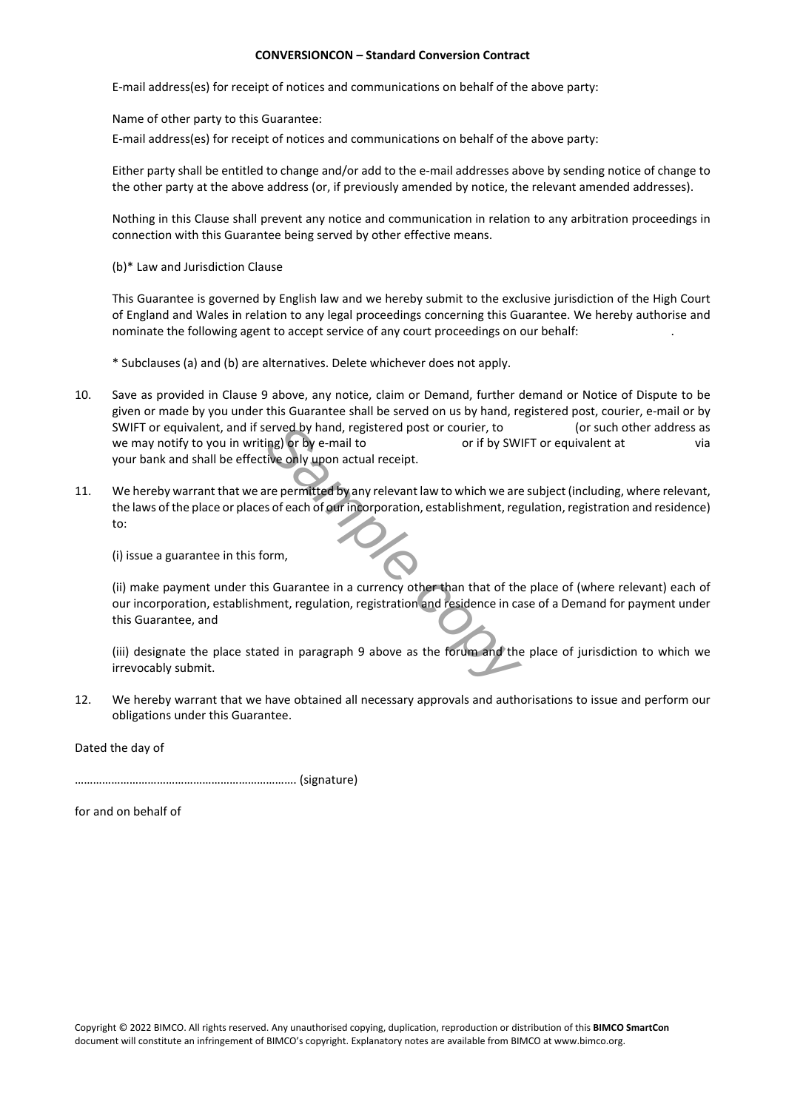E-mail address(es) for receipt of notices and communications on behalf of the above party:

Name of other party to this Guarantee:

E-mail address(es) for receipt of notices and communications on behalf of the above party:

Either party shall be entitled to change and/or add to the e-mail addresses above by sending notice of change to the other party at the above address (or, if previously amended by notice, the relevant amended addresses).

Nothing in this Clause shall prevent any notice and communication in relation to any arbitration proceedings in connection with this Guarantee being served by other effective means.

(b)\* Law and Jurisdiction Clause

This Guarantee is governed by English law and we hereby submit to the exclusive jurisdiction of the High Court of England and Wales in relation to any legal proceedings concerning this Guarantee. We hereby authorise and nominate the following agent to accept service of any court proceedings on our behalf: .

\* Subclauses (a) and (b) are alternatives. Delete whichever does not apply.

- 10. Save as provided in Clause 9 above, any notice, claim or Demand, further demand or Notice of Dispute to be given or made by you under this Guarantee shall be served on us by hand, registered post, courier, e-mail or by SWIFT or equivalent, and if served by hand, registered post or courier, to (or such other address as we may notify to you in writing) or by e-mail to or if by SWIFT or equivalent at via your bank and shall be effective only upon actual receipt.
- **Example 19 and an** registered post or courier, to<br>
ing) or by e-mail to correct or if by SWI<br>
ive only upon actual receipt.<br>
Irre permitted by any relevant law to which we are<br>
so feach of our incorporation, establishment 11. We hereby warrant that we are permitted by any relevant law to which we are subject (including, where relevant, the laws of the place or places of each of our incorporation, establishment, regulation, registration and residence) to:

(i) issue a guarantee in this form,

(ii) make payment under this Guarantee in a currency other than that of the place of (where relevant) each of our incorporation, establishment, regulation, registration and residence in case of a Demand for payment under this Guarantee, and

(iii) designate the place stated in paragraph 9 above as the forum and the place of jurisdiction to which we irrevocably submit.

12. We hereby warrant that we have obtained all necessary approvals and authorisations to issue and perform our obligations under this Guarantee.

Dated the day of

………………………………………………………………. (signature)

for and on behalf of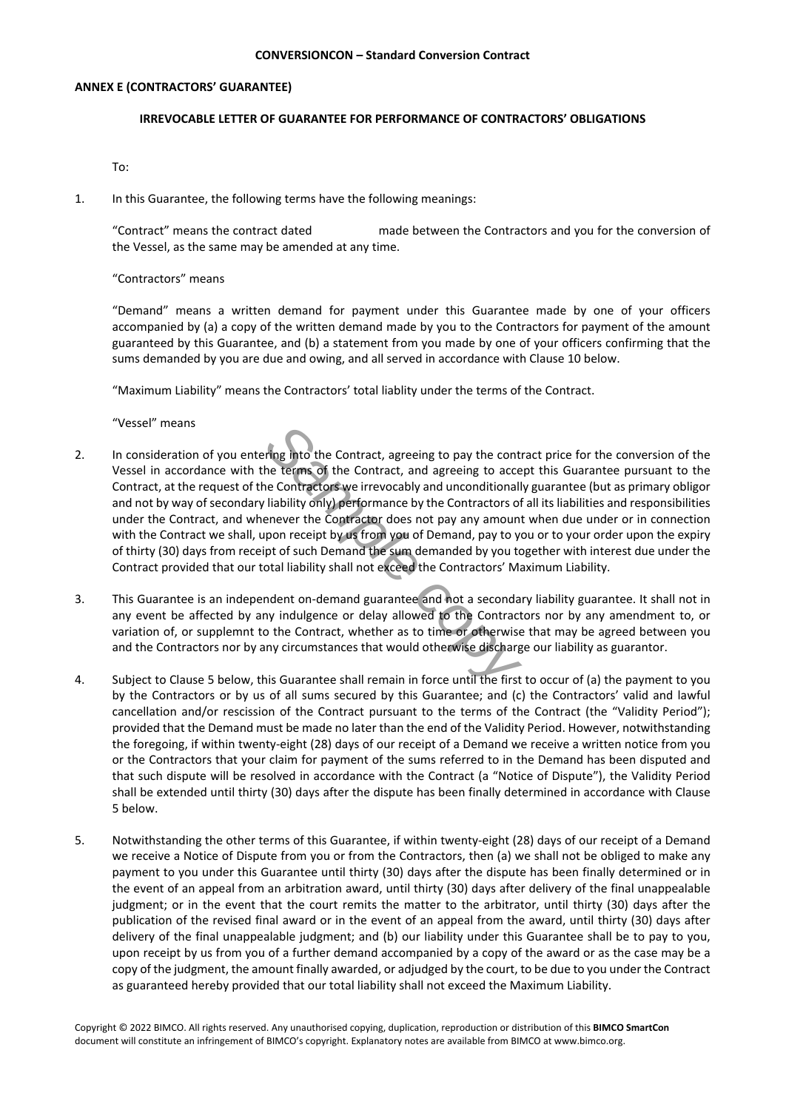# **ANNEX E (CONTRACTORS' GUARANTEE)**

# **IRREVOCABLE LETTER OF GUARANTEE FOR PERFORMANCE OF CONTRACTORS' OBLIGATIONS**

To:

1. In this Guarantee, the following terms have the following meanings:

"Contract" means the contract dated made between the Contractors and you for the conversion of the Vessel, as the same may be amended at any time.

# "Contractors" means

"Demand" means a written demand for payment under this Guarantee made by one of your officers accompanied by (a) a copy of the written demand made by you to the Contractors for payment of the amount guaranteed by this Guarantee, and (b) a statement from you made by one of your officers confirming that the sums demanded by you are due and owing, and all served in accordance with Clause 10 below.

"Maximum Liability" means the Contractors' total liablity under the terms of the Contract.

"Vessel" means

- ring into the Contract, agreeing to pay the contract<br>he terms of the Contract, and agreeing to acce<br>elecontractors we irrevocably and unconditionall-<br>liability only) performance by the Contractors of<br>enever the Contractor 2. In consideration of you entering into the Contract, agreeing to pay the contract price for the conversion of the Vessel in accordance with the terms of the Contract, and agreeing to accept this Guarantee pursuant to the Contract, at the request of the Contractors we irrevocably and unconditionally guarantee (but as primary obligor and not by way of secondary liability only) performance by the Contractors of all its liabilities and responsibilities under the Contract, and whenever the Contractor does not pay any amount when due under or in connection with the Contract we shall, upon receipt by us from you of Demand, pay to you or to your order upon the expiry of thirty (30) days from receipt of such Demand the sum demanded by you together with interest due under the Contract provided that our total liability shall not exceed the Contractors' Maximum Liability.
- 3. This Guarantee is an independent on-demand guarantee and not a secondary liability guarantee. It shall not in any event be affected by any indulgence or delay allowed to the Contractors nor by any amendment to, or variation of, or supplemnt to the Contract, whether as to time or otherwise that may be agreed between you and the Contractors nor by any circumstances that would otherwise discharge our liability as guarantor.
- 4. Subject to Clause 5 below, this Guarantee shall remain in force until the first to occur of (a) the payment to you by the Contractors or by us of all sums secured by this Guarantee; and (c) the Contractors' valid and lawful cancellation and/or rescission of the Contract pursuant to the terms of the Contract (the "Validity Period"); provided that the Demand must be made no later than the end of the Validity Period. However, notwithstanding the foregoing, if within twenty-eight (28) days of our receipt of a Demand we receive a written notice from you or the Contractors that your claim for payment of the sums referred to in the Demand has been disputed and that such dispute will be resolved in accordance with the Contract (a "Notice of Dispute"), the Validity Period shall be extended until thirty (30) days after the dispute has been finally determined in accordance with Clause 5 below.
- 5. Notwithstanding the other terms of this Guarantee, if within twenty-eight (28) days of our receipt of a Demand we receive a Notice of Dispute from you or from the Contractors, then (a) we shall not be obliged to make any payment to you under this Guarantee until thirty (30) days after the dispute has been finally determined or in the event of an appeal from an arbitration award, until thirty (30) days after delivery of the final unappealable judgment; or in the event that the court remits the matter to the arbitrator, until thirty (30) days after the publication of the revised final award or in the event of an appeal from the award, until thirty (30) days after delivery of the final unappealable judgment; and (b) our liability under this Guarantee shall be to pay to you, upon receipt by us from you of a further demand accompanied by a copy of the award or as the case may be a copy of the judgment, the amount finally awarded, or adjudged by the court, to be due to you under the Contract as guaranteed hereby provided that our total liability shall not exceed the Maximum Liability.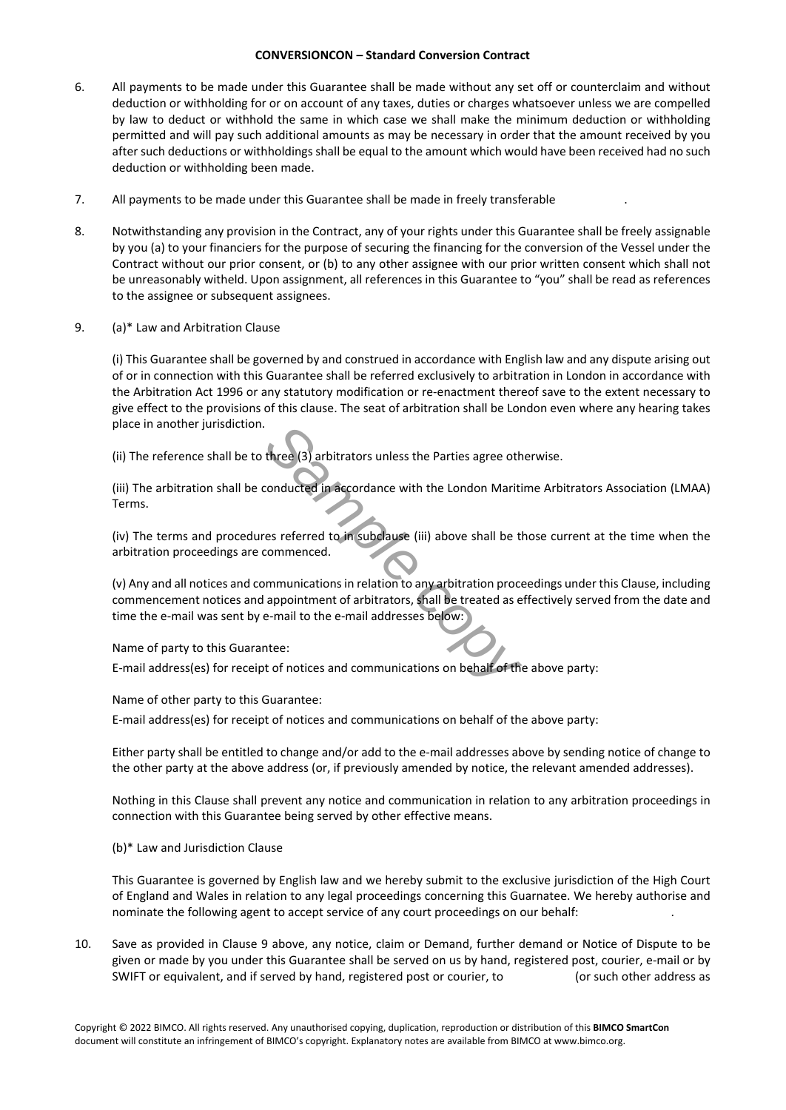- 6. All payments to be made under this Guarantee shall be made without any set off or counterclaim and without deduction or withholding for or on account of any taxes, duties or charges whatsoever unless we are compelled by law to deduct or withhold the same in which case we shall make the minimum deduction or withholding permitted and will pay such additional amounts as may be necessary in order that the amount received by you after such deductions or withholdings shall be equal to the amount which would have been received had no such deduction or withholding been made.
- 7. All payments to be made under this Guarantee shall be made in freely transferable .
- 8. Notwithstanding any provision in the Contract, any of your rights under this Guarantee shall be freely assignable by you (a) to your financiers for the purpose of securing the financing for the conversion of the Vessel under the Contract without our prior consent, or (b) to any other assignee with our prior written consent which shall not be unreasonably witheld. Upon assignment, all references in this Guarantee to "you" shall be read as references to the assignee or subsequent assignees.
- 9. (a)\* Law and Arbitration Clause

(i) This Guarantee shall be governed by and construed in accordance with English law and any dispute arising out of or in connection with this Guarantee shall be referred exclusively to arbitration in London in accordance with the Arbitration Act 1996 or any statutory modification or re-enactment thereof save to the extent necessary to give effect to the provisions of this clause. The seat of arbitration shall be London even where any hearing takes place in another jurisdiction.

(ii) The reference shall be to three (3) arbitrators unless the Parties agree otherwise.

(iii) The arbitration shall be conducted in accordance with the London Maritime Arbitrators Association (LMAA) Terms.

(iv) The terms and procedures referred to in subclause (iii) above shall be those current at the time when the arbitration proceedings are commenced.

**Example 13**<br> **Sample conducted in accordance with the London Mariti**<br> **Sample commenced.**<br> **Sample commenced.**<br> **Sample commenced.**<br> **Sample commenced.**<br> **Sample commenced as example communications on the commenced as exa** (v) Any and all notices and communications in relation to any arbitration proceedings under this Clause, including commencement notices and appointment of arbitrators, shall be treated as effectively served from the date and time the e-mail was sent by e-mail to the e-mail addresses below:

Name of party to this Guarantee:

E-mail address(es) for receipt of notices and communications on behalf of the above party:

Name of other party to this Guarantee:

E-mail address(es) for receipt of notices and communications on behalf of the above party:

Either party shall be entitled to change and/or add to the e-mail addresses above by sending notice of change to the other party at the above address (or, if previously amended by notice, the relevant amended addresses).

Nothing in this Clause shall prevent any notice and communication in relation to any arbitration proceedings in connection with this Guarantee being served by other effective means.

(b)\* Law and Jurisdiction Clause

This Guarantee is governed by English law and we hereby submit to the exclusive jurisdiction of the High Court of England and Wales in relation to any legal proceedings concerning this Guarnatee. We hereby authorise and nominate the following agent to accept service of any court proceedings on our behalf: .

10. Save as provided in Clause 9 above, any notice, claim or Demand, further demand or Notice of Dispute to be given or made by you under this Guarantee shall be served on us by hand, registered post, courier, e-mail or by SWIFT or equivalent, and if served by hand, registered post or courier, to (or such other address as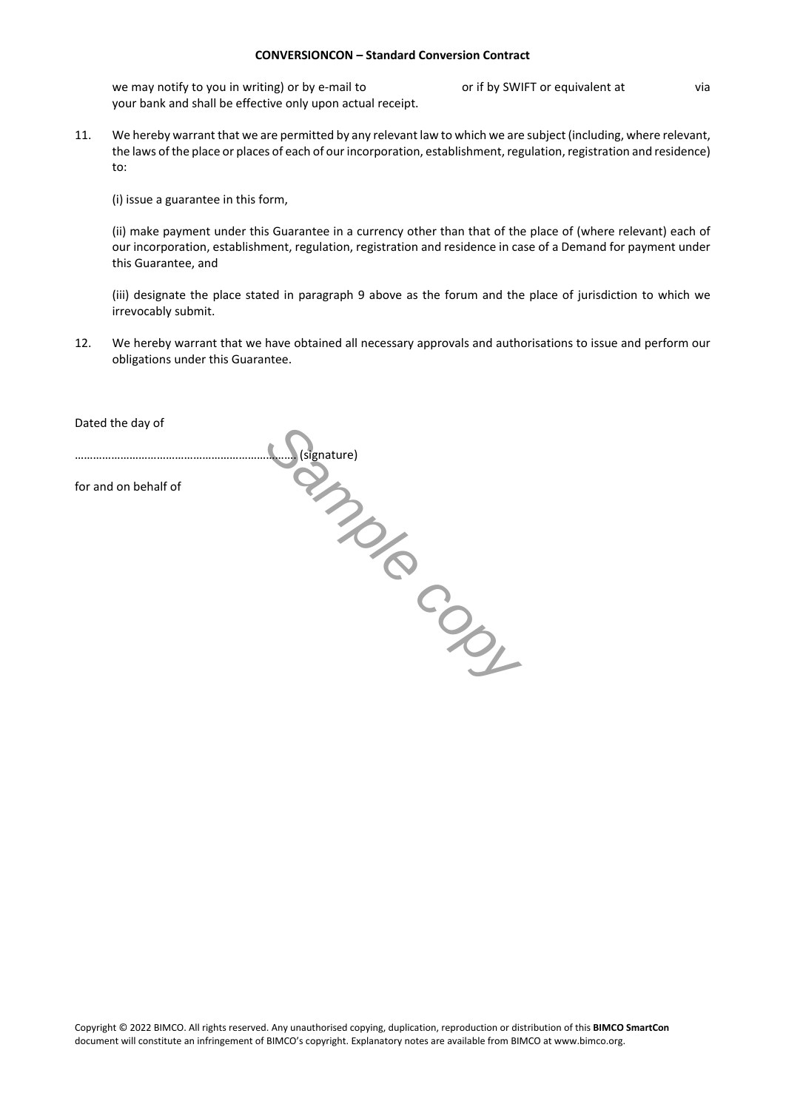we may notify to you in writing) or by e-mail to or if by SWIFT or equivalent at via your bank and shall be effective only upon actual receipt.

11. We hereby warrant that we are permitted by any relevant law to which we are subject (including, where relevant, the laws of the place or places of each of our incorporation, establishment, regulation, registration and residence) to:

(i) issue a guarantee in this form,

(ii) make payment under this Guarantee in a currency other than that of the place of (where relevant) each of our incorporation, establishment, regulation, registration and residence in case of a Demand for payment under this Guarantee, and

(iii) designate the place stated in paragraph 9 above as the forum and the place of jurisdiction to which we irrevocably submit.

12. We hereby warrant that we have obtained all necessary approvals and authorisations to issue and perform our obligations under this Guarantee.

| Dated the day of     |             |
|----------------------|-------------|
|                      | (signature) |
| for and on behalf of |             |
|                      |             |
|                      |             |
|                      |             |
|                      |             |
|                      |             |
|                      |             |
|                      |             |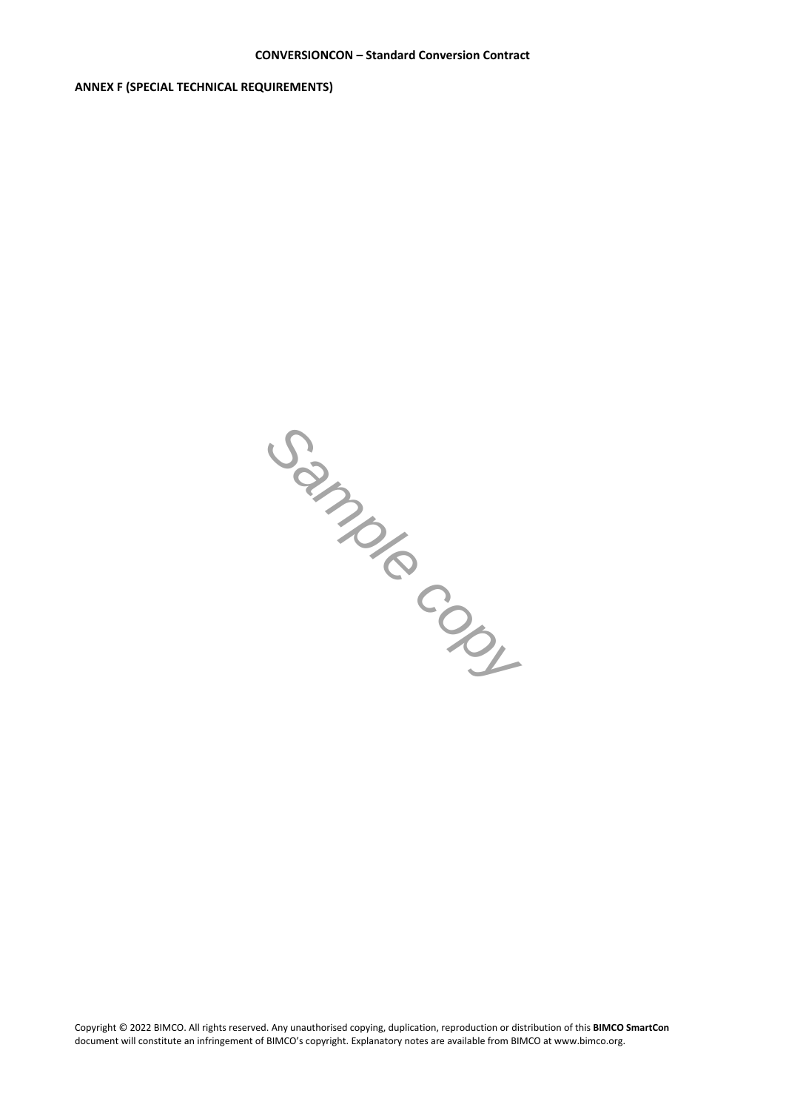**ANNEX F (SPECIAL TECHNICAL REQUIREMENTS)**

*Sample copy*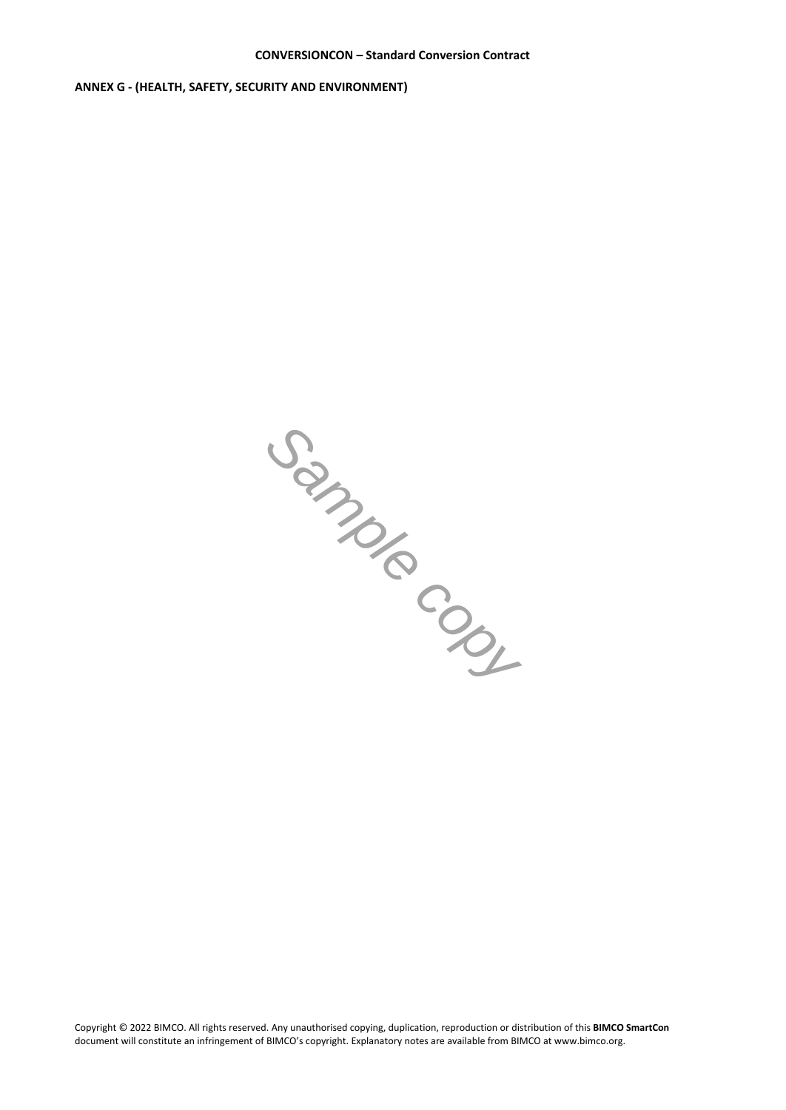**ANNEX G - (HEALTH, SAFETY, SECURITY AND ENVIRONMENT)**

*Sample copy*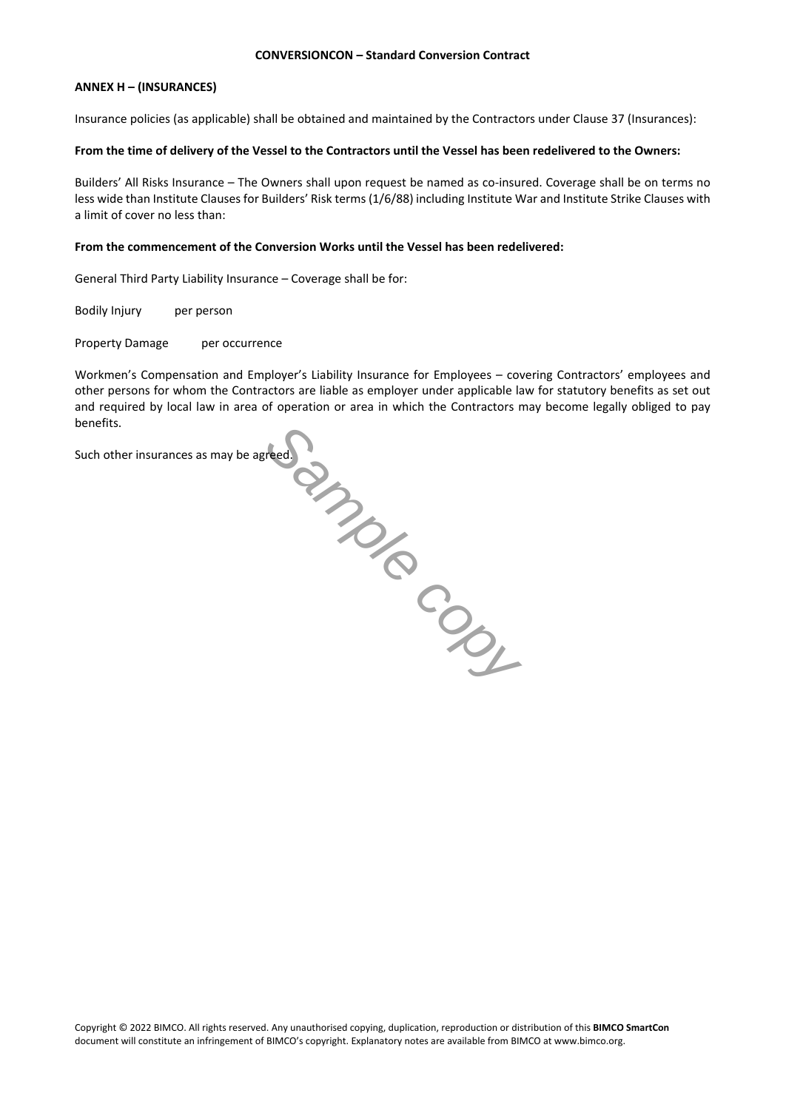# **ANNEX H – (INSURANCES)**

Insurance policies (as applicable) shall be obtained and maintained by the Contractors under Clause 37 (Insurances):

# **From the time of delivery of the Vessel to the Contractors until the Vessel has been redelivered to the Owners:**

Builders' All Risks Insurance – The Owners shall upon request be named as co-insured. Coverage shall be on terms no less wide than Institute Clauses for Builders' Risk terms (1/6/88) including Institute War and Institute Strike Clauses with a limit of cover no less than:

# **From the commencement of the Conversion Works until the Vessel has been redelivered:**

General Third Party Liability Insurance – Coverage shall be for:

Bodily Injury per person

Property Damage per occurrence

read Contract Copy Workmen's Compensation and Employer's Liability Insurance for Employees – covering Contractors' employees and other persons for whom the Contractors are liable as employer under applicable law for statutory benefits as set out and required by local law in area of operation or area in which the Contractors may become legally obliged to pay benefits.

Such other insurances as may be agreed.